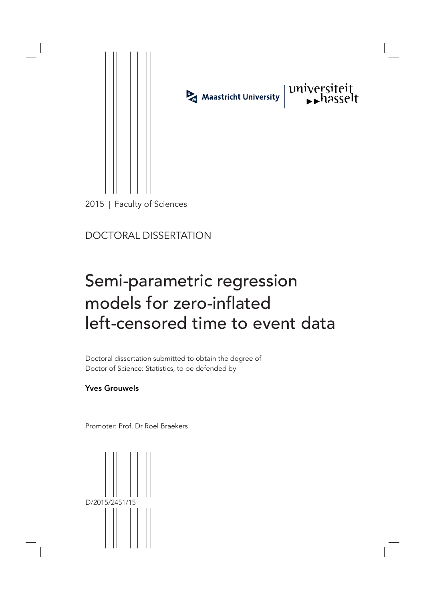

DOCTORAL DISSERTATION

# Semi-parametric regression models for zero-inflated left-censored time to event data

Doctoral dissertation submitted to obtain the degree of Doctor of Science: Statistics, to be defended by

Yves Grouwels

Promoter: Prof. Dr Roel Braekers

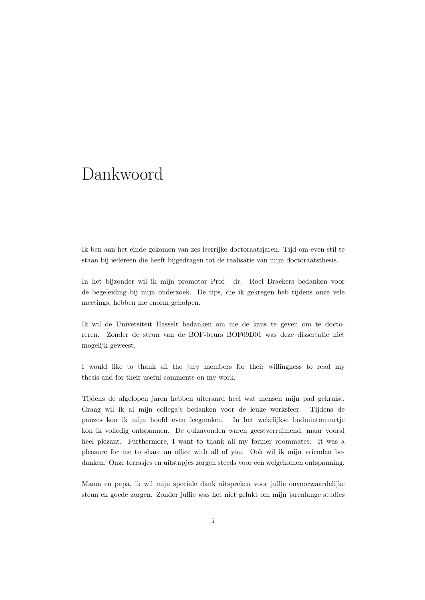## Dankwoord

Ik ben aan het einde gekomen van zes leerrijke doctoraatsjaren. Tijd om even stil te staan bij iedereen die heeft bijgedragen tot de realisatie van mijn doctoraatsthesis.

In het bijzonder wil ik mijn promotor Prof. dr. Roel Braekers bedanken voor de begeleiding bij mijn onderzoek. De tips, die ik gekregen heb tijdens onze vele meetings, hebben me enorm geholpen.

Ik wil de Universiteit Hasselt bedanken om me de kans te geven om te doctoreren. Zonder de steun van de BOF-beurs BOF09D01 was deze dissertatie niet mogelijk geweest.

I would like to thank all the jury members for their willingness to read my thesis and for their useful comments on my work.

Tijdens de afgelopen jaren hebben uiteraard heel wat mensen mijn pad gekruist. Graag wil ik al mijn collega's bedanken voor de leuke werksfeer. Tijdens de pauzes kon ik mijn hoofd even leegmaken. In het wekelijkse badmintonuurtje kon ik volledig ontspannen. De quizavonden waren geestverruimend, maar vooral heel plezant. Furthermore, I want to thank all my former roommates. It was a pleasure for me to share an office with all of you. Ook wil ik mijn vrienden bedanken. Onze terrasjes en uitstapjes zorgen steeds voor een welgekomen ontspanning.

Mama en papa, ik wil mijn speciale dank uitspreken voor jullie onvoorwaardelijke steun en goede zorgen. Zonder jullie was het niet gelukt om mijn jarenlange studies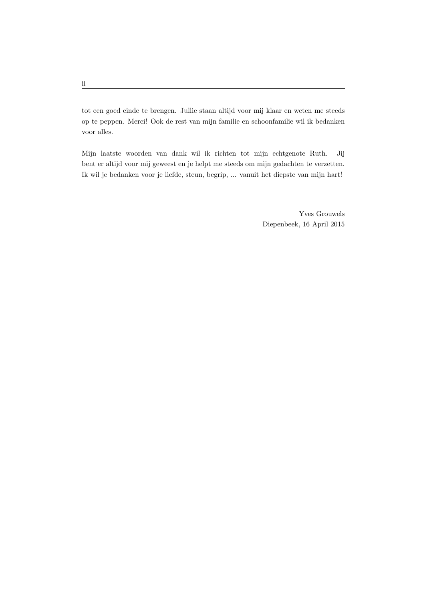tot een goed einde te brengen. Jullie staan altijd voor mij klaar en weten me steeds op te peppen. Merci! Ook de rest van mijn familie en schoonfamilie wil ik bedanken voor alles.

Mijn laatste woorden van dank wil ik richten tot mijn echtgenote Ruth. Jij bent er altijd voor mij geweest en je helpt me steeds om mijn gedachten te verzetten. Ik wil je bedanken voor je liefde, steun, begrip, ... vanuit het diepste van mijn hart!

> Yves Grouwels Diepenbeek, 16 April 2015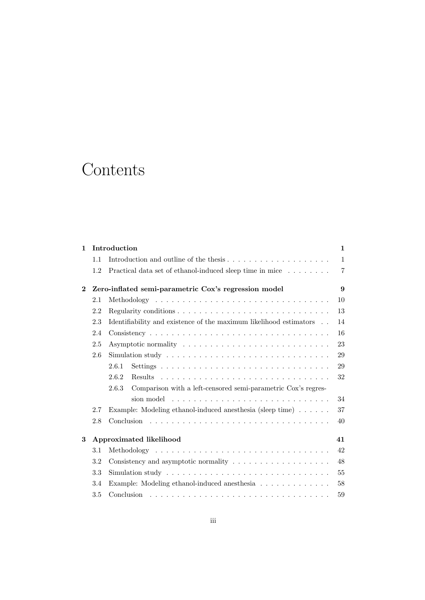## **Contents**

| $\mathbf{1}$ | Introduction                                         |                                                                                            |                |  |  |
|--------------|------------------------------------------------------|--------------------------------------------------------------------------------------------|----------------|--|--|
|              | 1.1                                                  | Introduction and outline of the thesis                                                     | $\mathbf{1}$   |  |  |
|              | 1.2                                                  | Practical data set of ethanol-induced sleep time in mice                                   | $\overline{7}$ |  |  |
| $\bf{2}$     | Zero-inflated semi-parametric Cox's regression model |                                                                                            |                |  |  |
|              | 2.1                                                  |                                                                                            | 10             |  |  |
|              | 2.2                                                  |                                                                                            | 13             |  |  |
|              | 2.3                                                  | Identifiability and existence of the maximum likelihood estimators                         | 14             |  |  |
|              | 2.4                                                  |                                                                                            | 16             |  |  |
|              | 2.5                                                  |                                                                                            | 23             |  |  |
|              | 2.6                                                  | Simulation study $\dots \dots \dots \dots \dots \dots \dots \dots \dots \dots \dots \dots$ | 29             |  |  |
|              |                                                      | 2.6.1                                                                                      | 29             |  |  |
|              |                                                      | 2.6.2                                                                                      | 32             |  |  |
|              |                                                      | Comparison with a left-censored semi-parametric Cox's regres-<br>2.6.3                     |                |  |  |
|              |                                                      | sion model                                                                                 | 34             |  |  |
|              | 2.7                                                  | Example: Modeling ethanol-induced anesthesia (sleep time)                                  | 37             |  |  |
|              | 2.8                                                  |                                                                                            | 40             |  |  |
| 3            | Approximated likelihood<br>41                        |                                                                                            |                |  |  |
|              | 3.1                                                  |                                                                                            | 42             |  |  |
|              | 3.2                                                  |                                                                                            | 48             |  |  |
|              | 3.3                                                  |                                                                                            | 55             |  |  |
|              | 3.4                                                  | Example: Modeling ethanol-induced anesthesia                                               | 58             |  |  |
|              | $3.5\,$                                              | Conclusion                                                                                 | 59             |  |  |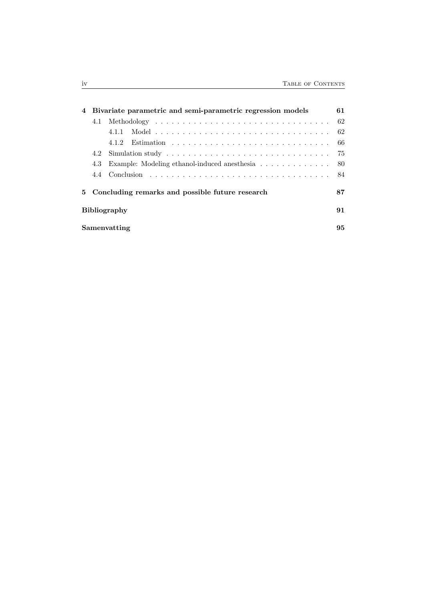|              |                                                   | 4 Bivariate parametric and semi-parametric regression models | 61  |  |  |  |  |
|--------------|---------------------------------------------------|--------------------------------------------------------------|-----|--|--|--|--|
|              |                                                   |                                                              | 62  |  |  |  |  |
|              |                                                   |                                                              | -62 |  |  |  |  |
|              |                                                   |                                                              |     |  |  |  |  |
|              |                                                   |                                                              |     |  |  |  |  |
|              | 4.3                                               | Example: Modeling ethanol-induced anesthesia                 | -80 |  |  |  |  |
|              |                                                   |                                                              | -84 |  |  |  |  |
|              | 5 Concluding remarks and possible future research |                                                              |     |  |  |  |  |
|              |                                                   | <b>Bibliography</b>                                          | 91  |  |  |  |  |
| Samenvatting |                                                   |                                                              |     |  |  |  |  |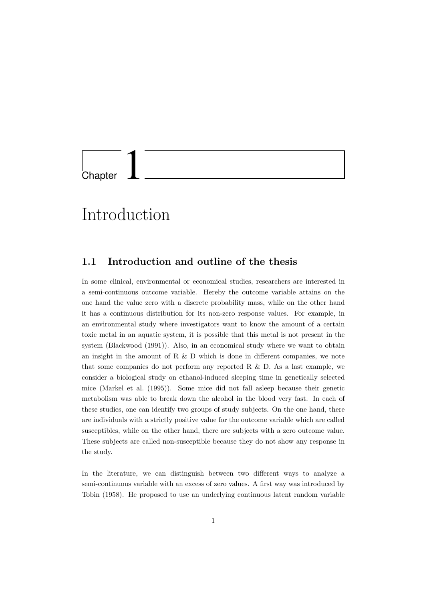

## Introduction

### 1.1 Introduction and outline of the thesis

In some clinical, environmental or economical studies, researchers are interested in a semi-continuous outcome variable. Hereby the outcome variable attains on the one hand the value zero with a discrete probability mass, while on the other hand it has a continuous distribution for its non-zero response values. For example, in an environmental study where investigators want to know the amount of a certain toxic metal in an aquatic system, it is possible that this metal is not present in the system (Blackwood (1991)). Also, in an economical study where we want to obtain an insight in the amount of R  $\&$  D which is done in different companies, we note that some companies do not perform any reported  $R \& D$ . As a last example, we consider a biological study on ethanol-induced sleeping time in genetically selected mice (Markel et al. (1995)). Some mice did not fall asleep because their genetic metabolism was able to break down the alcohol in the blood very fast. In each of these studies, one can identify two groups of study subjects. On the one hand, there are individuals with a strictly positive value for the outcome variable which are called susceptibles, while on the other hand, there are subjects with a zero outcome value. These subjects are called non-susceptible because they do not show any response in the study.

In the literature, we can distinguish between two different ways to analyze a semi-continuous variable with an excess of zero values. A first way was introduced by Tobin (1958). He proposed to use an underlying continuous latent random variable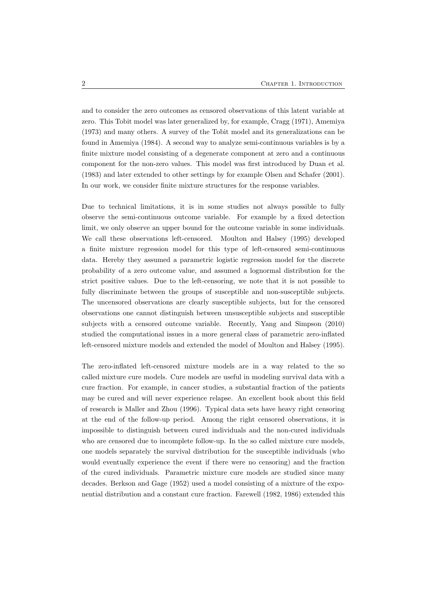and to consider the zero outcomes as censored observations of this latent variable at zero. This Tobit model was later generalized by, for example, Cragg (1971), Amemiya (1973) and many others. A survey of the Tobit model and its generalizations can be found in Amemiya (1984). A second way to analyze semi-continuous variables is by a finite mixture model consisting of a degenerate component at zero and a continuous component for the non-zero values. This model was first introduced by Duan et al. (1983) and later extended to other settings by for example Olsen and Schafer (2001). In our work, we consider finite mixture structures for the response variables.

Due to technical limitations, it is in some studies not always possible to fully observe the semi-continuous outcome variable. For example by a fixed detection limit, we only observe an upper bound for the outcome variable in some individuals. We call these observations left-censored. Moulton and Halsey (1995) developed a finite mixture regression model for this type of left-censored semi-continuous data. Hereby they assumed a parametric logistic regression model for the discrete probability of a zero outcome value, and assumed a lognormal distribution for the strict positive values. Due to the left-censoring, we note that it is not possible to fully discriminate between the groups of susceptible and non-susceptible subjects. The uncensored observations are clearly susceptible subjects, but for the censored observations one cannot distinguish between unsusceptible subjects and susceptible subjects with a censored outcome variable. Recently, Yang and Simpson (2010) studied the computational issues in a more general class of parametric zero-inflated left-censored mixture models and extended the model of Moulton and Halsey (1995).

The zero-inflated left-censored mixture models are in a way related to the so called mixture cure models. Cure models are useful in modeling survival data with a cure fraction. For example, in cancer studies, a substantial fraction of the patients may be cured and will never experience relapse. An excellent book about this field of research is Maller and Zhou (1996). Typical data sets have heavy right censoring at the end of the follow-up period. Among the right censored observations, it is impossible to distinguish between cured individuals and the non-cured individuals who are censored due to incomplete follow-up. In the so called mixture cure models, one models separately the survival distribution for the susceptible individuals (who would eventually experience the event if there were no censoring) and the fraction of the cured individuals. Parametric mixture cure models are studied since many decades. Berkson and Gage (1952) used a model consisting of a mixture of the exponential distribution and a constant cure fraction. Farewell (1982, 1986) extended this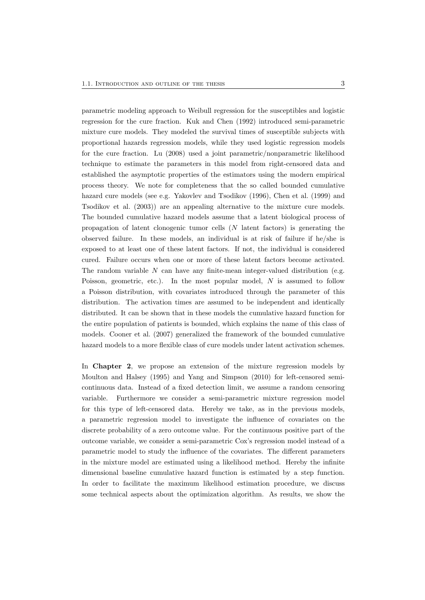parametric modeling approach to Weibull regression for the susceptibles and logistic regression for the cure fraction. Kuk and Chen (1992) introduced semi-parametric mixture cure models. They modeled the survival times of susceptible subjects with proportional hazards regression models, while they used logistic regression models for the cure fraction. Lu (2008) used a joint parametric/nonparametric likelihood technique to estimate the parameters in this model from right-censored data and established the asymptotic properties of the estimators using the modern empirical process theory. We note for completeness that the so called bounded cumulative hazard cure models (see e.g. Yakovlev and Tsodikov (1996), Chen et al. (1999) and Tsodikov et al. (2003)) are an appealing alternative to the mixture cure models. The bounded cumulative hazard models assume that a latent biological process of propagation of latent clonogenic tumor cells  $(N)$  latent factors) is generating the observed failure. In these models, an individual is at risk of failure if he/she is exposed to at least one of these latent factors. If not, the individual is considered cured. Failure occurs when one or more of these latent factors become activated. The random variable  $N$  can have any finite-mean integer-valued distribution (e.g. Poisson, geometric, etc.). In the most popular model,  $N$  is assumed to follow a Poisson distribution, with covariates introduced through the parameter of this distribution. The activation times are assumed to be independent and identically distributed. It can be shown that in these models the cumulative hazard function for the entire population of patients is bounded, which explains the name of this class of models. Cooner et al. (2007) generalized the framework of the bounded cumulative hazard models to a more flexible class of cure models under latent activation schemes.

In Chapter 2, we propose an extension of the mixture regression models by Moulton and Halsey (1995) and Yang and Simpson (2010) for left-censored semicontinuous data. Instead of a fixed detection limit, we assume a random censoring variable. Furthermore we consider a semi-parametric mixture regression model for this type of left-censored data. Hereby we take, as in the previous models, a parametric regression model to investigate the influence of covariates on the discrete probability of a zero outcome value. For the continuous positive part of the outcome variable, we consider a semi-parametric Cox's regression model instead of a parametric model to study the influence of the covariates. The different parameters in the mixture model are estimated using a likelihood method. Hereby the infinite dimensional baseline cumulative hazard function is estimated by a step function. In order to facilitate the maximum likelihood estimation procedure, we discuss some technical aspects about the optimization algorithm. As results, we show the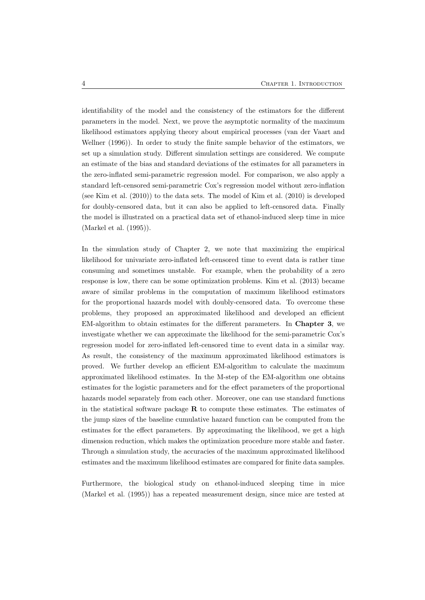identifiability of the model and the consistency of the estimators for the different parameters in the model. Next, we prove the asymptotic normality of the maximum likelihood estimators applying theory about empirical processes (van der Vaart and Wellner (1996)). In order to study the finite sample behavior of the estimators, we set up a simulation study. Different simulation settings are considered. We compute an estimate of the bias and standard deviations of the estimates for all parameters in the zero-inflated semi-parametric regression model. For comparison, we also apply a standard left-censored semi-parametric Cox's regression model without zero-inflation (see Kim et al. (2010)) to the data sets. The model of Kim et al. (2010) is developed for doubly-censored data, but it can also be applied to left-censored data. Finally the model is illustrated on a practical data set of ethanol-induced sleep time in mice (Markel et al. (1995)).

In the simulation study of Chapter 2, we note that maximizing the empirical likelihood for univariate zero-inflated left-censored time to event data is rather time consuming and sometimes unstable. For example, when the probability of a zero response is low, there can be some optimization problems. Kim et al. (2013) became aware of similar problems in the computation of maximum likelihood estimators for the proportional hazards model with doubly-censored data. To overcome these problems, they proposed an approximated likelihood and developed an efficient EM-algorithm to obtain estimates for the different parameters. In Chapter 3, we investigate whether we can approximate the likelihood for the semi-parametric Cox's regression model for zero-inflated left-censored time to event data in a similar way. As result, the consistency of the maximum approximated likelihood estimators is proved. We further develop an efficient EM-algorithm to calculate the maximum approximated likelihood estimates. In the M-step of the EM-algorithm one obtains estimates for the logistic parameters and for the effect parameters of the proportional hazards model separately from each other. Moreover, one can use standard functions in the statistical software package  $R$  to compute these estimates. The estimates of the jump sizes of the baseline cumulative hazard function can be computed from the estimates for the effect parameters. By approximating the likelihood, we get a high dimension reduction, which makes the optimization procedure more stable and faster. Through a simulation study, the accuracies of the maximum approximated likelihood estimates and the maximum likelihood estimates are compared for finite data samples.

Furthermore, the biological study on ethanol-induced sleeping time in mice (Markel et al. (1995)) has a repeated measurement design, since mice are tested at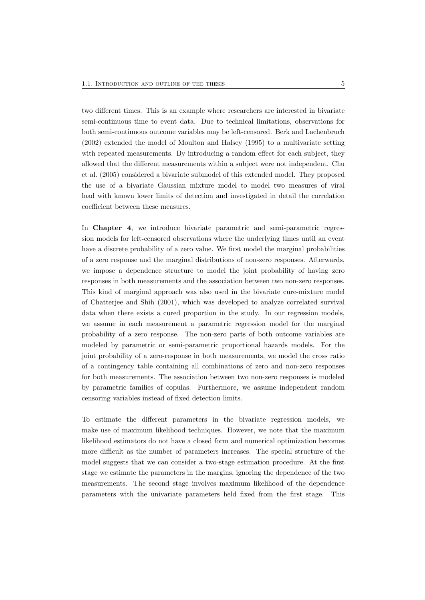two different times. This is an example where researchers are interested in bivariate semi-continuous time to event data. Due to technical limitations, observations for both semi-continuous outcome variables may be left-censored. Berk and Lachenbruch (2002) extended the model of Moulton and Halsey (1995) to a multivariate setting with repeated measurements. By introducing a random effect for each subject, they allowed that the different measurements within a subject were not independent. Chu et al. (2005) considered a bivariate submodel of this extended model. They proposed the use of a bivariate Gaussian mixture model to model two measures of viral load with known lower limits of detection and investigated in detail the correlation coefficient between these measures.

In **Chapter 4**, we introduce bivariate parametric and semi-parametric regression models for left-censored observations where the underlying times until an event have a discrete probability of a zero value. We first model the marginal probabilities of a zero response and the marginal distributions of non-zero responses. Afterwards, we impose a dependence structure to model the joint probability of having zero responses in both measurements and the association between two non-zero responses. This kind of marginal approach was also used in the bivariate cure-mixture model of Chatterjee and Shih (2001), which was developed to analyze correlated survival data when there exists a cured proportion in the study. In our regression models, we assume in each measurement a parametric regression model for the marginal probability of a zero response. The non-zero parts of both outcome variables are modeled by parametric or semi-parametric proportional hazards models. For the joint probability of a zero-response in both measurements, we model the cross ratio of a contingency table containing all combinations of zero and non-zero responses for both measurements. The association between two non-zero responses is modeled by parametric families of copulas. Furthermore, we assume independent random censoring variables instead of fixed detection limits.

To estimate the different parameters in the bivariate regression models, we make use of maximum likelihood techniques. However, we note that the maximum likelihood estimators do not have a closed form and numerical optimization becomes more difficult as the number of parameters increases. The special structure of the model suggests that we can consider a two-stage estimation procedure. At the first stage we estimate the parameters in the margins, ignoring the dependence of the two measurements. The second stage involves maximum likelihood of the dependence parameters with the univariate parameters held fixed from the first stage. This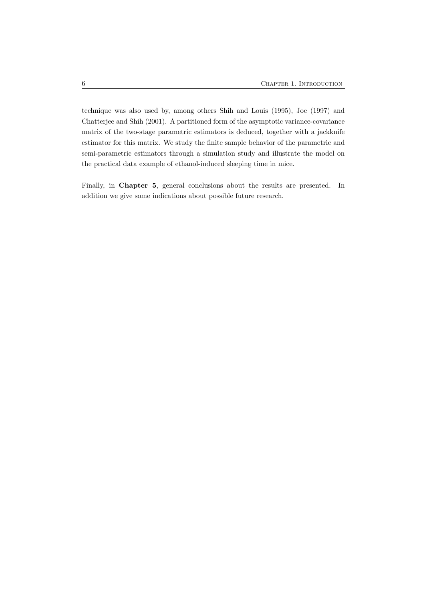technique was also used by, among others Shih and Louis (1995), Joe (1997) and Chatterjee and Shih (2001). A partitioned form of the asymptotic variance-covariance matrix of the two-stage parametric estimators is deduced, together with a jackknife estimator for this matrix. We study the finite sample behavior of the parametric and semi-parametric estimators through a simulation study and illustrate the model on the practical data example of ethanol-induced sleeping time in mice.

Finally, in Chapter 5, general conclusions about the results are presented. In addition we give some indications about possible future research.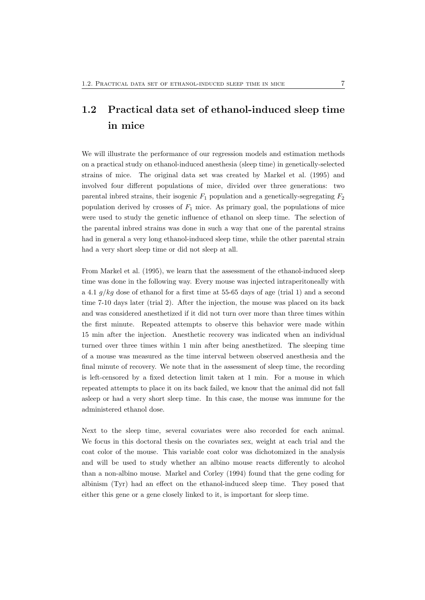## 1.2 Practical data set of ethanol-induced sleep time in mice

We will illustrate the performance of our regression models and estimation methods on a practical study on ethanol-induced anesthesia (sleep time) in genetically-selected strains of mice. The original data set was created by Markel et al. (1995) and involved four different populations of mice, divided over three generations: two parental inbred strains, their isogenic  $F_1$  population and a genetically-segregating  $F_2$ population derived by crosses of  $F_1$  mice. As primary goal, the populations of mice were used to study the genetic influence of ethanol on sleep time. The selection of the parental inbred strains was done in such a way that one of the parental strains had in general a very long ethanol-induced sleep time, while the other parental strain had a very short sleep time or did not sleep at all.

From Markel et al. (1995), we learn that the assessment of the ethanol-induced sleep time was done in the following way. Every mouse was injected intraperitoneally with a 4.1  $g/kg$  dose of ethanol for a first time at 55-65 days of age (trial 1) and a second time 7-10 days later (trial 2). After the injection, the mouse was placed on its back and was considered anesthetized if it did not turn over more than three times within the first minute. Repeated attempts to observe this behavior were made within 15 min after the injection. Anesthetic recovery was indicated when an individual turned over three times within 1 min after being anesthetized. The sleeping time of a mouse was measured as the time interval between observed anesthesia and the final minute of recovery. We note that in the assessment of sleep time, the recording is left-censored by a fixed detection limit taken at 1 min. For a mouse in which repeated attempts to place it on its back failed, we know that the animal did not fall asleep or had a very short sleep time. In this case, the mouse was immune for the administered ethanol dose.

Next to the sleep time, several covariates were also recorded for each animal. We focus in this doctoral thesis on the covariates sex, weight at each trial and the coat color of the mouse. This variable coat color was dichotomized in the analysis and will be used to study whether an albino mouse reacts differently to alcohol than a non-albino mouse. Markel and Corley (1994) found that the gene coding for albinism (Tyr) had an effect on the ethanol-induced sleep time. They posed that either this gene or a gene closely linked to it, is important for sleep time.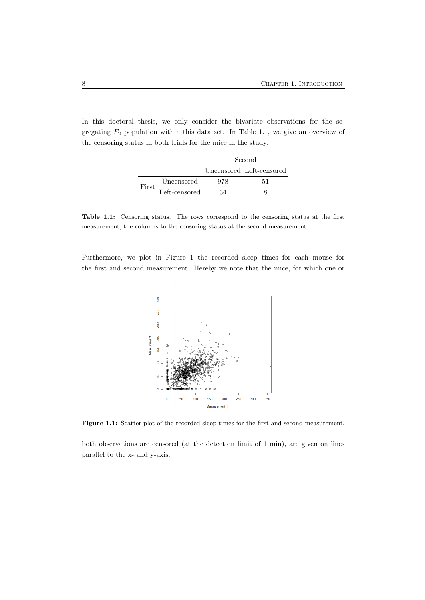In this doctoral thesis, we only consider the bivariate observations for the segregating  $F_2$  population within this data set. In Table 1.1, we give an overview of the censoring status in both trials for the mice in the study.

|       |               | Second |                          |
|-------|---------------|--------|--------------------------|
|       |               |        | Uncensored Left-censored |
|       | Uncensored    | 978    |                          |
| First | Left-censored |        |                          |

Table 1.1: Censoring status. The rows correspond to the censoring status at the first measurement, the columns to the censoring status at the second measurement.

Furthermore, we plot in Figure 1 the recorded sleep times for each mouse for the first and second measurement. Hereby we note that the mice, for which one or



Figure 1.1: Scatter plot of the recorded sleep times for the first and second measurement.

both observations are censored (at the detection limit of 1 min), are given on lines parallel to the x- and y-axis.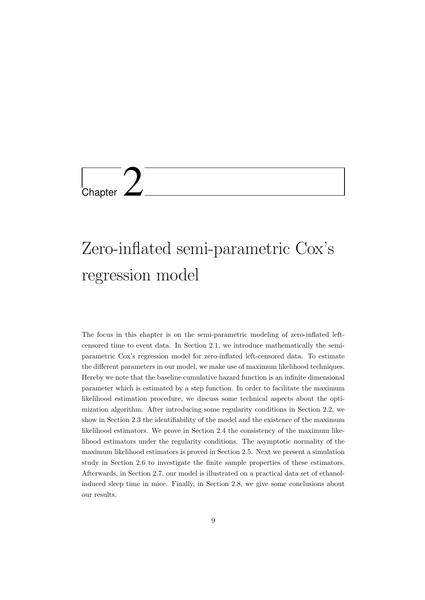

# Zero-inflated semi-parametric Cox's regression model

The focus in this chapter is on the semi-parametric modeling of zero-inflated leftcensored time to event data. In Section 2.1, we introduce mathematically the semiparametric Cox's regression model for zero-inflated left-censored data. To estimate the different parameters in our model, we make use of maximum likelihood techniques. Hereby we note that the baseline cumulative hazard function is an infinite dimensional parameter which is estimated by a step function. In order to facilitate the maximum likelihood estimation procedure, we discuss some technical aspects about the optimization algorithm. After introducing some regularity conditions in Section 2.2, we show in Section 2.3 the identifiability of the model and the existence of the maximum likelihood estimators. We prove in Section 2.4 the consistency of the maximum likelihood estimators under the regularity conditions. The asymptotic normality of the maximum likelihood estimators is proved in Section 2.5. Next we present a simulation study in Section 2.6 to investigate the finite sample properties of these estimators. Afterwards, in Section 2.7, our model is illustrated on a practical data set of ethanolinduced sleep time in mice. Finally, in Section 2.8, we give some conclusions about our results.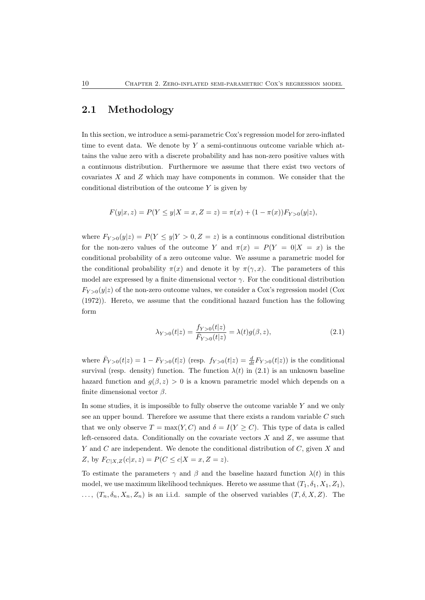### 2.1 Methodology

In this section, we introduce a semi-parametric Cox's regression model for zero-inflated time to event data. We denote by  $Y$  a semi-continuous outcome variable which attains the value zero with a discrete probability and has non-zero positive values with a continuous distribution. Furthermore we assume that there exist two vectors of covariates  $X$  and  $Z$  which may have components in common. We consider that the conditional distribution of the outcome  $Y$  is given by

$$
F(y|x, z) = P(Y \le y | X = x, Z = z) = \pi(x) + (1 - \pi(x))F_{Y>0}(y|z),
$$

where  $F_{Y>0}(y|z) = P(Y \le y|Y > 0, Z = z)$  is a continuous conditional distribution for the non-zero values of the outcome Y and  $\pi(x) = P(Y = 0|X = x)$  is the conditional probability of a zero outcome value. We assume a parametric model for the conditional probability  $\pi(x)$  and denote it by  $\pi(\gamma, x)$ . The parameters of this model are expressed by a finite dimensional vector  $\gamma$ . For the conditional distribution  $F_{Y>0}(y|z)$  of the non-zero outcome values, we consider a Cox's regression model (Cox (1972)). Hereto, we assume that the conditional hazard function has the following form

$$
\lambda_{Y>0}(t|z) = \frac{f_{Y>0}(t|z)}{\bar{F}_{Y>0}(t|z)} = \lambda(t)g(\beta, z),
$$
\n(2.1)

where  $\bar{F}_{Y>0}(t|z) = 1 - F_{Y>0}(t|z)$  (resp.  $f_{Y>0}(t|z) = \frac{d}{dt}F_{Y>0}(t|z)$ ) is the conditional survival (resp. density) function. The function  $\lambda(t)$  in (2.1) is an unknown baseline hazard function and  $q(\beta, z) > 0$  is a known parametric model which depends on a finite dimensional vector  $\beta$ .

In some studies, it is impossible to fully observe the outcome variable  $Y$  and we only see an upper bound. Therefore we assume that there exists a random variable  $C$  such that we only observe  $T = \max(Y, C)$  and  $\delta = I(Y \ge C)$ . This type of data is called left-censored data. Conditionally on the covariate vectors  $X$  and  $Z$ , we assume that Y and C are independent. We denote the conditional distribution of  $C$ , given  $X$  and Z, by  $F_{C|X,Z}(c|x,z) = P(C \le c | X = x, Z = z).$ 

To estimate the parameters  $\gamma$  and  $\beta$  and the baseline hazard function  $\lambda(t)$  in this model, we use maximum likelihood techniques. Hereto we assume that  $(T_1, \delta_1, X_1, Z_1)$ ,  $\ldots, (T_n, \delta_n, X_n, Z_n)$  is an i.i.d. sample of the observed variables  $(T, \delta, X, Z)$ . The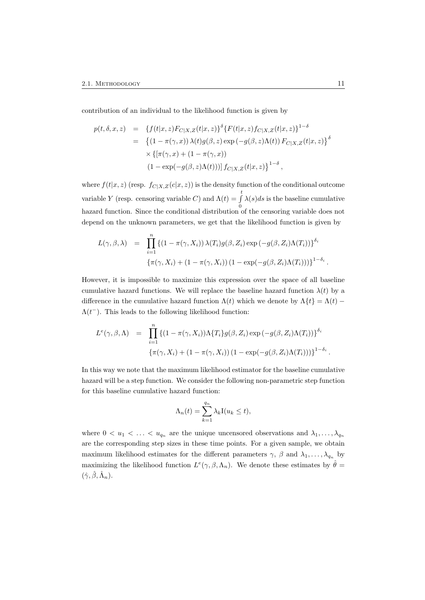contribution of an individual to the likelihood function is given by

$$
p(t, \delta, x, z) = \{ f(t|x, z) F_{C|X, Z}(t|x, z) \}^{\delta} \{ F(t|x, z) f_{C|X, Z}(t|x, z) \}^{1 - \delta}
$$
  
\n
$$
= \{ (1 - \pi(\gamma, x)) \lambda(t) g(\beta, z) \exp(-g(\beta, z) \Lambda(t)) F_{C|X, Z}(t|x, z) \}^{\delta}
$$
  
\n
$$
\times \{ [\pi(\gamma, x) + (1 - \pi(\gamma, x))
$$
  
\n
$$
(1 - \exp(-g(\beta, z) \Lambda(t))) \} f_{C|X, Z}(t|x, z) \}^{1 - \delta},
$$

where  $f(t|x, z)$  (resp.  $f_{C|X,Z}(c|x, z)$ ) is the density function of the conditional outcome variable Y (resp. censoring variable C) and  $\Lambda(t) = \int_{0}^{t}$ 0  $\lambda(s)ds$  is the baseline cumulative hazard function. Since the conditional distribution of the censoring variable does not depend on the unknown parameters, we get that the likelihood function is given by

$$
L(\gamma, \beta, \lambda) = \prod_{i=1}^{n} \left\{ (1 - \pi(\gamma, X_i)) \lambda(T_i) g(\beta, Z_i) \exp(-g(\beta, Z_i) \Lambda(T_i)) \right\}^{\delta_i}
$$
  

$$
\left\{ \pi(\gamma, X_i) + (1 - \pi(\gamma, X_i)) (1 - \exp(-g(\beta, Z_i) \Lambda(T_i))) \right\}^{1 - \delta_i}.
$$

However, it is impossible to maximize this expression over the space of all baseline cumulative hazard functions. We will replace the baseline hazard function  $\lambda(t)$  by a difference in the cumulative hazard function  $\Lambda(t)$  which we denote by  $\Lambda\{t\} = \Lambda(t)$  $\Lambda(t^{-})$ . This leads to the following likelihood function:

$$
L^e(\gamma, \beta, \Lambda) = \prod_{i=1}^n \left\{ (1 - \pi(\gamma, X_i)) \Lambda \{T_i\} g(\beta, Z_i) \exp(-g(\beta, Z_i) \Lambda(T_i)) \right\}^{\delta_i}
$$
  

$$
\left\{ \pi(\gamma, X_i) + (1 - \pi(\gamma, X_i)) (1 - \exp(-g(\beta, Z_i) \Lambda(T_i))) \right\}^{1 - \delta_i}.
$$

In this way we note that the maximum likelihood estimator for the baseline cumulative hazard will be a step function. We consider the following non-parametric step function for this baseline cumulative hazard function:

$$
\Lambda_n(t) = \sum_{k=1}^{q_n} \lambda_k \mathbf{I}(u_k \le t),
$$

where  $0 < u_1 < \ldots < u_{q_n}$  are the unique uncensored observations and  $\lambda_1, \ldots, \lambda_{q_n}$ are the corresponding step sizes in these time points. For a given sample, we obtain maximum likelihood estimates for the different parameters  $\gamma$ ,  $\beta$  and  $\lambda_1, \ldots, \lambda_{q_n}$  by maximizing the likelihood function  $L^e(\gamma, \beta, \Lambda_n)$ . We denote these estimates by  $\hat{\theta} =$  $(\hat{\gamma}, \hat{\beta}, \hat{\Lambda}_n).$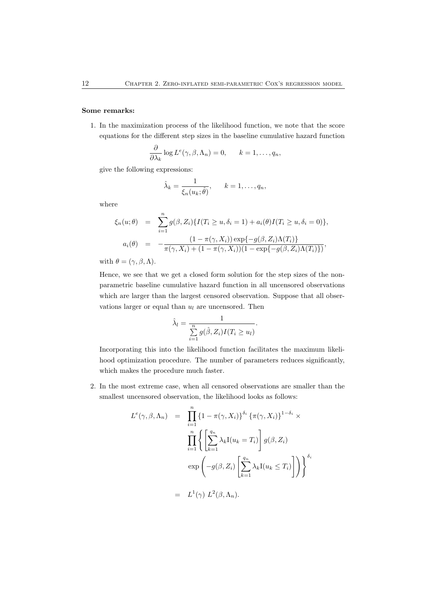#### Some remarks:

1. In the maximization process of the likelihood function, we note that the score equations for the different step sizes in the baseline cumulative hazard function

$$
\frac{\partial}{\partial \lambda_k} \log L^e(\gamma, \beta, \Lambda_n) = 0, \qquad k = 1, \dots, q_n,
$$

give the following expressions:

$$
\hat{\lambda}_k = \frac{1}{\xi_n(u_k; \hat{\theta})}, \qquad k = 1, \dots, q_n,
$$

where

$$
\xi_n(u;\theta) = \sum_{i=1}^n g(\beta, Z_i) \{ I(T_i \ge u, \delta_i = 1) + a_i(\theta) I(T_i \ge u, \delta_i = 0) \},
$$
  

$$
a_i(\theta) = -\frac{(1 - \pi(\gamma, X_i)) \exp\{-g(\beta, Z_i)\Lambda(T_i)\}}{\pi(\gamma, X_i) + (1 - \pi(\gamma, X_i))(1 - \exp\{-g(\beta, Z_i)\Lambda(T_i)\})},
$$

with  $\theta = (\gamma, \beta, \Lambda)$ .

Hence, we see that we get a closed form solution for the step sizes of the nonparametric baseline cumulative hazard function in all uncensored observations which are larger than the largest censored observation. Suppose that all observations larger or equal than  $u_l$  are uncensored. Then

$$
\hat{\lambda}_l = \frac{1}{\sum\limits_{i=1}^n g(\hat{\beta}, Z_i)I(T_i \ge u_l)}.
$$

Incorporating this into the likelihood function facilitates the maximum likelihood optimization procedure. The number of parameters reduces significantly, which makes the procedure much faster.

2. In the most extreme case, when all censored observations are smaller than the smallest uncensored observation, the likelihood looks as follows:

$$
L^{e}(\gamma, \beta, \Lambda_{n}) = \prod_{i=1}^{n} \{1 - \pi(\gamma, X_{i})\}^{\delta_{i}} \{\pi(\gamma, X_{i})\}^{1 - \delta_{i}} \times \prod_{i=1}^{n} \left\{ \left[\sum_{k=1}^{q_{n}} \lambda_{k} I(u_{k} = T_{i}) \right] g(\beta, Z_{i}) \right\}^{\delta_{i}}
$$

$$
\exp\left(-g(\beta, Z_{i}) \left[\sum_{k=1}^{q_{n}} \lambda_{k} I(u_{k} \leq T_{i}) \right] \right) \right\}^{\delta_{i}}
$$

$$
= L^{1}(\gamma) L^{2}(\beta, \Lambda_{n}).
$$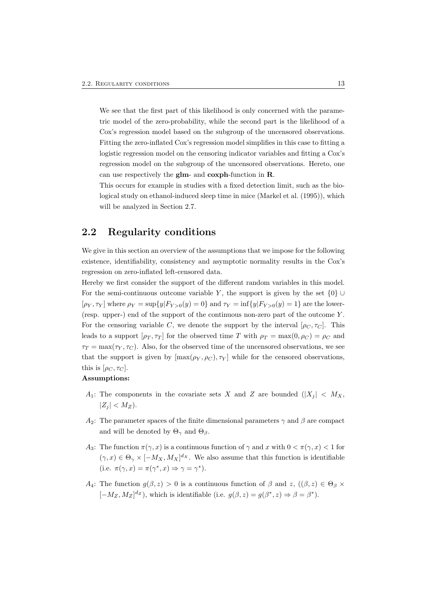We see that the first part of this likelihood is only concerned with the parametric model of the zero-probability, while the second part is the likelihood of a Cox's regression model based on the subgroup of the uncensored observations. Fitting the zero-inflated Cox's regression model simplifies in this case to fitting a logistic regression model on the censoring indicator variables and fitting a Cox's regression model on the subgroup of the uncensored observations. Hereto, one can use respectively the glm- and coxph-function in R.

This occurs for example in studies with a fixed detection limit, such as the biological study on ethanol-induced sleep time in mice (Markel et al. (1995)), which will be analyzed in Section 2.7.

### 2.2 Regularity conditions

We give in this section an overview of the assumptions that we impose for the following existence, identifiability, consistency and asymptotic normality results in the Cox's regression on zero-inflated left-censored data.

Hereby we first consider the support of the different random variables in this model. For the semi-continuous outcome variable Y, the support is given by the set  $\{0\} \cup$  $[\rho_Y, \tau_Y]$  where  $\rho_Y = \sup\{y|F_{Y>0}(y) = 0\}$  and  $\tau_Y = \inf\{y|F_{Y>0}(y) = 1\}$  are the lower-(resp. upper-) end of the support of the continuous non-zero part of the outcome Y . For the censoring variable C, we denote the support by the interval  $[\rho_C, \tau_C]$ . This leads to a support  $[\rho_T, \tau_T]$  for the observed time T with  $\rho_T = \max(0, \rho_C) = \rho_C$  and  $\tau_T = \max(\tau_Y, \tau_C)$ . Also, for the observed time of the uncensored observations, we see that the support is given by  $[\max(\rho_Y, \rho_C), \tau_Y]$  while for the censored observations, this is  $[\rho_C, \tau_C]$ .

#### Assumptions:

- $A_1$ : The components in the covariate sets X and Z are bounded  $(|X_j| < M_X$ ,  $|Z_i| < M_Z$ ).
- A<sub>2</sub>: The parameter spaces of the finite dimensional parameters  $\gamma$  and  $\beta$  are compact and will be denoted by  $\Theta_{\gamma}$  and  $\Theta_{\beta}$ .
- A<sub>3</sub>: The function  $\pi(\gamma, x)$  is a continuous function of  $\gamma$  and x with  $0 < \pi(\gamma, x) < 1$  for  $(\gamma, x) \in \Theta_{\gamma} \times [-M_X, M_X]^{d_X}$ . We also assume that this function is identifiable (i.e.  $\pi(\gamma, x) = \pi(\gamma^*, x) \Rightarrow \gamma = \gamma^*$ ).
- A<sub>4</sub>: The function  $g(\beta, z) > 0$  is a continuous function of  $\beta$  and  $z$ ,  $((\beta, z) \in \Theta_{\beta} \times$  $[-M_Z, M_Z]^{dz}$ , which is identifiable (i.e.  $g(\beta, z) = g(\beta^*, z) \Rightarrow \beta = \beta^*$ ).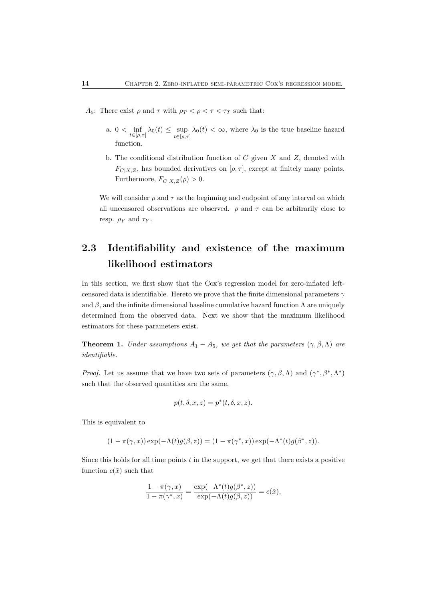- A<sub>5</sub>: There exist  $\rho$  and  $\tau$  with  $\rho_T < \rho < \tau < \tau_T$  such that:
	- a.  $0 < \inf_{t \in [\rho, \tau]} \lambda_0(t) \leq \sup_{t \in [\rho, \tau]} \lambda_0(t) < \infty$ , where  $\lambda_0$  is the true baseline hazard function.
	- b. The conditional distribution function of  $C$  given  $X$  and  $Z$ , denoted with  $F_{C|X,Z}$ , has bounded derivatives on  $[\rho, \tau]$ , except at finitely many points. Furthermore,  $F_{C|X,Z}(\rho) > 0$ .

We will consider  $\rho$  and  $\tau$  as the beginning and endpoint of any interval on which all uncensored observations are observed.  $\rho$  and  $\tau$  can be arbitrarily close to resp.  $\rho_Y$  and  $\tau_Y$ .

## 2.3 Identifiability and existence of the maximum likelihood estimators

In this section, we first show that the Cox's regression model for zero-inflated leftcensored data is identifiable. Hereto we prove that the finite dimensional parameters  $\gamma$ and  $\beta$ , and the infinite dimensional baseline cumulative hazard function  $\Lambda$  are uniquely determined from the observed data. Next we show that the maximum likelihood estimators for these parameters exist.

**Theorem 1.** Under assumptions  $A_1 - A_5$ , we get that the parameters  $(\gamma, \beta, \Lambda)$  are identifiable.

*Proof.* Let us assume that we have two sets of parameters  $(\gamma, \beta, \Lambda)$  and  $(\gamma^*, \beta^*, \Lambda^*)$ such that the observed quantities are the same,

$$
p(t, \delta, x, z) = p^*(t, \delta, x, z).
$$

This is equivalent to

$$
(1 - \pi(\gamma, x)) \exp(-\Lambda(t)g(\beta, z)) = (1 - \pi(\gamma^*, x)) \exp(-\Lambda^*(t)g(\beta^*, z)).
$$

Since this holds for all time points  $t$  in the support, we get that there exists a positive function  $c(\tilde{x})$  such that

$$
\frac{1 - \pi(\gamma, x)}{1 - \pi(\gamma^*, x)} = \frac{\exp(-\Lambda^*(t)g(\beta^*, z))}{\exp(-\Lambda(t)g(\beta, z))} = c(\tilde{x}),
$$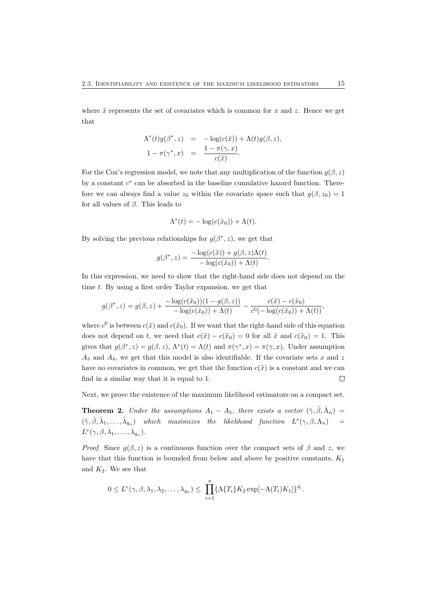where  $\tilde{x}$  represents the set of covariates which is common for x and z. Hence we get that

$$
\begin{array}{rcl}\n\Lambda^*(t)g(\beta^*,z) &=& -\log(c(\tilde{x}))+\Lambda(t)g(\beta,z), \\
1-\pi(\gamma^*,x) &=& \frac{1-\pi(\gamma,x)}{c(\tilde{x})}.\n\end{array}
$$

For the Cox's regression model, we note that any multiplication of the function  $g(\beta, z)$ by a constant  $c^*$  can be absorbed in the baseline cumulative hazard function. Therefore we can always find a value  $z_0$  within the covariate space such that  $g(\beta, z_0) = 1$ for all values of  $\beta$ . This leads to

$$
\Lambda^*(t) = -\log(c(\tilde{x}_0)) + \Lambda(t).
$$

By solving the previous relationships for  $g(\beta^*, z)$ , we get that

$$
g(\beta^*, z) = \frac{-\log(c(\tilde{x})) + g(\beta, z)\Lambda(t)}{-\log(c(\tilde{x}_0)) + \Lambda(t)}.
$$

In this expression, we need to show that the right-hand side does not depend on the time  $t$ . By using a first order Taylor expansion, we get that

$$
g(\beta^*, z) = g(\beta, z) + \frac{-\log(c(\tilde{x}_0))(1 - g(\beta, z))}{-\log(c(\tilde{x}_0)) + \Lambda(t)} - \frac{c(\tilde{x}) - c(\tilde{x}_0)}{c^0(-\log(c(\tilde{x}_0)) + \Lambda(t))},
$$

where  $c^0$  is between  $c(\tilde{x})$  and  $c(\tilde{x}_0)$ . If we want that the right-hand side of this equation does not depend on t, we need that  $c(\tilde{x}) - c(\tilde{x}_0) = 0$  for all  $\tilde{x}$  and  $c(\tilde{x}_0) = 1$ . This gives that  $g(\beta^*, z) = g(\beta, z)$ ,  $\Lambda^*(t) = \Lambda(t)$  and  $\pi(\gamma^*, x) = \pi(\gamma, x)$ . Under assumption  $A_3$  and  $A_4$ , we get that this model is also identifiable. If the covariate sets x and z have no covariates in common, we get that the function  $c(\tilde{x})$  is a constant and we can find in a similar way that it is equal to 1.  $\Box$ 

Next, we prove the existence of the maximum likelihood estimators on a compact set.

**Theorem 2.** Under the assumptions  $A_1 - A_5$ , there exists a vector  $(\hat{\gamma}, \hat{\beta}, \hat{\Lambda}_n)$  $(\hat{\gamma}, \hat{\beta}, \hat{\lambda}_1, \dots, \hat{\lambda}_{q_n})$  which maximizes the likelihood function  $L^e(\gamma, \beta, \Lambda_n)$  =  $L^e(\gamma,\beta,\lambda_1,\ldots,\lambda_{q_n}).$ 

*Proof.* Since  $q(\beta, z)$  is a continuous function over the compact sets of  $\beta$  and z, we have that this function is bounded from below and above by positive constants,  $K_1$ and  $K_2$ . We see that

$$
0 \leq L^e(\gamma, \beta, \lambda_1, \lambda_2, \dots, \lambda_{q_n}) \leq \prod_{i=1}^n {\{\Lambda\{T_i\}K_2 \exp[-\Lambda(T_i)K_1]\}}^{\delta_i}.
$$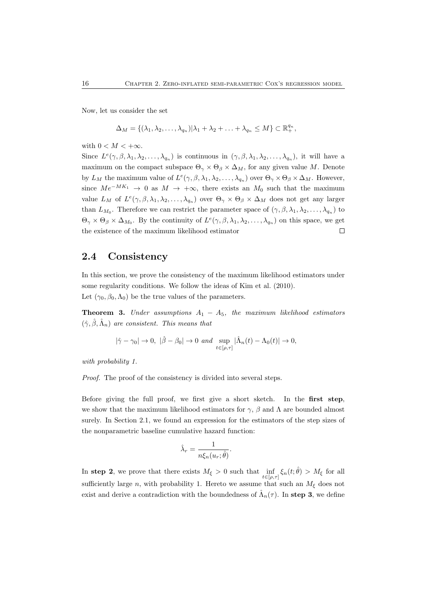Now, let us consider the set

$$
\Delta_M = \{(\lambda_1, \lambda_2, \dots, \lambda_{q_n}) | \lambda_1 + \lambda_2 + \dots + \lambda_{q_n} \leq M\} \subset \mathbb{R}_+^{q_n},
$$

with  $0 < M < +\infty$ .

Since  $L^e(\gamma,\beta,\lambda_1,\lambda_2,\ldots,\lambda_{q_n})$  is continuous in  $(\gamma,\beta,\lambda_1,\lambda_2,\ldots,\lambda_{q_n})$ , it will have a maximum on the compact subspace  $\Theta_{\gamma} \times \Theta_{\beta} \times \Delta_M$ , for any given value M. Denote by  $L_M$  the maximum value of  $L^e(\gamma, \beta, \lambda_1, \lambda_2, \ldots, \lambda_{q_n})$  over  $\Theta_\gamma \times \Theta_\beta \times \Delta_M$ . However, since  $Me^{-MK_1} \to 0$  as  $M \to +\infty$ , there exists an  $M_0$  such that the maximum value  $L_M$  of  $L^e(\gamma,\beta,\lambda_1,\lambda_2,\ldots,\lambda_{q_n})$  over  $\Theta_\gamma \times \Theta_\beta \times \Delta_M$  does not get any larger than  $L_{M_0}$ . Therefore we can restrict the parameter space of  $(\gamma, \beta, \lambda_1, \lambda_2, \ldots, \lambda_{q_n})$  to  $\Theta_{\gamma} \times \Theta_{\beta} \times \Delta_{M_0}$ . By the continuity of  $L^e(\gamma, \beta, \lambda_1, \lambda_2, \ldots, \lambda_{q_n})$  on this space, we get the existence of the maximum likelihood estimator  $\Box$ 

### 2.4 Consistency

In this section, we prove the consistency of the maximum likelihood estimators under some regularity conditions. We follow the ideas of Kim et al. (2010). Let  $(\gamma_0, \beta_0, \Lambda_0)$  be the true values of the parameters.

**Theorem 3.** Under assumptions  $A_1 - A_5$ , the maximum likelihood estimators  $(\hat{\gamma}, \hat{\beta}, \hat{\Lambda}_n)$  are consistent. This means that

$$
|\hat{\gamma}-\gamma_0|\to 0, \ |\hat{\beta}-\beta_0|\to 0 \ and \ \sup_{t\in[\rho,\tau]}|\hat{\Lambda}_n(t)-\Lambda_0(t)|\to 0,
$$

with probability 1.

Proof. The proof of the consistency is divided into several steps.

Before giving the full proof, we first give a short sketch. In the first step, we show that the maximum likelihood estimators for  $\gamma$ ,  $\beta$  and  $\Lambda$  are bounded almost surely. In Section 2.1, we found an expression for the estimators of the step sizes of the nonparametric baseline cumulative hazard function:

$$
\hat{\lambda}_r = \frac{1}{n\xi_n(u_r;\hat{\theta})}.
$$

In step 2, we prove that there exists  $M_{\xi} > 0$  such that  $\inf_{t \in [\rho,\tau]} \xi_n(t;\hat{\theta}) > M_{\xi}$  for all sufficiently large n, with probability 1. Hereto we assume that such an  $M_{\xi}$  does not exist and derive a contradiction with the boundedness of  $\hat{\Lambda}_n(\tau)$ . In step 3, we define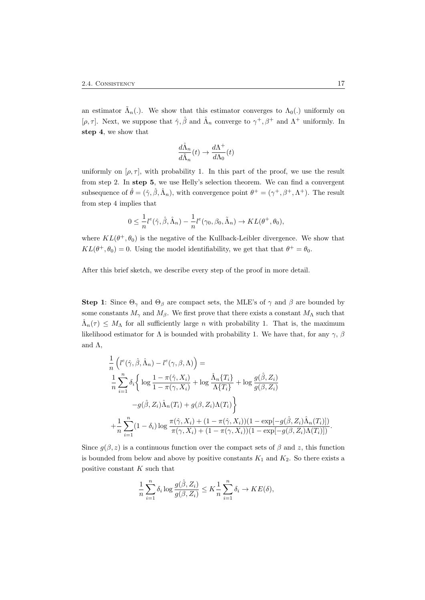an estimator  $\tilde{\Lambda}_n(.)$ . We show that this estimator converges to  $\Lambda_0(.)$  uniformly on [ $\rho$ ,  $\tau$ ]. Next, we suppose that  $\hat{\gamma}, \hat{\beta}$  and  $\hat{\Lambda}_n$  converge to  $\gamma^+, \beta^+$  and  $\Lambda^+$  uniformly. In step 4, we show that

$$
\frac{d\hat{\Lambda}_n}{d\tilde{\Lambda}_n}(t)\to \frac{d\Lambda^+}{d\Lambda_0}(t)
$$

uniformly on  $[\rho, \tau]$ , with probability 1. In this part of the proof, we use the result from step 2. In step 5, we use Helly's selection theorem. We can find a convergent subsequence of  $\hat{\theta} = (\hat{\gamma}, \hat{\beta}, \hat{\Lambda}_n)$ , with convergence point  $\theta^+ = (\gamma^+, \beta^+, \Lambda^+)$ . The result from step 4 implies that

$$
0 \leq \frac{1}{n}l^e(\hat{\gamma}, \hat{\beta}, \hat{\Lambda}_n) - \frac{1}{n}l^e(\gamma_0, \beta_0, \tilde{\Lambda}_n) \to KL(\theta^+, \theta_0),
$$

where  $KL(\theta^+, \theta_0)$  is the negative of the Kullback-Leibler divergence. We show that  $KL(\theta^+, \theta_0) = 0$ . Using the model identifiability, we get that that  $\theta^+ = \theta_0$ .

After this brief sketch, we describe every step of the proof in more detail.

Step 1: Since  $\Theta_{\gamma}$  and  $\Theta_{\beta}$  are compact sets, the MLE's of  $\gamma$  and  $\beta$  are bounded by some constants  $M_{\gamma}$  and  $M_{\beta}$ . We first prove that there exists a constant  $M_{\Lambda}$  such that  $\hat{\Lambda}_n(\tau) \leq M_\Lambda$  for all sufficiently large n with probability 1. That is, the maximum likelihood estimator for  $\Lambda$  is bounded with probability 1. We have that, for any  $\gamma$ ,  $\beta$ and  $\Lambda$ ,

$$
\frac{1}{n} \left( l^e(\hat{\gamma}, \hat{\beta}, \hat{\Lambda}_n) - l^e(\gamma, \beta, \Lambda) \right) =
$$
\n
$$
\frac{1}{n} \sum_{i=1}^n \delta_i \left\{ \log \frac{1 - \pi(\hat{\gamma}, X_i)}{1 - \pi(\gamma, X_i)} + \log \frac{\hat{\Lambda}_n \{T_i\}}{\Lambda \{T_i\}} + \log \frac{g(\hat{\beta}, Z_i)}{g(\beta, Z_i)}
$$
\n
$$
-g(\hat{\beta}, Z_i) \hat{\Lambda}_n(T_i) + g(\beta, Z_i) \Lambda(T_i) \right\}
$$
\n
$$
+ \frac{1}{n} \sum_{i=1}^n (1 - \delta_i) \log \frac{\pi(\hat{\gamma}, X_i) + (1 - \pi(\hat{\gamma}, X_i))(1 - \exp[-g(\hat{\beta}, Z_i) \hat{\Lambda}_n(T_i)])}{\pi(\gamma, X_i) + (1 - \pi(\gamma, X_i))(1 - \exp[-g(\beta, Z_i) \Lambda(T_i)])}.
$$

Since  $g(\beta, z)$  is a continuous function over the compact sets of  $\beta$  and z, this function is bounded from below and above by positive constants  $K_1$  and  $K_2$ . So there exists a positive constant  $K$  such that

$$
\frac{1}{n}\sum_{i=1}^n \delta_i \log \frac{g(\hat{\beta}, Z_i)}{g(\beta, Z_i)} \leq K \frac{1}{n}\sum_{i=1}^n \delta_i \to KE(\delta),
$$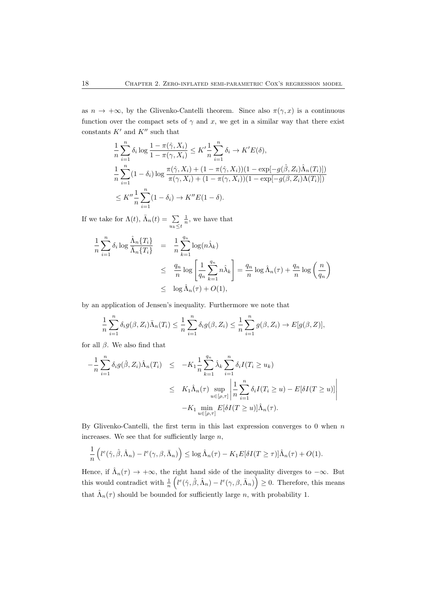as  $n \to +\infty$ , by the Glivenko-Cantelli theorem. Since also  $\pi(\gamma, x)$  is a continuous function over the compact sets of  $\gamma$  and x, we get in a similar way that there exist constants  $K'$  and  $K''$  such that

$$
\frac{1}{n} \sum_{i=1}^{n} \delta_i \log \frac{1 - \pi(\hat{\gamma}, X_i)}{1 - \pi(\gamma, X_i)} \leq K' \frac{1}{n} \sum_{i=1}^{n} \delta_i \to K'E(\delta),
$$
\n
$$
\frac{1}{n} \sum_{i=1}^{n} (1 - \delta_i) \log \frac{\pi(\hat{\gamma}, X_i) + (1 - \pi(\hat{\gamma}, X_i))(1 - \exp[-g(\hat{\beta}, Z_i)\hat{\Lambda}_n(T_i)])}{\pi(\gamma, X_i) + (1 - \pi(\gamma, X_i))(1 - \exp[-g(\beta, Z_i)\Lambda(T_i)])}
$$
\n
$$
\leq K'' \frac{1}{n} \sum_{i=1}^{n} (1 - \delta_i) \to K''E(1 - \delta).
$$

If we take for  $\Lambda(t)$ ,  $\bar{\Lambda}_n(t) = \sum$  $u_k \leq t$  $\frac{1}{n}$ , we have that

$$
\frac{1}{n} \sum_{i=1}^{n} \delta_i \log \frac{\hat{\Lambda}_n \{T_i\}}{\bar{\Lambda}_n \{T_i\}} = \frac{1}{n} \sum_{k=1}^{q_n} \log(n \hat{\lambda}_k)
$$
\n
$$
\leq \frac{q_n}{n} \log \left[ \frac{1}{q_n} \sum_{k=1}^{q_n} n \hat{\lambda}_k \right] = \frac{q_n}{n} \log \hat{\Lambda}_n(\tau) + \frac{q_n}{n} \log \left( \frac{n}{q_n} \right)
$$
\n
$$
\leq \log \hat{\Lambda}_n(\tau) + O(1),
$$

by an application of Jensen's inequality. Furthermore we note that

$$
\frac{1}{n}\sum_{i=1}^n \delta_i g(\beta, Z_i) \overline{\Lambda}_n(T_i) \leq \frac{1}{n}\sum_{i=1}^n \delta_i g(\beta, Z_i) \leq \frac{1}{n}\sum_{i=1}^n g(\beta, Z_i) \to E[g(\beta, Z)],
$$

for all  $\beta$ . We also find that

$$
-\frac{1}{n}\sum_{i=1}^{n}\delta_{i}g(\hat{\beta},Z_{i})\hat{\Lambda}_{n}(T_{i}) \leq -K_{1}\frac{1}{n}\sum_{k=1}^{q_{n}}\hat{\lambda}_{k}\sum_{i=1}^{n}\delta_{i}I(T_{i}\geq u_{k})
$$
  

$$
\leq K_{1}\hat{\Lambda}_{n}(\tau)\sup_{u\in[\rho,\tau]}\left|\frac{1}{n}\sum_{i=1}^{n}\delta_{i}I(T_{i}\geq u)-E[\delta I(T\geq u)]\right|
$$
  

$$
-K_{1}\min_{u\in[\rho,\tau]}E[\delta I(T\geq u)]\hat{\Lambda}_{n}(\tau).
$$

By Glivenko-Cantelli, the first term in this last expression converges to  $0$  when  $n$ increases. We see that for sufficiently large  $n$ ,

$$
\frac{1}{n}\left(l^e(\hat{\gamma},\hat{\beta},\hat{\Lambda}_n)-l^e(\gamma,\beta,\bar{\Lambda}_n)\right)\leq \log \hat{\Lambda}_n(\tau)-K_1E[\delta I(T\geq \tau)]\hat{\Lambda}_n(\tau)+O(1).
$$

Hence, if  $\hat{\Lambda}_n(\tau) \to +\infty$ , the right hand side of the inequality diverges to  $-\infty$ . But this would contradict with  $\frac{1}{n} \left( l^e(\hat{\gamma}, \hat{\beta}, \hat{\Lambda}_n) - l^e(\gamma, \beta, \bar{\Lambda}_n) \right) \geq 0$ . Therefore, this means that  $\hat{\Lambda}_n(\tau)$  should be bounded for sufficiently large n, with probability 1.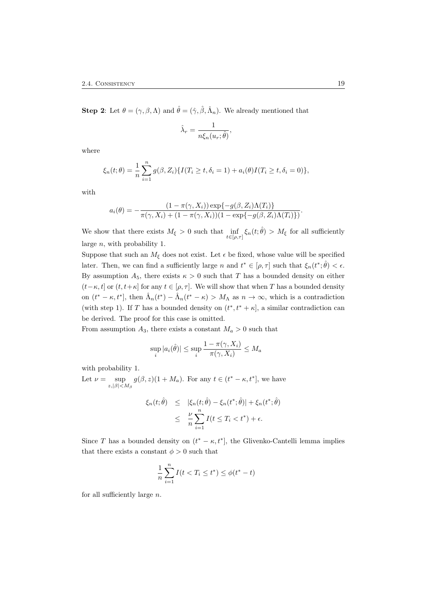**Step 2:** Let  $\theta = (\gamma, \beta, \Lambda)$  and  $\hat{\theta} = (\hat{\gamma}, \hat{\beta}, \hat{\Lambda}_n)$ . We already mentioned that

$$
\hat{\lambda}_r = \frac{1}{n\xi_n(u_r;\hat{\theta})},
$$

where

$$
\xi_n(t; \theta) = \frac{1}{n} \sum_{i=1}^n g(\beta, Z_i) \{ I(T_i \ge t, \delta_i = 1) + a_i(\theta) I(T_i \ge t, \delta_i = 0) \},
$$

with

$$
a_i(\theta) = -\frac{(1 - \pi(\gamma, X_i)) \exp\{-g(\beta, Z_i)\Lambda(T_i)\}}{\pi(\gamma, X_i) + (1 - \pi(\gamma, X_i))(1 - \exp\{-g(\beta, Z_i)\Lambda(T_i)\})}.
$$

We show that there exists  $M_{\xi} > 0$  such that  $\inf_{t \in [\rho,\tau]} \xi_n(t;\hat{\theta}) > M_{\xi}$  for all sufficiently large n, with probability 1.

Suppose that such an  $M_{\xi}$  does not exist. Let  $\epsilon$  be fixed, whose value will be specified later. Then, we can find a sufficiently large n and  $t^* \in [\rho, \tau]$  such that  $\xi_n(t^*; \hat{\theta}) < \epsilon$ . By assumption  $A_5$ , there exists  $\kappa > 0$  such that T has a bounded density on either  $(t-\kappa, t]$  or  $(t, t+\kappa]$  for any  $t \in [\rho, \tau]$ . We will show that when T has a bounded density on  $(t^* - \kappa, t^*]$ , then  $\hat{\Lambda}_n(t^*) - \hat{\Lambda}_n(t^* - \kappa) > M_\Lambda$  as  $n \to \infty$ , which is a contradiction (with step 1). If T has a bounded density on  $(t^*, t^* + \kappa]$ , a similar contradiction can be derived. The proof for this case is omitted.

From assumption  $A_3$ , there exists a constant  $M_a > 0$  such that

$$
\sup_{i} |a_i(\hat{\theta})| \le \sup_{i} \frac{1 - \pi(\gamma, X_i)}{\pi(\gamma, X_i)} \le M_a
$$

with probability 1.

Let  $\nu = \sup$  $\sup_{z,|\beta| < M_{\beta}} g(\beta, z)(1 + M_a)$ . For any  $t \in (t^* - \kappa, t^*]$ , we have

$$
\xi_n(t; \hat{\theta}) \leq |\xi_n(t; \hat{\theta}) - \xi_n(t^*; \hat{\theta})| + \xi_n(t^*; \hat{\theta})
$$
  

$$
\leq \frac{\nu}{n} \sum_{i=1}^n I(t \leq T_i < t^*) + \epsilon.
$$

Since T has a bounded density on  $(t^* - \kappa, t^*]$ , the Glivenko-Cantelli lemma implies that there exists a constant  $\phi > 0$  such that

$$
\frac{1}{n}\sum_{i=1}^{n} I(t < T_i \le t^*) \le \phi(t^* - t)
$$

for all sufficiently large  $n$ .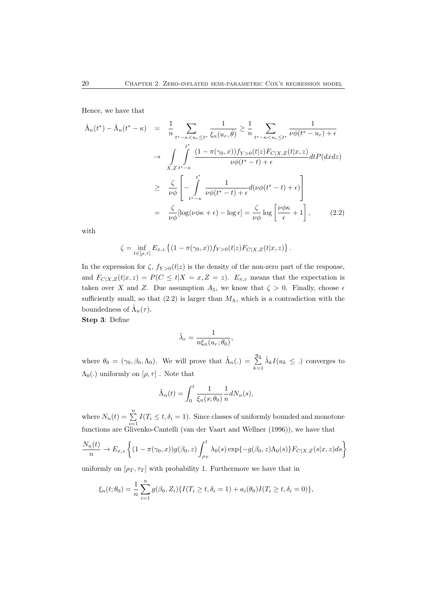Hence, we have that

$$
\hat{\Lambda}_n(t^*) - \hat{\Lambda}_n(t^* - \kappa) = \frac{1}{n} \sum_{t^* - \kappa < u_r \leq t^*} \frac{1}{\xi_n(u_r, \hat{\theta})} \geq \frac{1}{n} \sum_{t^* - \kappa < u_r \leq t^*} \frac{1}{\nu \phi(t^* - u_r) + \epsilon}
$$
\n
$$
\to \int_{X, Z} \int_{t^* - \kappa}^{t^*} \frac{(1 - \pi(\gamma_0, x)) f_{Y>0}(t|z) F_{C|X, Z}(t|x, z)}{\nu \phi(t^* - t) + \epsilon} dt P(dxz)
$$
\n
$$
\geq \frac{\zeta}{\nu \phi} \left[ -\int_{t^* - \kappa}^{t^*} \frac{1}{\nu \phi(t^* - t) + \epsilon} d(\nu \phi(t^* - t) + \epsilon) \right]
$$
\n
$$
= \frac{\zeta}{\nu \phi} [\log(\nu \phi \kappa + \epsilon) - \log \epsilon] = \frac{\zeta}{\nu \phi} \log \left[ \frac{\nu \phi \kappa}{\epsilon} + 1 \right], \qquad (2.2)
$$

with

$$
\zeta = \inf_{t \in [\rho, \tau]} E_{x,z} \left\{ (1 - \pi(\gamma_0, x)) f_{Y>0}(t|z) F_{C|X,Z}(t|x, z) \right\}.
$$

In the expression for  $\zeta$ ,  $f_{Y>0}(t|z)$  is the density of the non-zero part of the response, and  $F_{C|X,Z}(t|x,z) = P(C \le t | X = x, Z = z)$ .  $E_{x,z}$  means that the expectation is taken over X and Z. Due assumption  $A_5$ , we know that  $\zeta > 0$ . Finally, choose  $\epsilon$ sufficiently small, so that (2.2) is larger than  $M_{\Lambda}$ , which is a contradiction with the boundedness of  $\hat{\Lambda}_n(\tau)$ .

Step 3: Define

$$
\tilde{\lambda}_r = \frac{1}{n\xi_n(u_r;\theta_0)},
$$

where  $\theta_0 = (\gamma_0, \beta_0, \Lambda_0)$ . We will prove that  $\tilde{\Lambda}_n(.) = \sum_{k=1}^{q_n}$  $\tilde{\lambda}_k I(u_k \leq .)$  converges to  $\Lambda_0(.)$  uniformly on  $[\rho, \tau]$  . Note that

$$
\tilde{\Lambda}_n(t) = \int_0^t \frac{1}{\xi_n(s; \theta_0)} \frac{1}{n} dN_n(s),
$$

where  $N_n(t) = \sum_{i=1}^n I(T_i \le t, \delta_i = 1)$ . Since classes of uniformly bounded and monotone functions are Glivenko-Cantelli (van der Vaart and Wellner (1996)), we have that

$$
\frac{N_n(t)}{n} \to E_{x,z} \left\{ (1 - \pi(\gamma_0, x)) g(\beta_0, z) \int_{\rho_T}^t \lambda_0(s) \exp\{-g(\beta_0, z)\Lambda_0(s)\} F_{C|X,Z}(s|x, z) ds \right\}
$$

uniformly on  $[\rho_T, \tau_T]$  with probability 1. Furthermore we have that in

$$
\xi_n(t; \theta_0) = \frac{1}{n} \sum_{i=1}^n g(\beta_0, Z_i) \{ I(T_i \ge t, \delta_i = 1) + a_i(\theta_0) I(T_i \ge t, \delta_i = 0) \},
$$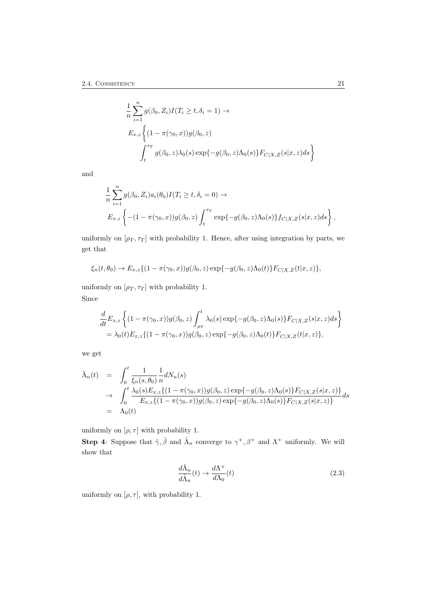$$
\frac{1}{n} \sum_{i=1}^{n} g(\beta_0, Z_i) I(T_i \ge t, \delta_i = 1) \rightarrow
$$
  
\n
$$
E_{x,z} \left\{ (1 - \pi(\gamma_0, x)) g(\beta_0, z) \right\}
$$
  
\n
$$
\int_{t}^{\tau_T} g(\beta_0, z) \lambda_0(s) \exp\{-g(\beta_0, z) \Lambda_0(s)\} F_{C|X, Z}(s | x, z) ds \right\}
$$

and

$$
\frac{1}{n} \sum_{i=1}^{n} g(\beta_0, Z_i) a_i(\theta_0) I(T_i \ge t, \delta_i = 0) \to
$$
  

$$
E_{x,z} \left\{ -(1 - \pi(\gamma_0, x)) g(\beta_0, z) \int_t^{\tau_T} \exp\{-g(\beta_0, z) \Lambda_0(s)\} f_{C|X, Z}(s | x, z) ds \right\},\
$$

uniformly on  $[\rho_T, \tau_T]$  with probability 1. Hence, after using integration by parts, we get that

$$
\xi_n(t,\theta_0) \to E_{x,z}\{(1-\pi(\gamma_0,x))g(\beta_0,z)\exp\{-g(\beta_0,z)\Lambda_0(t)\}F_{C|X,Z}(t|x,z)\},\
$$

uniformly on  $[\rho_T, \tau_T]$  with probability 1. Since

$$
\frac{d}{dt}E_{x,z}\left\{(1-\pi(\gamma_0,x))g(\beta_0,z)\int_{\rho_T}^t \lambda_0(s)\exp\{-g(\beta_0,z)\Lambda_0(s)\}F_{C|X,Z}(s|x,z)ds\right\}
$$
  
=  $\lambda_0(t)E_{x,z}\{(1-\pi(\gamma_0,x))g(\beta_0,z)\exp\{-g(\beta_0,z)\Lambda_0(t)\}F_{C|X,Z}(t|x,z)\},$ 

we get

$$
\tilde{\Lambda}_n(t) = \int_0^t \frac{1}{\xi_n(s,\theta_0)} \frac{1}{n} dN_n(s) \n\to \int_0^t \frac{\lambda_0(s) E_{x,z} \{ (1 - \pi(\gamma_0, x)) g(\beta_0, z) \exp\{-g(\beta_0, z) \Lambda_0(s) \} F_{C|X,Z}(s|x, z) \}}{E_{x,z} \{ (1 - \pi(\gamma_0, x)) g(\beta_0, z) \exp\{-g(\beta_0, z) \Lambda_0(s) \} F_{C|X,Z}(s|x, z) \}} ds \n= \Lambda_0(t)
$$

uniformly on  $[\rho, \tau]$  with probability 1.

**Step 4:** Suppose that  $\hat{\gamma}, \hat{\beta}$  and  $\hat{\Lambda}_n$  converge to  $\gamma^+, \beta^+$  and  $\Lambda^+$  uniformly. We will show that

$$
\frac{d\hat{\Lambda}_n}{d\tilde{\Lambda}_n}(t) \to \frac{d\Lambda^+}{d\Lambda_0}(t)
$$
\n(2.3)

uniformly on  $[\rho, \tau]$ , with probability 1.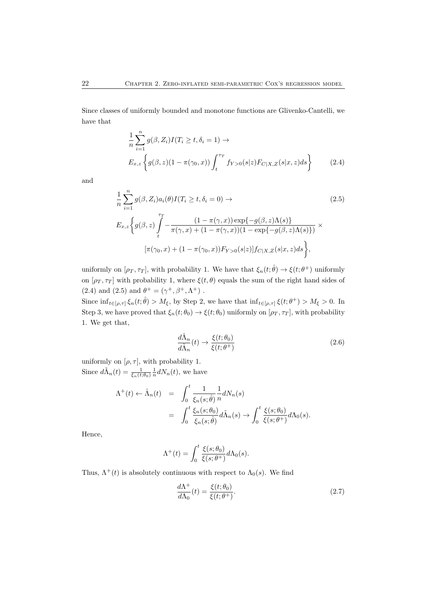Since classes of uniformly bounded and monotone functions are Glivenko-Cantelli, we have that

$$
\frac{1}{n} \sum_{i=1}^{n} g(\beta, Z_i) I(T_i \ge t, \delta_i = 1) \to
$$
  
\n
$$
E_{x,z} \left\{ g(\beta, z) (1 - \pi(\gamma_0, x)) \int_{t}^{\tau_T} f_{Y>0}(s|z) F_{C|X, Z}(s|x, z) ds \right\}
$$
(2.4)

and

$$
\frac{1}{n} \sum_{i=1}^{n} g(\beta, Z_i) a_i(\theta) I(T_i \ge t, \delta_i = 0) \to
$$
\n
$$
E_{x,z} \left\{ g(\beta, z) \int_{t}^{T} - \frac{(1 - \pi(\gamma, x)) \exp\{-g(\beta, z)\Lambda(s)\}}{\pi(\gamma, x) + (1 - \pi(\gamma, x))(1 - \exp\{-g(\beta, z)\Lambda(s)\})} \times \left[ \pi(\gamma_0, x) + (1 - \pi(\gamma_0, x)) F_{Y > 0}(s|z) \right] f_{C|X, Z}(s|x, z) ds \right\},
$$
\n(2.5)

uniformly on  $[\rho_T, \tau_T]$ , with probability 1. We have that  $\xi_n(t; \hat{\theta}) \to \xi(t; \theta^+)$  uniformly on  $[\rho_T, \tau_T]$  with probability 1, where  $\xi(t, \theta)$  equals the sum of the right hand sides of (2.4) and (2.5) and  $\theta^+ = (\gamma^+, \beta^+, \Lambda^+)$ .

Since  $\inf_{t\in[\rho,\tau]}\xi_n(t;\hat{\theta})>M_{\xi}$ , by Step 2, we have that  $\inf_{t\in[\rho,\tau]}\xi(t;\theta^+) > M_{\xi} > 0$ . In Step 3, we have proved that  $\xi_n(t; \theta_0) \to \xi(t; \theta_0)$  uniformly on  $[\rho_T, \tau_T]$ , with probability 1. We get that,

$$
\frac{d\hat{\Lambda}_n}{d\tilde{\Lambda}_n}(t) \to \frac{\xi(t; \theta_0)}{\xi(t; \theta^+)}\tag{2.6}
$$

uniformly on  $[\rho, \tau]$ , with probability 1. Since  $d\tilde{\Lambda}_n(t) = \frac{1}{\xi_n(t;\theta_0)} \frac{1}{n} dN_n(t)$ , we have

$$
\Lambda^{+}(t) \leftarrow \hat{\Lambda}_{n}(t) = \int_{0}^{t} \frac{1}{\xi_{n}(s;\hat{\theta})} \frac{1}{n} dN_{n}(s)
$$
  
= 
$$
\int_{0}^{t} \frac{\xi_{n}(s;\theta_{0})}{\xi_{n}(s;\hat{\theta})} d\tilde{\Lambda}_{n}(s) \rightarrow \int_{0}^{t} \frac{\xi(s;\theta_{0})}{\xi(s;\theta^{+})} d\Lambda_{0}(s).
$$

Hence,

$$
\Lambda^+(t) = \int_0^t \frac{\xi(s; \theta_0)}{\xi(s; \theta^+)} d\Lambda_0(s).
$$

Thus,  $\Lambda^+(t)$  is absolutely continuous with respect to  $\Lambda_0(s)$ . We find

$$
\frac{d\Lambda^{+}}{d\Lambda_{0}}(t) = \frac{\xi(t; \theta_{0})}{\xi(t; \theta^{+})}.
$$
\n(2.7)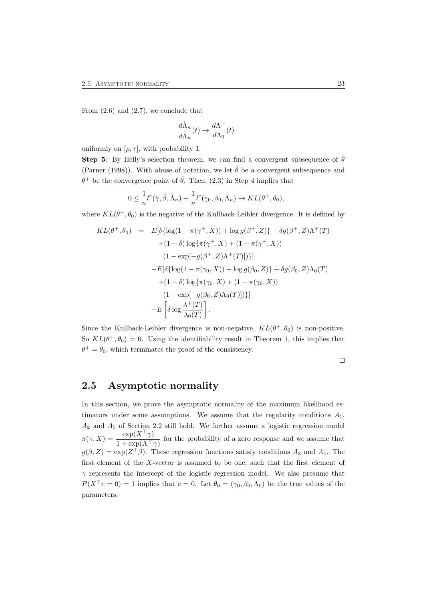From  $(2.6)$  and  $(2.7)$ , we conclude that

$$
\frac{d\hat{\Lambda}_n}{d\tilde{\Lambda}_n}(t) \to \frac{d\Lambda^+}{d\Lambda_0}(t)
$$

uniformly on  $[\rho, \tau]$ , with probability 1.

**Step 5:** By Helly's selection theorem, we can find a convergent subsequence of  $\hat{\theta}$ (Parner (1998)). With abuse of notation, we let  $\hat{\theta}$  be a convergent subsequence and  $\theta^+$  be the convergence point of  $\hat{\theta}$ . Then, (2.3) in Step 4 implies that

$$
0 \leq \frac{1}{n}l^e(\hat{\gamma}, \hat{\beta}, \hat{\Lambda}_n) - \frac{1}{n}l^e(\gamma_0, \beta_0, \tilde{\Lambda}_n) \to KL(\theta^+, \theta_0),
$$

where  $KL(\theta^+, \theta_0)$  is the negative of the Kullback-Leibler divergence. It is defined by

$$
KL(\theta^+, \theta_0) = E[\delta\{\log(1 - \pi(\gamma^+, X)) + \log g(\beta^+, Z)\} - \delta g(\beta^+, Z)\Lambda^+(T) + (1 - \delta) \log\{\pi(\gamma^+, X) + (1 - \pi(\gamma^+, X)) (1 - \exp[-g(\beta^+, Z)\Lambda^+(T)])\}]- E[\delta\{\log(1 - \pi(\gamma_0, X)) + \log g(\beta_0, Z)\} - \delta g(\beta_0, Z)\Lambda_0(T) + (1 - \delta) \log\{\pi(\gamma_0, X) + (1 - \pi(\gamma_0, X)) (1 - \exp[-g(\beta_0, Z)\Lambda_0(T)])\}]+ E\left[\delta \log \frac{\lambda^+(T)}{\lambda_0(T)}\right].
$$

Since the Kullback-Leibler divergence is non-negative,  $KL(\theta^+, \theta_0)$  is non-positive. So  $KL(\theta^+, \theta_0) = 0$ . Using the identifiability result in Theorem 1, this implies that  $\theta^+ = \theta_0$ , which terminates the proof of the consistency.

 $\Box$ 

### 2.5 Asymptotic normality

In this section, we prove the asymptotic normality of the maximum likelihood estimators under some assumptions. We assume that the regularity conditions  $A_1$ ,  $A_2$  and  $A_5$  of Section 2.2 still hold. We further assume a logistic regression model  $\pi(\gamma, X) = \frac{\exp(X^{\top}\gamma)}{1 + \exp(X^{\top}\gamma)}$  for the probability of a zero response and we assume that  $g(\beta, Z) = \exp(Z^{\top}\beta)$ . These regression functions satisfy conditions  $A_3$  and  $A_4$ . The first element of the X-vector is assumed to be one, such that the first element of  $\gamma$  represents the intercept of the logistic regression model. We also presume that  $P(X^{\top}c = 0) = 1$  implies that  $c = 0$ . Let  $\theta_0 = (\gamma_0, \beta_0, \Lambda_0)$  be the true values of the parameters.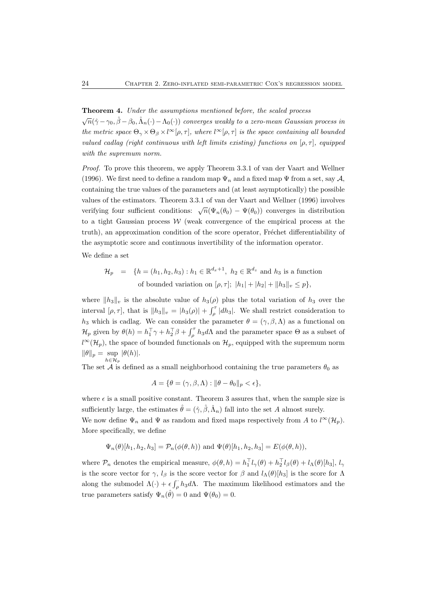#### Theorem 4. Under the assumptions mentioned before, the scaled process

 $\sqrt{n}(\hat{\gamma}-\gamma_0,\hat{\beta}-\beta_0,\hat{\Lambda}_n(\cdot)-\Lambda_0(\cdot))$  converges weakly to a zero-mean Gaussian process in the metric space  $\Theta_{\gamma} \times \Theta_{\beta} \times l^{\infty}[\rho, \tau]$ , where  $l^{\infty}[\rho, \tau]$  is the space containing all bounded valued cadlag (right continuous with left limits existing) functions on  $[\rho, \tau]$ , equipped with the supremum norm.

Proof. To prove this theorem, we apply Theorem 3.3.1 of van der Vaart and Wellner (1996). We first need to define a random map  $\Psi_n$  and a fixed map  $\Psi$  from a set, say A, containing the true values of the parameters and (at least asymptotically) the possible values of the estimators. Theorem 3.3.1 of van der Vaart and Wellner (1996) involves verifying four sufficient conditions:  $\sqrt{n}(\Psi_n(\theta_0) - \Psi(\theta_0))$  converges in distribution to a tight Gaussian process  $W$  (weak convergence of the empirical process at the truth), an approximation condition of the score operator, Fréchet differentiability of the asymptotic score and continuous invertibility of the information operator.

We define a set

$$
\mathcal{H}_p = \{ h = (h_1, h_2, h_3) : h_1 \in \mathbb{R}^{d_x+1}, h_2 \in \mathbb{R}^{d_z} \text{ and } h_3 \text{ is a function}
$$
  
of bounded variation on  $[\rho, \tau]; |h_1| + |h_2| + ||h_3||_v \le p \},$ 

where  $||h_3||_v$  is the absolute value of  $h_3(\rho)$  plus the total variation of  $h_3$  over the interval  $[\rho, \tau]$ , that is  $||h_3||_v = |h_3(\rho)| + \int_{\rho}^{\tau} |dh_3|$ . We shall restrict consideration to h<sub>3</sub> which is cadlag. We can consider the parameter  $\theta = (\gamma, \beta, \Lambda)$  as a functional on  $\mathcal{H}_p$  given by  $\theta(h) = h_1^{\top} \gamma + h_2^{\top} \beta + \int_{\rho}^{\tau} h_3 d\Lambda$  and the parameter space  $\Theta$  as a subset of  $l^{\infty}(\mathcal{H}_p)$ , the space of bounded functionals on  $\mathcal{H}_p$ , equipped with the supremum norm  $\|\theta\|_p = \sup_{h \in \mathcal{H}_p}$  $|\theta(h)|$ .

The set  $\tilde{\mathcal{A}}$  is defined as a small neighborhood containing the true parameters  $\theta_0$  as

$$
A = \{ \theta = (\gamma, \beta, \Lambda) : ||\theta - \theta_0||_p < \epsilon \},
$$

where  $\epsilon$  is a small positive constant. Theorem 3 assures that, when the sample size is sufficiently large, the estimates  $\hat{\theta} = (\hat{\gamma}, \hat{\beta}, \hat{\Lambda}_n)$  fall into the set A almost surely. We now define  $\Psi_n$  and  $\Psi$  as random and fixed maps respectively from A to  $l^{\infty}(\mathcal{H}_p)$ . More specifically, we define

$$
\Psi_n(\theta)[h_1, h_2, h_3] = \mathcal{P}_n(\phi(\theta, h))
$$
 and  $\Psi(\theta)[h_1, h_2, h_3] = E(\phi(\theta, h)),$ 

where  $\mathcal{P}_n$  denotes the empirical measure,  $\phi(\theta, h) = h_1^{\top} l_{\gamma}(\theta) + h_2^{\top} l_{\beta}(\theta) + l_{\Lambda}(\theta) [h_3], l_{\gamma}$ is the score vector for  $\gamma$ ,  $l_\beta$  is the score vector for  $\beta$  and  $l_\Lambda(\theta)[h_3]$  is the score for  $\Lambda$ along the submodel  $\Lambda(\cdot) + \epsilon \int_{\rho} h_3 d\Lambda$ . The maximum likelihood estimators and the true parameters satisfy  $\Psi_n(\hat{\theta}) = 0$  and  $\Psi(\theta_0) = 0$ .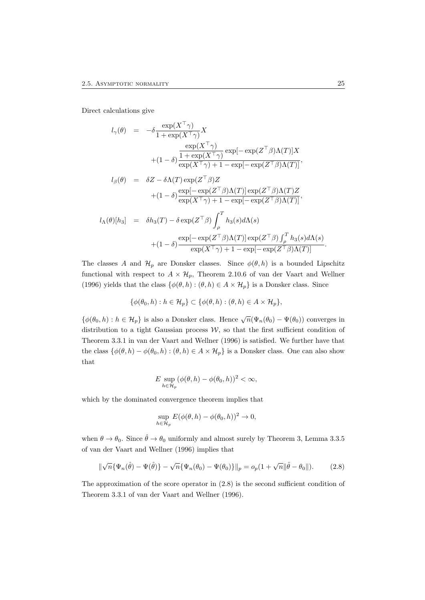Direct calculations give

$$
l_{\gamma}(\theta) = -\delta \frac{\exp(X^{\top} \gamma)}{1 + \exp(X^{\top} \gamma)} X
$$
  
\n
$$
\frac{\exp(X^{\top} \gamma)}{1 + \exp(X^{\top} \gamma)} \exp[-\exp(Z^{\top} \beta) \Lambda(T)] X
$$
  
\n
$$
+ (1 - \delta) \frac{1 + \exp(X^{\top} \gamma)}{\exp(X^{\top} \gamma) + 1 - \exp[-\exp(Z^{\top} \beta) \Lambda(T)]},
$$
  
\n
$$
l_{\beta}(\theta) = \delta Z - \delta \Lambda(T) \exp(Z^{\top} \beta) Z
$$
  
\n
$$
+ (1 - \delta) \frac{\exp[-\exp(Z^{\top} \beta) \Lambda(T)] \exp(Z^{\top} \beta) \Lambda(T) Z}{\exp(X^{\top} \gamma) + 1 - \exp[-\exp(Z^{\top} \beta) \Lambda(T)]},
$$
  
\n
$$
l_{\Lambda}(\theta)[h_3] = \delta h_3(T) - \delta \exp(Z^{\top} \beta) \int_{\rho}^{T} h_3(s) d\Lambda(s)
$$
  
\n
$$
+ (1 - \delta) \frac{\exp[-\exp(Z^{\top} \beta) \Lambda(T)] \exp(Z^{\top} \beta) \int_{\rho}^{T} h_3(s) d\Lambda(s)}{\exp(X^{\top} \gamma) + 1 - \exp[-\exp(Z^{\top} \beta) \Lambda(T)]}.
$$

The classes A and  $\mathcal{H}_p$  are Donsker classes. Since  $\phi(\theta, h)$  is a bounded Lipschitz functional with respect to  $A \times \mathcal{H}_p$ , Theorem 2.10.6 of van der Vaart and Wellner (1996) yields that the class  $\{\phi(\theta, h) : (\theta, h) \in A \times \mathcal{H}_p\}$  is a Donsker class. Since

$$
\{\phi(\theta_0, h) : h \in \mathcal{H}_p\} \subset \{\phi(\theta, h) : (\theta, h) \in A \times \mathcal{H}_p\},\
$$

 $\{\phi(\theta_0, h) : h \in \mathcal{H}_p\}$  is also a Donsker class. Hence  $\sqrt{n}(\Psi_n(\theta_0) - \Psi(\theta_0))$  converges in distribution to a tight Gaussian process  $W$ , so that the first sufficient condition of Theorem 3.3.1 in van der Vaart and Wellner (1996) is satisfied. We further have that the class  $\{\phi(\theta, h) - \phi(\theta_0, h) : (\theta, h) \in A \times \mathcal{H}_p\}$  is a Donsker class. One can also show that

$$
E \sup_{h \in \mathcal{H}_p} (\phi(\theta, h) - \phi(\theta_0, h))^2 < \infty,
$$

which by the dominated convergence theorem implies that

$$
\sup_{h \in \mathcal{H}_p} E(\phi(\theta, h) - \phi(\theta_0, h))^2 \to 0,
$$

when  $\theta \to \theta_0$ . Since  $\hat{\theta} \to \theta_0$  uniformly and almost surely by Theorem 3, Lemma 3.3.5 of van der Vaart and Wellner (1996) implies that

$$
\|\sqrt{n}\{\Psi_n(\hat{\theta}) - \Psi(\hat{\theta})\} - \sqrt{n}\{\Psi_n(\theta_0) - \Psi(\theta_0)\}\|_p = o_p(1 + \sqrt{n}\|\hat{\theta} - \theta_0\|).
$$
 (2.8)

The approximation of the score operator in (2.8) is the second sufficient condition of Theorem 3.3.1 of van der Vaart and Wellner (1996).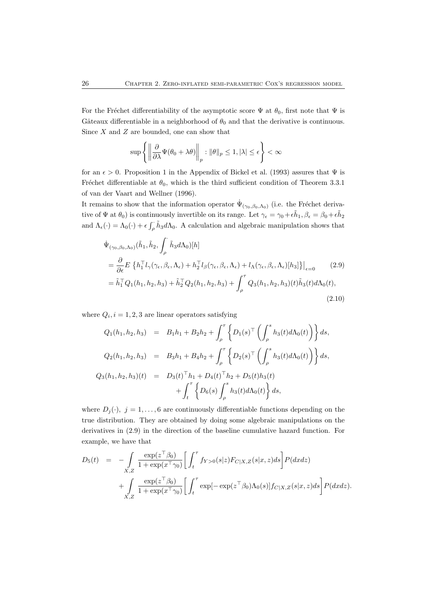For the Fréchet differentiability of the asymptotic score  $\Psi$  at  $\theta_0$ , first note that  $\Psi$  is Gâteaux differentiable in a neighborhood of  $\theta_0$  and that the derivative is continuous. Since  $X$  and  $Z$  are bounded, one can show that

$$
\sup \left\{ \left\| \frac{\partial}{\partial \lambda} \Psi(\theta_0 + \lambda \theta) \right\|_p : \|\theta\|_p \le 1, |\lambda| \le \epsilon \right\} < \infty
$$

for an  $\epsilon > 0$ . Proposition 1 in the Appendix of Bickel et al. (1993) assures that  $\Psi$  is Fréchet differentiable at  $\theta_0$ , which is the third sufficient condition of Theorem 3.3.1 of van der Vaart and Wellner (1996).

It remains to show that the information operator  $\dot{\Psi}_{(\gamma_0,\beta_0,\Lambda_0)}$  (i.e. the Fréchet derivative of  $\Psi$  at  $\theta_0$ ) is continuously invertible on its range. Let  $\gamma_\epsilon = \gamma_0 + \epsilon \tilde{h}_1$ ,  $\beta_\epsilon = \beta_0 + \epsilon \tilde{h}_2$ and  $\Lambda_{\epsilon}(\cdot) = \Lambda_0(\cdot) + \epsilon \int_{\rho} \tilde{h}_3 d\Lambda_0$ . A calculation and algebraic manipulation shows that

$$
\begin{split}\n\dot{\Psi}_{(\gamma_{0},\beta_{0},\Lambda_{0})}(\tilde{h}_{1},\tilde{h}_{2},\int_{\rho}^{\cdot}\tilde{h}_{3}d\Lambda_{0})[h] \\
&= \frac{\partial}{\partial\epsilon}E\left\{h_{1}^{\top}l_{\gamma}(\gamma_{\epsilon},\beta_{\epsilon},\Lambda_{\epsilon})+h_{2}^{\top}l_{\beta}(\gamma_{\epsilon},\beta_{\epsilon},\Lambda_{\epsilon})+l_{\Lambda}(\gamma_{\epsilon},\beta_{\epsilon},\Lambda_{\epsilon})[h_{3}]\right\}\big|_{\epsilon=0} (2.9) \\
&= \tilde{h}_{1}^{\top}Q_{1}(h_{1},h_{2},h_{3})+\tilde{h}_{2}^{\top}Q_{2}(h_{1},h_{2},h_{3})+\int_{\rho}^{\tau}Q_{3}(h_{1},h_{2},h_{3})(t)\tilde{h}_{3}(t)d\Lambda_{0}(t),\n\end{split} \tag{2.10}
$$

where  $Q_i$ ,  $i = 1, 2, 3$  are linear operators satisfying

$$
Q_1(h_1, h_2, h_3) = B_1h_1 + B_2h_2 + \int_{\rho}^{\tau} \left\{ D_1(s)^\top \left( \int_{\rho}^s h_3(t) d\Lambda_0(t) \right) \right\} ds,
$$
  
\n
$$
Q_2(h_1, h_2, h_3) = B_3h_1 + B_4h_2 + \int_{\rho}^{\tau} \left\{ D_2(s)^\top \left( \int_{\rho}^s h_3(t) d\Lambda_0(t) \right) \right\} ds,
$$
  
\n
$$
Q_3(h_1, h_2, h_3)(t) = D_3(t)^\top h_1 + D_4(t)^\top h_2 + D_5(t)h_3(t)
$$
  
\n
$$
+ \int_{t}^{\tau} \left\{ D_6(s) \int_{\rho}^s h_3(t) d\Lambda_0(t) \right\} ds,
$$

where  $D_j(\cdot)$ ,  $j = 1, ..., 6$  are continuously differentiable functions depending on the true distribution. They are obtained by doing some algebraic manipulations on the derivatives in (2.9) in the direction of the baseline cumulative hazard function. For example, we have that

$$
D_5(t) = -\int_{X,Z} \frac{\exp(z^{\top}\beta_0)}{1 + \exp(x^{\top}\gamma_0)} \left[ \int_t^{\tau} f_{Y>0}(s|z) F_{C|X,Z}(s|x,z) ds \right] P(dxdz)
$$
  
+ 
$$
\int_{X,Z} \frac{\exp(z^{\top}\beta_0)}{1 + \exp(x^{\top}\gamma_0)} \left[ \int_t^{\tau} \exp[-\exp(z^{\top}\beta_0)\Lambda_0(s)] f_{C|X,Z}(s|x,z) ds \right] P(dxdz).
$$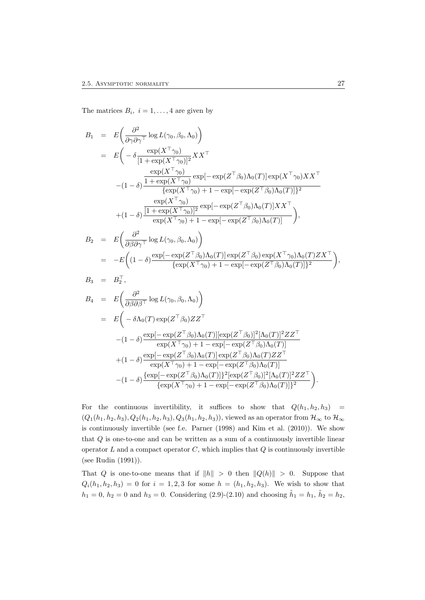The matrices  $B_i$ ,  $i = 1, ..., 4$  are given by

$$
B_1 = E\left(\frac{\partial^2}{\partial \gamma \partial \gamma^\top} \log L(\gamma_0, \beta_0, \Lambda_0)\right)
$$
  
\n
$$
= E\left(-\delta \frac{\exp(X^\top \gamma_0)}{[1 + \exp(X^\top \gamma_0)]^2} X X^\top \right]
$$
  
\n
$$
-(1 - \delta) \frac{\frac{\exp(X^\top \gamma_0)}{1 + \exp(X^\top \gamma_0)} \exp[-\exp(Z^\top \beta_0) \Lambda_0(T)] \exp(X^\top \gamma_0) X X^\top \right]}{\{ \exp(X^\top \gamma_0) + 1 - \exp[-\exp(Z^\top \beta_0) \Lambda_0(T)] \}^2}
$$
  
\n
$$
+ (1 - \delta) \frac{\frac{\exp(X^\top \gamma_0)}{1 + \exp(X^\top \gamma_0)} \exp[-\exp(Z^\top \beta_0) \Lambda_0(T)] X X^\top \right)}{\exp(X^\top \gamma_0) + 1 - \exp[-\exp(Z^\top \beta_0) \Lambda_0(T)]},
$$
  
\n
$$
B_2 = E\left(\frac{\partial^2}{\partial \beta \partial \gamma^\top} \log L(\gamma_0, \beta_0, \Lambda_0)\right)
$$
  
\n
$$
= -E\left((1 - \delta) \frac{\exp[-\exp(Z^\top \beta_0) \Lambda_0(T)] \exp(Z^\top \beta_0) \exp(X^\top \gamma_0) \Lambda_0(T) Z X^\top \right)}{\{ \exp(X^\top \gamma_0) + 1 - \exp[-\exp(Z^\top \beta_0) \Lambda_0(T)] \}^2},
$$
  
\n
$$
B_3 = B_2^\top,
$$
  
\n
$$
B_4 = E\left(\frac{\partial^2}{\partial \beta \partial \beta^\top} \log L(\gamma_0, \beta_0, \Lambda_0)\right)
$$
  
\n
$$
= E\left(-\delta \Lambda_0(T) \exp(Z^\top \beta_0) \Delta_0(T) \frac{[\exp(Z^\top \beta_0)]^2 [\Lambda_0(T)]^2 Z Z^\top}{\exp(X^\top \gamma_0) + 1 - \exp[-\exp(Z^\top \beta_0) \Lambda_0(T)]^2 Z Z^\top}\right)
$$
  
\n
$$
+ (1 - \delta) \frac{\exp[-\exp(Z^\top \beta_0) \Lambda_0(T)]^2 [\exp(Z^\top \beta_0) \Lambda_0(T)]^2 [\Lambda_0(T)]^2 Z Z^\top}{\exp
$$

For the continuous invertibility, it suffices to show that  $Q(h_1, h_2, h_3)$  =  $(Q_1(h_1, h_2, h_3), Q_2(h_1, h_2, h_3), Q_3(h_1, h_2, h_3))$ , viewed as an operator from  $\mathcal{H}_{\infty}$  to  $\mathcal{H}_{\infty}$ is continuously invertible (see f.e. Parner (1998) and Kim et al. (2010)). We show that  $Q$  is one-to-one and can be written as a sum of a continuously invertible linear operator  $L$  and a compact operator  $C$ , which implies that  $Q$  is continuously invertible (see Rudin (1991)).

 $\{\exp(X^\top \gamma_0) + 1 - \exp[-\exp(Z^\top \beta_0) \Lambda_0(T)]\}^2$ 

That Q is one-to-one means that if  $||h|| > 0$  then  $||Q(h)|| > 0$ . Suppose that  $Q_i(h_1, h_2, h_3) = 0$  for  $i = 1, 2, 3$  for some  $h = (h_1, h_2, h_3)$ . We wish to show that  $h_1 = 0, h_2 = 0$  and  $h_3 = 0$ . Considering (2.9)-(2.10) and choosing  $\tilde{h}_1 = h_1, \tilde{h}_2 = h_2$ ,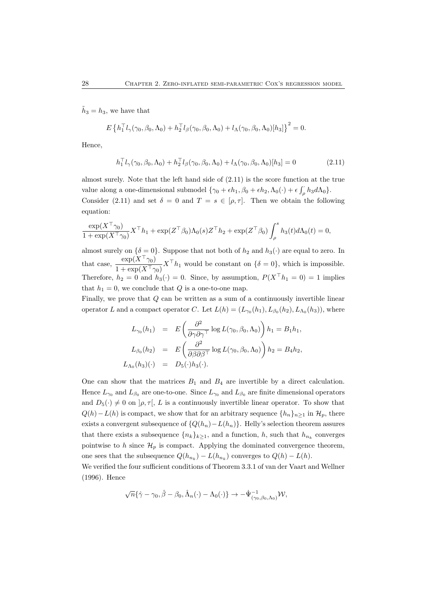$\tilde{h}_3 = h_3$ , we have that

$$
E\left\{h_1^{\top}l_{\gamma}(\gamma_0,\beta_0,\Lambda_0)+h_2^{\top}l_{\beta}(\gamma_0,\beta_0,\Lambda_0)+l_{\Lambda}(\gamma_0,\beta_0,\Lambda_0)[h_3]\right\}^2=0.
$$

Hence,

$$
h_1^{\top} l_{\gamma}(\gamma_0, \beta_0, \Lambda_0) + h_2^{\top} l_{\beta}(\gamma_0, \beta_0, \Lambda_0) + l_{\Lambda}(\gamma_0, \beta_0, \Lambda_0)[h_3] = 0 \qquad (2.11)
$$

almost surely. Note that the left hand side of (2.11) is the score function at the true value along a one-dimensional submodel  $\{\gamma_0 + \epsilon h_1, \beta_0 + \epsilon h_2, \Lambda_0(\cdot) + \epsilon \int_{\rho} h_3 d\Lambda_0\}.$ Consider (2.11) and set  $\delta = 0$  and  $T = s \in [\rho, \tau]$ . Then we obtain the following equation:

$$
\frac{\exp(X^{\top}\gamma_0)}{1+\exp(X^{\top}\gamma_0)}X^{\top}h_1+\exp(Z^{\top}\beta_0)\Lambda_0(s)Z^{\top}h_2+\exp(Z^{\top}\beta_0)\int_{\rho}^{s}h_3(t)d\Lambda_0(t)=0,
$$

almost surely on  $\{\delta = 0\}$ . Suppose that not both of  $h_2$  and  $h_3(\cdot)$  are equal to zero. In that case,  $\frac{\exp(X^{\top}\gamma_0)}{1+\exp(X^{\top}\gamma_0)}X^{\top}h_1$  would be constant on  $\{\delta=0\}$ , which is impossible. Therefore,  $h_2 = 0$  and  $h_3(\cdot) = 0$ . Since, by assumption,  $P(X^{\top} h_1 = 0) = 1$  implies that  $h_1 = 0$ , we conclude that Q is a one-to-one map.

Finally, we prove that  $Q$  can be written as a sum of a continuously invertible linear operator L and a compact operator C. Let  $L(h) = (L_{\gamma_0}(h_1), L_{\beta_0}(h_2), L_{\Lambda_0}(h_3))$ , where

$$
L_{\gamma_0}(h_1) = E\left(\frac{\partial^2}{\partial \gamma \partial \gamma^\top} \log L(\gamma_0, \beta_0, \Lambda_0)\right) h_1 = B_1 h_1,
$$
  

$$
L_{\beta_0}(h_2) = E\left(\frac{\partial^2}{\partial \beta \partial \beta^\top} \log L(\gamma_0, \beta_0, \Lambda_0)\right) h_2 = B_4 h_2,
$$
  

$$
L_{\Lambda_0}(h_3)(\cdot) = D_5(\cdot)h_3(\cdot).
$$

One can show that the matrices  $B_1$  and  $B_4$  are invertible by a direct calculation. Hence  $L_{\gamma_0}$  and  $L_{\beta_0}$  are one-to-one. Since  $L_{\gamma_0}$  and  $L_{\beta_0}$  are finite dimensional operators and  $D_5(\cdot) \neq 0$  on  $|\rho, \tau|$ , L is a continuously invertible linear operator. To show that  $Q(h)-L(h)$  is compact, we show that for an arbitrary sequence  $\{h_n\}_{n\geq 1}$  in  $\mathcal{H}_p$ , there exists a convergent subsequence of  $\{Q(h_n) - L(h_n)\}\$ . Helly's selection theorem assures that there exists a subsequence  $\{n_k\}_{k\geq 1}$ , and a function, h, such that  $h_{n_k}$  converges pointwise to h since  $\mathcal{H}_p$  is compact. Applying the dominated convergence theorem, one sees that the subsequence  $Q(h_{n_k}) - L(h_{n_k})$  converges to  $Q(h) - L(h)$ .

We verified the four sufficient conditions of Theorem 3.3.1 of van der Vaart and Wellner (1996). Hence

$$
\sqrt{n}\{\hat{\gamma}-\gamma_0,\hat{\beta}-\beta_0,\hat{\Lambda}_n(\cdot)-\Lambda_0(\cdot)\}\rightarrow-\dot{\Psi}_{(\gamma_0,\beta_0,\Lambda_0)}^{-1}\mathcal{W},
$$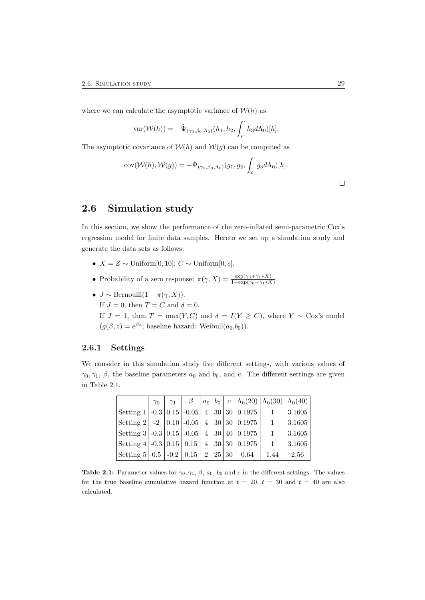where we can calculate the asymptotic variance of  $W(h)$  as

var
$$
(W(h)) = -\dot{\Psi}_{(\gamma_0, \beta_0, \Lambda_0)}(h_1, h_2, \int_{\rho} h_3 d\Lambda_0)[h].
$$

The asymptotic covariance of  $W(h)$  and  $W(g)$  can be computed as

$$
cov(\mathcal{W}(h), \mathcal{W}(g)) = -\dot{\Psi}_{(\gamma_0, \beta_0, \Lambda_0)}(g_1, g_2, \int_{\rho} g_3 d\Lambda_0)[h].
$$

# 2.6 Simulation study

In this section, we show the performance of the zero-inflated semi-parametric Cox's regression model for finite data samples. Hereto we set up a simulation study and generate the data sets as follows:

- $X = Z \sim$  Uniform[0, 10];  $C \sim$  Uniform[0, c].
- Probability of a zero response:  $\pi(\gamma, X) = \frac{\exp(\gamma_0 + \gamma_1 * X)}{1 + \exp(\gamma_0 + \gamma_1 * X)}$ .
- $J \sim \text{Bernoulli}(1 \pi(\gamma, X)).$ If  $J = 0$ , then  $T = C$  and  $\delta = 0$ . If  $J = 1$ , then  $T = \max(Y, C)$  and  $\delta = I(Y \ge C)$ , where  $Y \sim \text{Cox's model}$  $(g(\beta, z) = e^{\beta z};$  baseline hazard: Weibull $(a_0, b_0)$ ).

#### 2.6.1 Settings

We consider in this simulation study five different settings, with various values of  $\gamma_0, \gamma_1, \beta$ , the baseline parameters  $a_0$  and  $b_0$ , and c. The different settings are given in Table 2.1.

|                                                                         | $\gamma_0$ | $\gamma_1$ | $\beta$ |  |      | $ a_0 b_0 c \Lambda_0(20) \Lambda_0(30) \Lambda_0(40)$ |        |
|-------------------------------------------------------------------------|------------|------------|---------|--|------|--------------------------------------------------------|--------|
| $\vert$ Setting 1   -0.3   0.15   -0.05   4   30   30   0.1975          |            |            |         |  |      | $\overline{1}$                                         | 3.1605 |
| $ \operatorname{Setting} 2  -2   0.10   -0.05   4   30   30   0.1975  $ |            |            |         |  |      | $\overline{1}$                                         | 3.1605 |
| $ \operatorname{Setting} 3  -0.3  0.15  -0.05   4   30   40   0.1975 $  |            |            |         |  |      | $\overline{1}$                                         | 3.1605 |
| $ \operatorname{Setting} 4  -0.3  0.15   0.15   4   30   30   0.1975$   |            |            |         |  |      | $\overline{1}$                                         | 3.1605 |
| $ \operatorname{Setting} 5   0.5   -0.2   0.15   2   25   30 $          |            |            |         |  | 0.64 | 1.44                                                   | 2.56   |

Table 2.1: Parameter values for  $\gamma_0, \gamma_1, \beta, a_0, b_0$  and c in the different settings. The values for the true baseline cumulative hazard function at  $t = 20$ ,  $t = 30$  and  $t = 40$  are also calculated.

 $\Box$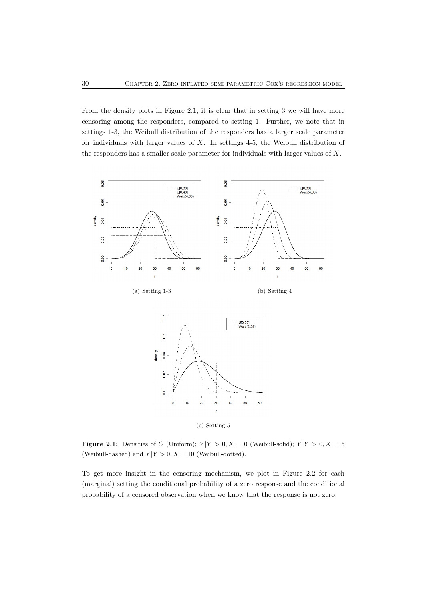From the density plots in Figure 2.1, it is clear that in setting 3 we will have more censoring among the responders, compared to setting 1. Further, we note that in settings 1-3, the Weibull distribution of the responders has a larger scale parameter for individuals with larger values of X. In settings 4-5, the Weibull distribution of the responders has a smaller scale parameter for individuals with larger values of X.



**Figure 2.1:** Densities of C (Uniform);  $Y|Y > 0, X = 0$  (Weibull-solid);  $Y|Y > 0, X = 5$ (Weibull-dashed) and  $Y|Y > 0, X = 10$  (Weibull-dotted).

To get more insight in the censoring mechanism, we plot in Figure 2.2 for each (marginal) setting the conditional probability of a zero response and the conditional probability of a censored observation when we know that the response is not zero.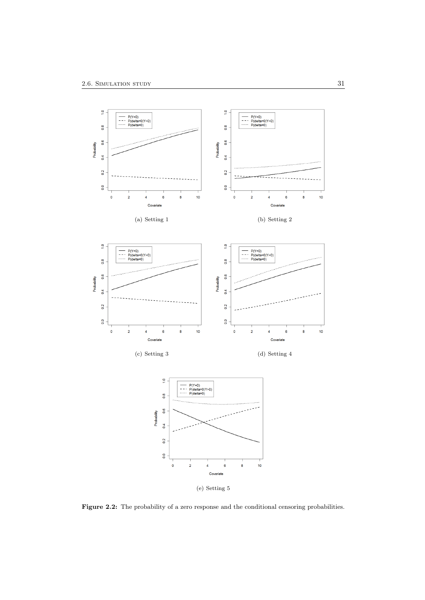

Figure 2.2: The probability of a zero response and the conditional censoring probabilities.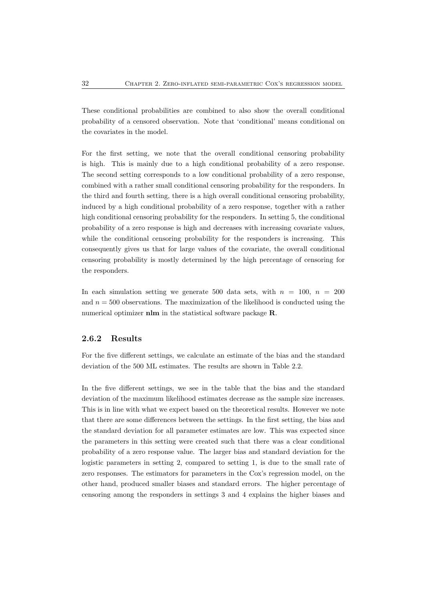These conditional probabilities are combined to also show the overall conditional probability of a censored observation. Note that 'conditional' means conditional on the covariates in the model.

For the first setting, we note that the overall conditional censoring probability is high. This is mainly due to a high conditional probability of a zero response. The second setting corresponds to a low conditional probability of a zero response, combined with a rather small conditional censoring probability for the responders. In the third and fourth setting, there is a high overall conditional censoring probability, induced by a high conditional probability of a zero response, together with a rather high conditional censoring probability for the responders. In setting 5, the conditional probability of a zero response is high and decreases with increasing covariate values, while the conditional censoring probability for the responders is increasing. This consequently gives us that for large values of the covariate, the overall conditional censoring probability is mostly determined by the high percentage of censoring for the responders.

In each simulation setting we generate 500 data sets, with  $n = 100$ ,  $n = 200$ and  $n = 500$  observations. The maximization of the likelihood is conducted using the numerical optimizer nlm in the statistical software package **R**.

#### 2.6.2 Results

For the five different settings, we calculate an estimate of the bias and the standard deviation of the 500 ML estimates. The results are shown in Table 2.2.

In the five different settings, we see in the table that the bias and the standard deviation of the maximum likelihood estimates decrease as the sample size increases. This is in line with what we expect based on the theoretical results. However we note that there are some differences between the settings. In the first setting, the bias and the standard deviation for all parameter estimates are low. This was expected since the parameters in this setting were created such that there was a clear conditional probability of a zero response value. The larger bias and standard deviation for the logistic parameters in setting 2, compared to setting 1, is due to the small rate of zero responses. The estimators for parameters in the Cox's regression model, on the other hand, produced smaller biases and standard errors. The higher percentage of censoring among the responders in settings 3 and 4 explains the higher biases and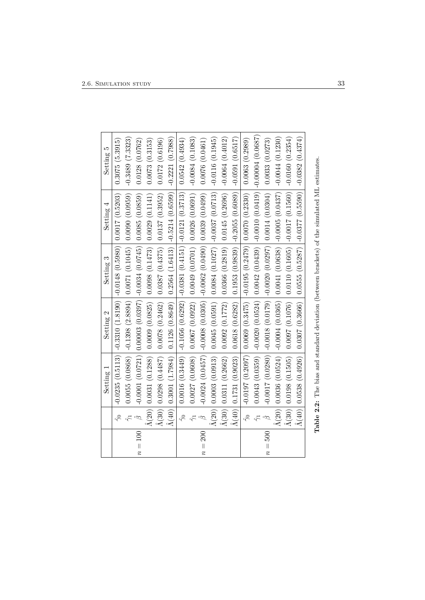$\mathbf{r}$ 

|         |                       | Setting 1                       | Setting 2                                                                                                      | Setting 3                                                        | Setting 4      | LQ<br>Setting      |
|---------|-----------------------|---------------------------------|----------------------------------------------------------------------------------------------------------------|------------------------------------------------------------------|----------------|--------------------|
|         | $\Im$                 |                                 | $-0.0235$ $(0.5113)$ $-0.3310$ $(1.8190)$ $-0.0148$ $(0.5980)$ $ $ $0.0017$ $(0.5203)$                         |                                                                  |                | 0.3075(5.3915)     |
|         |                       | 0.0055(0.0868)                  | $-0.1398$ $(2.8894)$ 0.0071 $(0.1045)$                                                                         |                                                                  | 0.0090(0.0959) | $-0.3489(7.3323)$  |
| $n=100$ | $\hat{\beta}$         |                                 | $-0.0001(0.0721)[0.00003(0.0397)]$ -0.0034 $(0.0745)$                                                          |                                                                  | 0.0085(0.0859) | 0.0128(0.0762)     |
|         | $\bar{\Lambda}(20)$   | 0.0031(0.1288)                  | $0.0009$ (0.0825)   0.0098 (0.1473)                                                                            |                                                                  | 0.0029(0.1141) | 0.0073(0.3153)     |
|         |                       | $\Lambda(30)$   0.0298 (0.4487) |                                                                                                                | $0.0078$ $(0.2462)$ $(0.0387$ $(0.4375)$ $(0.0137$ $(0.3952)$    |                | 0.0172(0.6196)     |
|         | $\hat{\Lambda}(40)$   | 0.3001(1.7984)                  |                                                                                                                | $0.1126$ (0.8649) $\mid$ 0.2564 (1.6413) $\mid$ -0.5214 (0.6599) |                | $-0.2221(0.7988)$  |
|         | $\widetilde{\gamma}$  |                                 | $0.0016$ $(0.3449)$ $ $ $-0.1056$ $(0.6292)$ $ $ $-0.0381$ $(0.4151)$ $ $ $-0.0121$ $(0.3713)$                 |                                                                  |                | 0.0542(0.4934)     |
|         |                       | 0.0027(0.0608)                  |                                                                                                                | $0.0067(0.0922) \mid 0.0049(0.0701) \mid 0.0026(0.0691)$         |                | $-0.0084(0.1083)$  |
| $n=200$ | $\hat{\beta}$         |                                 | $-0.0024~(0.0457)$ $-0.0008~(0.0305)$ $-0.0062~(0.0490)$ $-0.0039~(0.0499)$                                    |                                                                  |                | 0.0076(0.0461)     |
|         |                       | $\Lambda(20)$   0.0003 (0.0913) |                                                                                                                | $0.0045~(0.0591)~ ~0.0084~(0.1027)~ ~0.0037~(0.0713)$            |                | $-0.0116(0.1945)$  |
|         | $ \hat{\Lambda}(30) $ | 0.0311(0.2662)                  | 0.0092(0.1772)                                                                                                 | $0.0366(0.2819)$ 0.0145 $(0.2696)$                               |                | $-0.0064(0.4012)$  |
|         | $\Lambda(40)$         | 0.1731(0.9023)                  | 0.0618(0.6282)                                                                                                 | $0.1953(0.9839)$ $ -0.2055(0.6089)$                              |                | $-0.0591(0.6517)$  |
|         | $\Im$                 | $-0.0197(0.2097)$               | $0.069$ $(0.3475)$ $ -0.0195$ $(0.2479)$ $  0.0070$ $(0.2330)$                                                 |                                                                  |                | 0.0063(0.2989)     |
|         |                       |                                 | $0.0043$ $(0.0359)$ $ $ $-0.0020$ $(0.0524)$ $ $ $0.0042$ $(0.0439)$ $ $ $-0.0010$ $(0.0419)$                  |                                                                  |                | $-0.00004(0.0687)$ |
| $n=500$ |                       |                                 |                                                                                                                |                                                                  |                | 0.0033(0.0273)     |
|         |                       |                                 | $\Lambda(20) \mid 0.0036 \; (0.0524) \mid$ -0.0004 $(0.0365) \mid 0.0041 \; (0.0638) \mid$ -0.0005 $(0.0437)$  |                                                                  |                | $-0.0044(0.1230)$  |
|         | $\Lambda(30)$         | 0.0198(0.1505)                  | $(0.1097 (0.1076) \mid 0.0110 (0.1605) \mid -0.0017 (0.1560))$                                                 |                                                                  |                | $-0.0160(0.2354)$  |
|         |                       |                                 | $\Lambda(40) \mid 0.0538 \; (0.4926) \mid 0.0307 \; (0.3666) \mid 0.0555 \; (0.5287) \mid -0.0377 \; (0.5590)$ |                                                                  |                | $-0.0382(0.4374)$  |
|         |                       |                                 | <b>Table 2.2:</b> The bias and standard deviation (between brackets) of the simulated ML estimates.            |                                                                  |                |                    |

| $\frac{1}{2}$<br>$\overline{a}$ |
|---------------------------------|
|                                 |
|                                 |
|                                 |
|                                 |
|                                 |
|                                 |
| I                               |
|                                 |
|                                 |
| l                               |
|                                 |
|                                 |
|                                 |
| $\frac{1}{2}$<br>į              |
|                                 |
|                                 |
|                                 |
|                                 |
| )<br>}<br>}                     |
|                                 |
| į                               |
| )<br>1<br>1<br>Ē                |
|                                 |
| $\mathbf{I}$                    |
| i                               |
| $\mathbf{a}$ D.                 |
|                                 |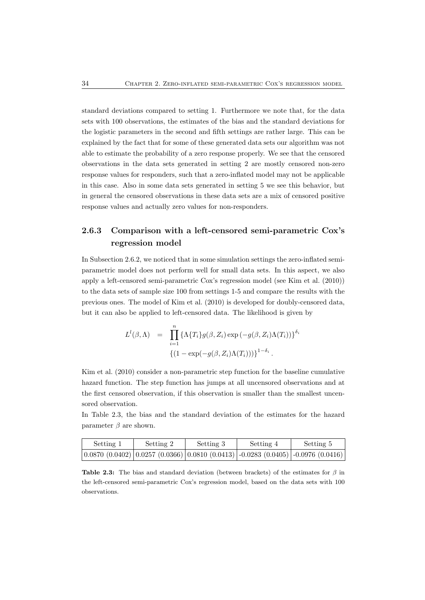standard deviations compared to setting 1. Furthermore we note that, for the data sets with 100 observations, the estimates of the bias and the standard deviations for the logistic parameters in the second and fifth settings are rather large. This can be explained by the fact that for some of these generated data sets our algorithm was not able to estimate the probability of a zero response properly. We see that the censored observations in the data sets generated in setting 2 are mostly censored non-zero response values for responders, such that a zero-inflated model may not be applicable in this case. Also in some data sets generated in setting 5 we see this behavior, but in general the censored observations in these data sets are a mix of censored positive response values and actually zero values for non-responders.

# 2.6.3 Comparison with a left-censored semi-parametric Cox's regression model

In Subsection 2.6.2, we noticed that in some simulation settings the zero-inflated semiparametric model does not perform well for small data sets. In this aspect, we also apply a left-censored semi-parametric Cox's regression model (see Kim et al. (2010)) to the data sets of sample size 100 from settings 1-5 and compare the results with the previous ones. The model of Kim et al. (2010) is developed for doubly-censored data, but it can also be applied to left-censored data. The likelihood is given by

$$
L^{l}(\beta,\Lambda) = \prod_{i=1}^{n} \left\{ \Lambda \{ T_i \} g(\beta, Z_i) \exp \left( -g(\beta, Z_i) \Lambda(T_i) \right) \right\}^{\delta_i}
$$

$$
\left\{ (1 - \exp(-g(\beta, Z_i) \Lambda(T_i))) \right\}^{1 - \delta_i}.
$$

Kim et al. (2010) consider a non-parametric step function for the baseline cumulative hazard function. The step function has jumps at all uncensored observations and at the first censored observation, if this observation is smaller than the smallest uncensored observation.

In Table 2.3, the bias and the standard deviation of the estimates for the hazard parameter  $\beta$  are shown.

| Setting 1 | Setting 2 | Setting 3 | Setting 4                                                                             | Setting 5 |
|-----------|-----------|-----------|---------------------------------------------------------------------------------------|-----------|
|           |           |           | $(0.0870 (0.0402) 0.0257 (0.0366) 0.0810 (0.0413) -0.0283 (0.0405) -0.0976 (0.0416))$ |           |

Table 2.3: The bias and standard deviation (between brackets) of the estimates for  $\beta$  in the left-censored semi-parametric Cox's regression model, based on the data sets with 100 observations.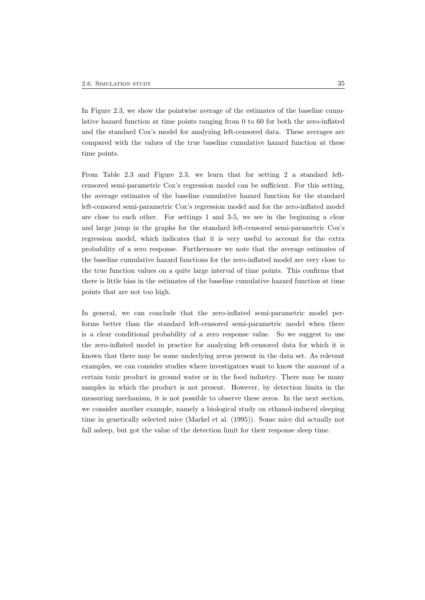In Figure 2.3, we show the pointwise average of the estimates of the baseline cumulative hazard function at time points ranging from 0 to 60 for both the zero-inflated and the standard Cox's model for analyzing left-censored data. These averages are compared with the values of the true baseline cumulative hazard function at these time points.

From Table 2.3 and Figure 2.3, we learn that for setting 2 a standard leftcensored semi-parametric Cox's regression model can be sufficient. For this setting, the average estimates of the baseline cumulative hazard function for the standard left-censored semi-parametric Cox's regression model and for the zero-inflated model are close to each other. For settings 1 and 3-5, we see in the beginning a clear and large jump in the graphs for the standard left-censored semi-parametric Cox's regression model, which indicates that it is very useful to account for the extra probability of a zero response. Furthermore we note that the average estimates of the baseline cumulative hazard functions for the zero-inflated model are very close to the true function values on a quite large interval of time points. This confirms that there is little bias in the estimates of the baseline cumulative hazard function at time points that are not too high.

In general, we can conclude that the zero-inflated semi-parametric model performs better than the standard left-censored semi-parametric model when there is a clear conditional probability of a zero response value. So we suggest to use the zero-inflated model in practice for analyzing left-censored data for which it is known that there may be some underlying zeros present in the data set. As relevant examples, we can consider studies where investigators want to know the amount of a certain toxic product in ground water or in the food industry. There may be many samples in which the product is not present. However, by detection limits in the measuring mechanism, it is not possible to observe these zeros. In the next section, we consider another example, namely a biological study on ethanol-induced sleeping time in genetically selected mice (Markel et al. (1995)). Some mice did actually not fall asleep, but got the value of the detection limit for their response sleep time.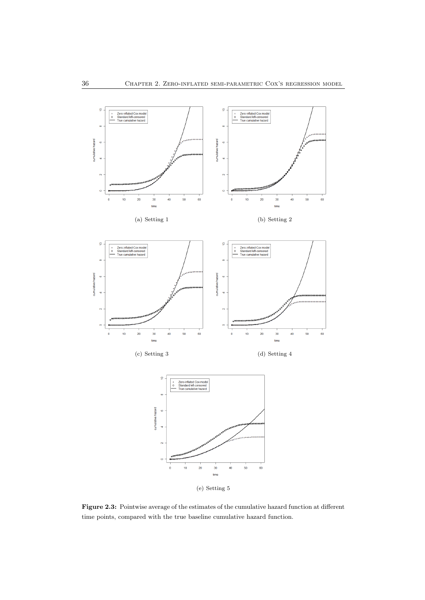

Figure 2.3: Pointwise average of the estimates of the cumulative hazard function at different time points, compared with the true baseline cumulative hazard function.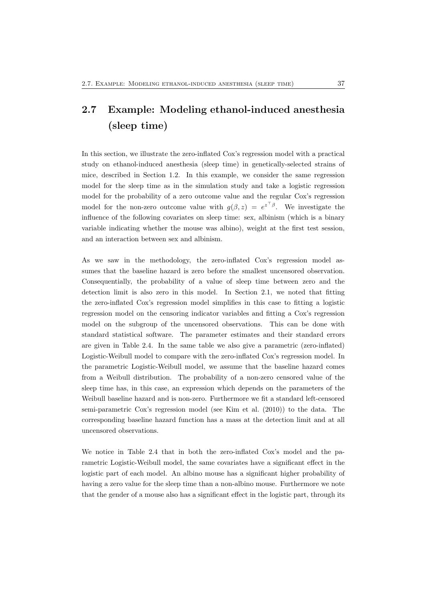# 2.7 Example: Modeling ethanol-induced anesthesia (sleep time)

In this section, we illustrate the zero-inflated Cox's regression model with a practical study on ethanol-induced anesthesia (sleep time) in genetically-selected strains of mice, described in Section 1.2. In this example, we consider the same regression model for the sleep time as in the simulation study and take a logistic regression model for the probability of a zero outcome value and the regular Cox's regression model for the non-zero outcome value with  $g(\beta, z) = e^{z^{\top} \beta}$ . We investigate the influence of the following covariates on sleep time: sex, albinism (which is a binary variable indicating whether the mouse was albino), weight at the first test session, and an interaction between sex and albinism.

As we saw in the methodology, the zero-inflated Cox's regression model assumes that the baseline hazard is zero before the smallest uncensored observation. Consequentially, the probability of a value of sleep time between zero and the detection limit is also zero in this model. In Section 2.1, we noted that fitting the zero-inflated Cox's regression model simplifies in this case to fitting a logistic regression model on the censoring indicator variables and fitting a Cox's regression model on the subgroup of the uncensored observations. This can be done with standard statistical software. The parameter estimates and their standard errors are given in Table 2.4. In the same table we also give a parametric (zero-inflated) Logistic-Weibull model to compare with the zero-inflated Cox's regression model. In the parametric Logistic-Weibull model, we assume that the baseline hazard comes from a Weibull distribution. The probability of a non-zero censored value of the sleep time has, in this case, an expression which depends on the parameters of the Weibull baseline hazard and is non-zero. Furthermore we fit a standard left-censored semi-parametric Cox's regression model (see Kim et al. (2010)) to the data. The corresponding baseline hazard function has a mass at the detection limit and at all uncensored observations.

We notice in Table 2.4 that in both the zero-inflated Cox's model and the parametric Logistic-Weibull model, the same covariates have a significant effect in the logistic part of each model. An albino mouse has a significant higher probability of having a zero value for the sleep time than a non-albino mouse. Furthermore we note that the gender of a mouse also has a significant effect in the logistic part, through its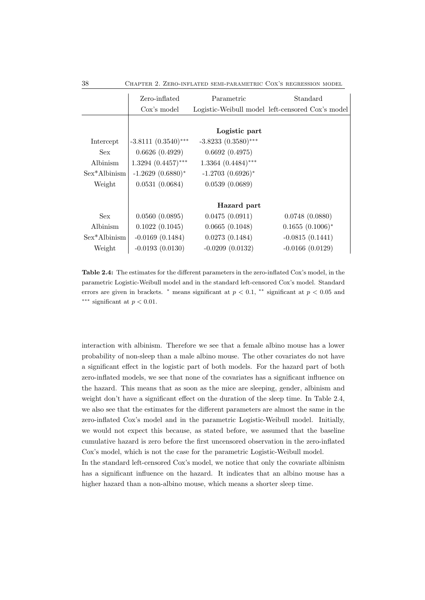38 Chapter 2. Zero-inflated semi-parametric Cox's regression model

| Zero-inflated          | Parametric             | Standard                                         |
|------------------------|------------------------|--------------------------------------------------|
| Cox's model            |                        | Logistic-Weibull model left-censored Cox's model |
|                        |                        |                                                  |
|                        | Logistic part          |                                                  |
| $-3.8111 (0.3540)$ *** | $-3.8233(0.3580)$ ***  |                                                  |
| 0.6626(0.4929)         | 0.6692(0.4975)         |                                                  |
| $1.3294~(0.4457)$ ***  | $1.3364~(0.4484)$ ***  |                                                  |
| $-1.2629(0.6880)$ *    | $-1.2703$ $(0.6926)$ * |                                                  |
| 0.0531(0.0684)         | 0.0539(0.0689)         |                                                  |
|                        |                        |                                                  |
|                        | Hazard part            |                                                  |
| 0.0560(0.0895)         | 0.0475(0.0911)         | 0.0748(0.0880)                                   |
| 0.1022(0.1045)         | 0.0665(0.1048)         | $0.1655(0.1006)^*$                               |
| $-0.0169(0.1484)$      | 0.0273(0.1484)         | $-0.0815(0.1441)$                                |
| $-0.0193(0.0130)$      | $-0.0209(0.0132)$      | $-0.0166(0.0129)$                                |
|                        |                        |                                                  |

Table 2.4: The estimates for the different parameters in the zero-inflated Cox's model, in the parametric Logistic-Weibull model and in the standard left-censored Cox's model. Standard errors are given in brackets. <sup>\*</sup> means significant at  $p < 0.1$ , <sup>\*\*</sup> significant at  $p < 0.05$  and ∗∗∗ significant at p < 0.01.

interaction with albinism. Therefore we see that a female albino mouse has a lower probability of non-sleep than a male albino mouse. The other covariates do not have a significant effect in the logistic part of both models. For the hazard part of both zero-inflated models, we see that none of the covariates has a significant influence on the hazard. This means that as soon as the mice are sleeping, gender, albinism and weight don't have a significant effect on the duration of the sleep time. In Table 2.4, we also see that the estimates for the different parameters are almost the same in the zero-inflated Cox's model and in the parametric Logistic-Weibull model. Initially, we would not expect this because, as stated before, we assumed that the baseline cumulative hazard is zero before the first uncensored observation in the zero-inflated Cox's model, which is not the case for the parametric Logistic-Weibull model.

In the standard left-censored Cox's model, we notice that only the covariate albinism has a significant influence on the hazard. It indicates that an albino mouse has a higher hazard than a non-albino mouse, which means a shorter sleep time.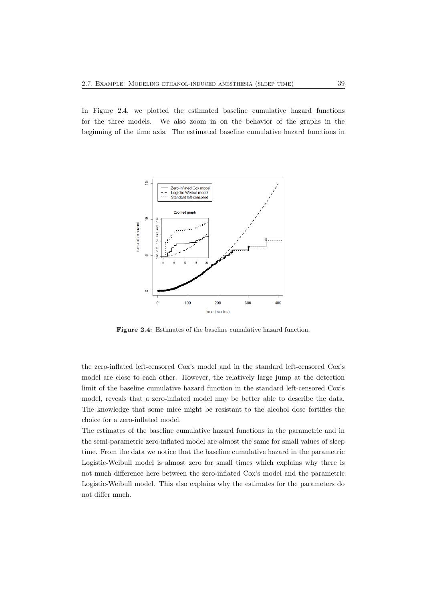In Figure 2.4, we plotted the estimated baseline cumulative hazard functions for the three models. We also zoom in on the behavior of the graphs in the beginning of the time axis. The estimated baseline cumulative hazard functions in



Figure 2.4: Estimates of the baseline cumulative hazard function.

the zero-inflated left-censored Cox's model and in the standard left-censored Cox's model are close to each other. However, the relatively large jump at the detection limit of the baseline cumulative hazard function in the standard left-censored Cox's model, reveals that a zero-inflated model may be better able to describe the data. The knowledge that some mice might be resistant to the alcohol dose fortifies the choice for a zero-inflated model.

The estimates of the baseline cumulative hazard functions in the parametric and in the semi-parametric zero-inflated model are almost the same for small values of sleep time. From the data we notice that the baseline cumulative hazard in the parametric Logistic-Weibull model is almost zero for small times which explains why there is not much difference here between the zero-inflated Cox's model and the parametric Logistic-Weibull model. This also explains why the estimates for the parameters do not differ much.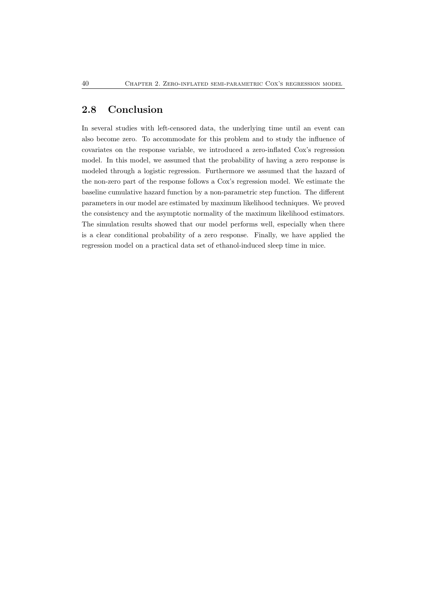# 2.8 Conclusion

In several studies with left-censored data, the underlying time until an event can also become zero. To accommodate for this problem and to study the influence of covariates on the response variable, we introduced a zero-inflated Cox's regression model. In this model, we assumed that the probability of having a zero response is modeled through a logistic regression. Furthermore we assumed that the hazard of the non-zero part of the response follows a Cox's regression model. We estimate the baseline cumulative hazard function by a non-parametric step function. The different parameters in our model are estimated by maximum likelihood techniques. We proved the consistency and the asymptotic normality of the maximum likelihood estimators. The simulation results showed that our model performs well, especially when there is a clear conditional probability of a zero response. Finally, we have applied the regression model on a practical data set of ethanol-induced sleep time in mice.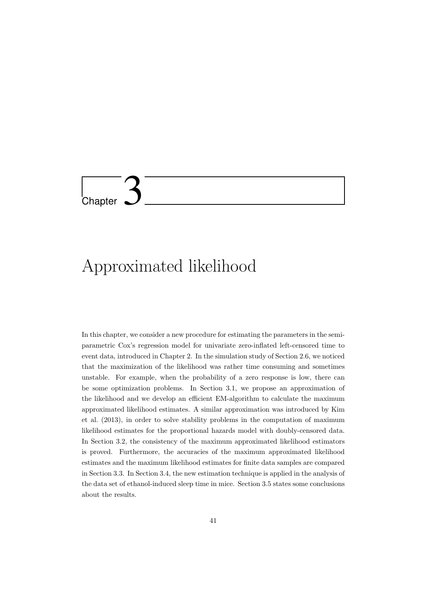# Chapter 3

# Approximated likelihood

In this chapter, we consider a new procedure for estimating the parameters in the semiparametric Cox's regression model for univariate zero-inflated left-censored time to event data, introduced in Chapter 2. In the simulation study of Section 2.6, we noticed that the maximization of the likelihood was rather time consuming and sometimes unstable. For example, when the probability of a zero response is low, there can be some optimization problems. In Section 3.1, we propose an approximation of the likelihood and we develop an efficient EM-algorithm to calculate the maximum approximated likelihood estimates. A similar approximation was introduced by Kim et al. (2013), in order to solve stability problems in the computation of maximum likelihood estimates for the proportional hazards model with doubly-censored data. In Section 3.2, the consistency of the maximum approximated likelihood estimators is proved. Furthermore, the accuracies of the maximum approximated likelihood estimates and the maximum likelihood estimates for finite data samples are compared in Section 3.3. In Section 3.4, the new estimation technique is applied in the analysis of the data set of ethanol-induced sleep time in mice. Section 3.5 states some conclusions about the results.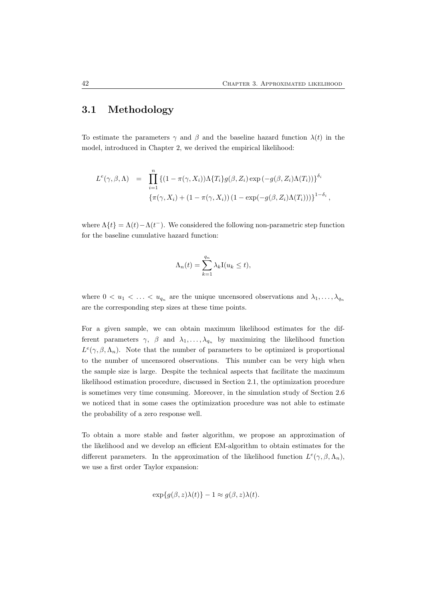# 3.1 Methodology

To estimate the parameters  $\gamma$  and  $\beta$  and the baseline hazard function  $\lambda(t)$  in the model, introduced in Chapter 2, we derived the empirical likelihood:

$$
L^e(\gamma, \beta, \Lambda) = \prod_{i=1}^n \left\{ (1 - \pi(\gamma, X_i)) \Lambda \{T_i\} g(\beta, Z_i) \exp(-g(\beta, Z_i) \Lambda(T_i)) \right\}^{\delta_i}
$$
  

$$
\left\{ \pi(\gamma, X_i) + (1 - \pi(\gamma, X_i)) (1 - \exp(-g(\beta, Z_i) \Lambda(T_i))) \right\}^{1 - \delta_i},
$$

where  $\Lambda\{t\} = \Lambda(t) - \Lambda(t^{-})$ . We considered the following non-parametric step function for the baseline cumulative hazard function:

$$
\Lambda_n(t) = \sum_{k=1}^{q_n} \lambda_k \mathbf{I}(u_k \le t),
$$

where  $0 < u_1 < \ldots < u_{q_n}$  are the unique uncensored observations and  $\lambda_1, \ldots, \lambda_{q_n}$ are the corresponding step sizes at these time points.

For a given sample, we can obtain maximum likelihood estimates for the different parameters  $\gamma$ ,  $\beta$  and  $\lambda_1, \ldots, \lambda_{q_n}$  by maximizing the likelihood function  $L^e(\gamma,\beta,\Lambda_n)$ . Note that the number of parameters to be optimized is proportional to the number of uncensored observations. This number can be very high when the sample size is large. Despite the technical aspects that facilitate the maximum likelihood estimation procedure, discussed in Section 2.1, the optimization procedure is sometimes very time consuming. Moreover, in the simulation study of Section 2.6 we noticed that in some cases the optimization procedure was not able to estimate the probability of a zero response well.

To obtain a more stable and faster algorithm, we propose an approximation of the likelihood and we develop an efficient EM-algorithm to obtain estimates for the different parameters. In the approximation of the likelihood function  $L^e(\gamma,\beta,\Lambda_n)$ , we use a first order Taylor expansion:

$$
\exp\{g(\beta, z)\lambda(t)\} - 1 \approx g(\beta, z)\lambda(t).
$$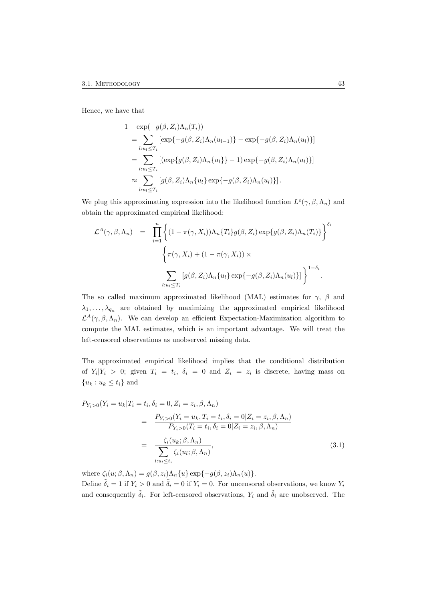Hence, we have that

$$
1 - \exp(-g(\beta, Z_i)\Lambda_n(T_i))
$$
  
= 
$$
\sum_{l:u_l \leq T_i} [\exp\{-g(\beta, Z_i)\Lambda_n(u_{l-1})\} - \exp\{-g(\beta, Z_i)\Lambda_n(u_l)\}]
$$
  
= 
$$
\sum_{l:u_l \leq T_i} [(\exp\{g(\beta, Z_i)\Lambda_n\{u_l\}\} - 1) \exp\{-g(\beta, Z_i)\Lambda_n(u_l)\}]
$$
  

$$
\approx \sum_{l:u_l \leq T_i} [g(\beta, Z_i)\Lambda_n\{u_l\} \exp\{-g(\beta, Z_i)\Lambda_n(u_l)\}].
$$

We plug this approximating expression into the likelihood function  $L^e(\gamma,\beta,\Lambda_n)$  and obtain the approximated empirical likelihood:

$$
\mathcal{L}^{A}(\gamma,\beta,\Lambda_{n}) = \prod_{i=1}^{n} \left\{ (1-\pi(\gamma,X_{i}))\Lambda_{n}\{T_{i}\}g(\beta,Z_{i})\exp\{g(\beta,Z_{i})\Lambda_{n}(T_{i})\} \right\}^{\delta_{i}}
$$

$$
\left\{ \pi(\gamma,X_{i}) + (1-\pi(\gamma,X_{i})) \times \sum_{l:u_{l}\leq T_{i}} [g(\beta,Z_{i})\Lambda_{n}\{u_{l}\}\exp\{-g(\beta,Z_{i})\Lambda_{n}(u_{l})\}] \right\}^{1-\delta_{i}}.
$$

The so called maximum approximated likelihood (MAL) estimates for  $\gamma$ ,  $\beta$  and  $\lambda_1, \ldots, \lambda_{q_n}$  are obtained by maximizing the approximated empirical likelihood  $\mathcal{L}^{A}(\gamma,\beta,\Lambda_{n}).$  We can develop an efficient Expectation-Maximization algorithm to compute the MAL estimates, which is an important advantage. We will treat the left-censored observations as unobserved missing data.

The approximated empirical likelihood implies that the conditional distribution of  $Y_i|Y_i > 0$ ; given  $T_i = t_i$ ,  $\delta_i = 0$  and  $Z_i = z_i$  is discrete, having mass on  ${u_k : u_k \leq t_i}$  and

$$
P_{Y_i>0}(Y_i = u_k | T_i = t_i, \delta_i = 0, Z_i = z_i, \beta, \Lambda_n)
$$
  
= 
$$
\frac{P_{Y_i>0}(Y_i = u_k, T_i = t_i, \delta_i = 0 | Z_i = z_i, \beta, \Lambda_n)}{P_{Y_i>0}(T_i = t_i, \delta_i = 0 | Z_i = z_i, \beta, \Lambda_n)}
$$
  
= 
$$
\frac{\zeta_i(u_k; \beta, \Lambda_n)}{\sum_{l: u_l \le t_i} \zeta_i(u_l; \beta, \Lambda_n)},
$$
(3.1)

where  $\zeta_i(u; \beta, \Lambda_n) = g(\beta, z_i) \Lambda_n \{u\} \exp{-g(\beta, z_i) \Lambda_n(u)}$ .

Define  $\tilde{\delta}_i = 1$  if  $Y_i > 0$  and  $\tilde{\delta}_i = 0$  if  $Y_i = 0$ . For uncensored observations, we know  $Y_i$ and consequently  $\tilde{\delta}_i$ . For left-censored observations,  $Y_i$  and  $\tilde{\delta}_i$  are unobserved. The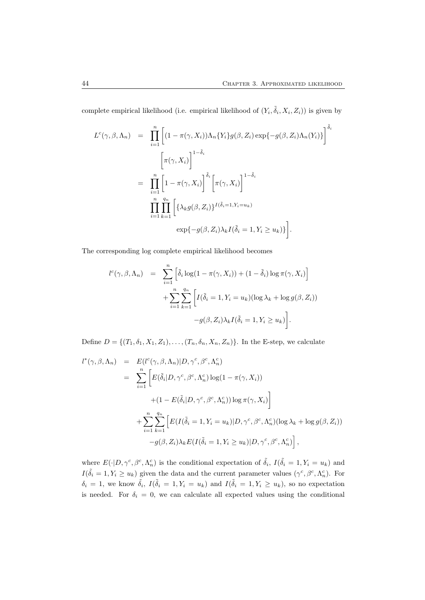complete empirical likelihood (i.e. empirical likelihood of  $(Y_i, \tilde{\delta}_i, X_i, Z_i)$ ) is given by

$$
L^{c}(\gamma, \beta, \Lambda_{n}) = \prod_{i=1}^{n} \left[ (1 - \pi(\gamma, X_{i})) \Lambda_{n} \{Y_{i}\} g(\beta, Z_{i}) \exp\{-g(\beta, Z_{i})\Lambda_{n}(Y_{i})\} \right]^{\tilde{\delta}_{i}}
$$

$$
\left[ \pi(\gamma, X_{i}) \right]^{1 - \tilde{\delta}_{i}}
$$

$$
= \prod_{i=1}^{n} \left[ 1 - \pi(\gamma, X_{i}) \right]^{\tilde{\delta}_{i}} \left[ \pi(\gamma, X_{i}) \right]^{1 - \tilde{\delta}_{i}}
$$

$$
\prod_{i=1}^{n} \prod_{k=1}^{q_{n}} \left[ \{\lambda_{k} g(\beta, Z_{i})\}^{I(\tilde{\delta}_{i} = 1, Y_{i} = u_{k})} \exp\{-g(\beta, Z_{i})\lambda_{k} I(\tilde{\delta}_{i} = 1, Y_{i} \ge u_{k})\} \right].
$$

The corresponding log complete empirical likelihood becomes

$$
l^{c}(\gamma, \beta, \Lambda_{n}) = \sum_{i=1}^{n} \left[ \tilde{\delta}_{i} \log(1 - \pi(\gamma, X_{i})) + (1 - \tilde{\delta}_{i}) \log \pi(\gamma, X_{i}) \right]
$$

$$
+ \sum_{i=1}^{n} \sum_{k=1}^{q_{n}} \left[ I(\tilde{\delta}_{i} = 1, Y_{i} = u_{k}) (\log \lambda_{k} + \log g(\beta, Z_{i})) - g(\beta, Z_{i}) \lambda_{k} I(\tilde{\delta}_{i} = 1, Y_{i} \ge u_{k}) \right].
$$

Define  $D = \{(T_1, \delta_1, X_1, Z_1), \ldots, (T_n, \delta_n, X_n, Z_n)\}\.$  In the E-step, we calculate

$$
l^*(\gamma, \beta, \Lambda_n) = E(l^c(\gamma, \beta, \Lambda_n)|D, \gamma^c, \beta^c, \Lambda_n^c)
$$
  
\n
$$
= \sum_{i=1}^n \left[ E(\tilde{\delta}_i|D, \gamma^c, \beta^c, \Lambda_n^c) \log(1 - \pi(\gamma, X_i))
$$
  
\n
$$
+ (1 - E(\tilde{\delta}_i|D, \gamma^c, \beta^c, \Lambda_n^c)) \log \pi(\gamma, X_i) \right]
$$
  
\n
$$
+ \sum_{i=1}^n \sum_{k=1}^{q_n} \left[ E(I(\tilde{\delta}_i = 1, Y_i = u_k)|D, \gamma^c, \beta^c, \Lambda_n^c) (\log \lambda_k + \log g(\beta, Z_i))
$$
  
\n
$$
-g(\beta, Z_i)\lambda_k E(I(\tilde{\delta}_i = 1, Y_i \ge u_k)|D, \gamma^c, \beta^c, \Lambda_n^c) \right],
$$

where  $E(\cdot|D,\gamma^c,\beta^c,\Lambda_n^c)$  is the conditional expectation of  $\tilde{\delta}_i$ ,  $I(\tilde{\delta}_i=1,Y_i=u_k)$  and  $I(\tilde{\delta}_i = 1, Y_i \ge u_k)$  given the data and the current parameter values  $(\gamma^c, \beta^c, \Lambda_n^c)$ . For  $\delta_i = 1$ , we know  $\tilde{\delta}_i$ ,  $I(\tilde{\delta}_i = 1, Y_i = u_k)$  and  $I(\tilde{\delta}_i = 1, Y_i \ge u_k)$ , so no expectation is needed. For  $\delta_i = 0$ , we can calculate all expected values using the conditional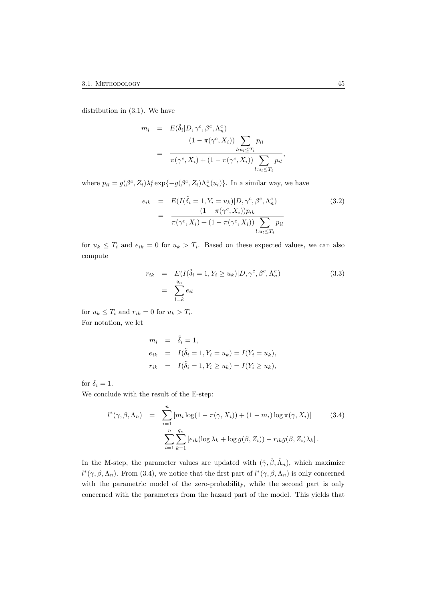distribution in (3.1). We have

$$
m_i = E(\tilde{\delta}_i | D, \gamma^c, \beta^c, \Lambda_n^c) = \frac{(1 - \pi(\gamma^c, X_i)) \sum_{l: u_l \le T_i} p_{il}}{\pi(\gamma^c, X_i) + (1 - \pi(\gamma^c, X_i)) \sum_{l: u_l \le T_i} p_{il}},
$$

where  $p_{il} = g(\beta^c, Z_i) \lambda_l^c \exp\{-g(\beta^c, Z_i) \Lambda_n^c(u_l)\}\$ . In a similar way, we have

$$
e_{ik} = E(I(\tilde{\delta}_{i} = 1, Y_{i} = u_{k}) | D, \gamma^{c}, \beta^{c}, \Lambda_{n}^{c})
$$
  
= 
$$
\frac{(1 - \pi(\gamma^{c}, X_{i})) p_{ik}}{\pi(\gamma^{c}, X_{i}) + (1 - \pi(\gamma^{c}, X_{i})) \sum_{l: u_{l} \leq T_{i}} p_{il}}
$$
(3.2)

for  $u_k \leq T_i$  and  $e_{ik} = 0$  for  $u_k > T_i$ . Based on these expected values, we can also compute

$$
r_{ik} = E(I(\tilde{\delta}_i = 1, Y_i \ge u_k)|D, \gamma^c, \beta^c, \Lambda_n^c)
$$
  
= 
$$
\sum_{l=k}^{q_n} e_{il}
$$
 (3.3)

for  $u_k \leq T_i$  and  $r_{ik} = 0$  for  $u_k > T_i$ . For notation, we let

$$
m_i = \tilde{\delta}_i = 1,
$$
  
\n
$$
e_{ik} = I(\tilde{\delta}_i = 1, Y_i = u_k) = I(Y_i = u_k),
$$
  
\n
$$
r_{ik} = I(\tilde{\delta}_i = 1, Y_i \ge u_k) = I(Y_i \ge u_k),
$$

for  $\delta_i = 1$ .

We conclude with the result of the E-step:

$$
l^*(\gamma, \beta, \Lambda_n) = \sum_{i=1}^n [m_i \log(1 - \pi(\gamma, X_i)) + (1 - m_i) \log \pi(\gamma, X_i)]
$$
(3.4)  

$$
\sum_{i=1}^n \sum_{k=1}^{q_n} [e_{ik} (\log \lambda_k + \log g(\beta, Z_i)) - r_{ik} g(\beta, Z_i) \lambda_k].
$$

In the M-step, the parameter values are updated with  $(\hat{\gamma}, \hat{\beta}, \hat{\Lambda}_n)$ , which maximize  $l^*(\gamma,\beta,\Lambda_n)$ . From (3.4), we notice that the first part of  $l^*(\gamma,\beta,\Lambda_n)$  is only concerned with the parametric model of the zero-probability, while the second part is only concerned with the parameters from the hazard part of the model. This yields that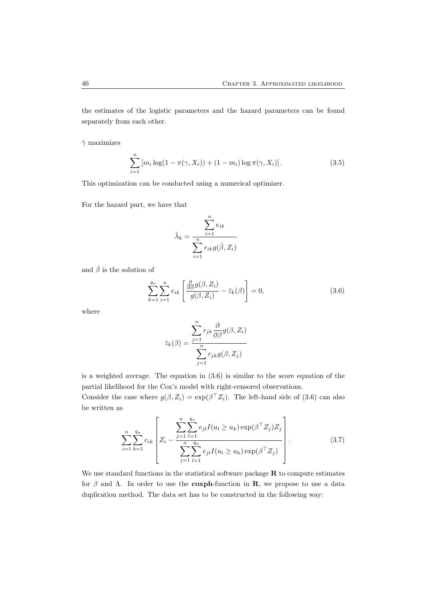the estimates of the logistic parameters and the hazard parameters can be found separately from each other.

 $\hat{\gamma}$  maximizes

$$
\sum_{i=1}^{n} [m_i \log(1 - \pi(\gamma, X_i)) + (1 - m_i) \log \pi(\gamma, X_i)].
$$
\n(3.5)

This optimization can be conducted using a numerical optimizer.

For the hazard part, we have that

$$
\hat{\lambda}_k = \frac{\sum_{i=1}^n e_{ik}}{\sum_{i=1}^n r_{ik}g(\hat{\beta}, Z_i)}
$$

and  $\hat{\beta}$  is the solution of

$$
\sum_{k=1}^{q_n} \sum_{i=1}^n e_{ik} \left[ \frac{\frac{\partial}{\partial \beta} g(\beta, Z_i)}{g(\beta, Z_i)} - \bar{z}_k(\beta) \right] = 0, \tag{3.6}
$$

where

$$
\bar{z}_k(\beta) = \frac{\sum_{j=1}^n r_{jk} \frac{\partial}{\partial \beta} g(\beta, Z_i)}{\sum_{j=1}^n r_{jk} g(\beta, Z_j)}
$$

is a weighted average. The equation in (3.6) is similar to the score equation of the partial likelihood for the Cox's model with right-censored observations.

Consider the case where  $g(\beta, Z_i) = \exp(\beta^\top Z_i)$ . The left-hand side of (3.6) can also be written as

$$
\sum_{i=1}^{n} \sum_{k=1}^{q_n} e_{ik} \left[ Z_i - \frac{\sum_{j=1}^{n} \sum_{l=1}^{q_n} e_{jl} I(u_l \ge u_k) \exp(\beta^\top Z_j) Z_j}{\sum_{j=1}^{n} \sum_{l=1}^{q_n} e_{jl} I(u_l \ge u_k) \exp(\beta^\top Z_j)} \right].
$$
\n(3.7)

We use standard functions in the statistical software package  **to compute estimates** for  $\beta$  and  $\Lambda$ . In order to use the **coxph**-function in **R**, we propose to use a data duplication method. The data set has to be constructed in the following way: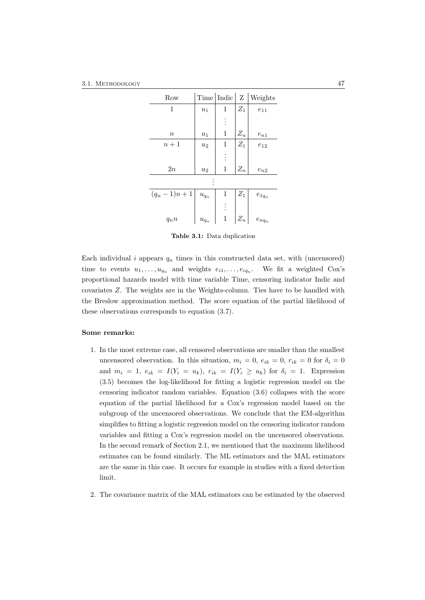| Row             | Time                   | Indic        | Z               | Weights    |  |
|-----------------|------------------------|--------------|-----------------|------------|--|
| 1               | $u_1$                  | 1            | $\mathbb{Z}_1$  | $e_{11}$   |  |
|                 |                        |              |                 |            |  |
| $\it n$         | $\boldsymbol{u}_1$     | $\mathbf 1$  | $\mathcal{Z}_n$ | $e_{n1}$   |  |
| $n+1$           | $u_2$                  | 1            | $\mathbb{Z}_1$  | $e_{12}$   |  |
|                 |                        |              |                 |            |  |
| $2\mathfrak{n}$ | $u_2$                  | $\mathbf{1}$ | $Z_n$           | $e_{n2}$   |  |
|                 |                        |              |                 |            |  |
| $(q_n-1)n+1$    | $\boldsymbol{u}_{q_n}$ | 1            | $Z_1$           | $e_{1q_n}$ |  |
|                 |                        |              |                 |            |  |
| $q_n n$         | $\boldsymbol{u}_{q_n}$ | $\,1$        | $Z_n$           | $e_{nq_n}$ |  |

Table 3.1: Data duplication

Each individual  $i$  appears  $q_n$  times in this constructed data set, with (uncensored) time to events  $u_1, \ldots, u_{q_n}$  and weights  $e_{i1}, \ldots, e_{iq_n}$ . We fit a weighted Cox's proportional hazards model with time variable Time, censoring indicator Indic and covariates Z. The weights are in the Weights-column. Ties have to be handled with the Breslow approximation method. The score equation of the partial likelihood of these observations corresponds to equation (3.7).

#### Some remarks:

- 1. In the most extreme case, all censored observations are smaller than the smallest uncensored observation. In this situation,  $m_i = 0$ ,  $e_{ik} = 0$ ,  $r_{ik} = 0$  for  $\delta_i = 0$ and  $m_i = 1$ ,  $e_{ik} = I(Y_i = u_k)$ ,  $r_{ik} = I(Y_i \ge u_k)$  for  $\delta_i = 1$ . Expression (3.5) becomes the log-likelihood for fitting a logistic regression model on the censoring indicator random variables. Equation (3.6) collapses with the score equation of the partial likelihood for a Cox's regression model based on the subgroup of the uncensored observations. We conclude that the EM-algorithm simplifies to fitting a logistic regression model on the censoring indicator random variables and fitting a Cox's regression model on the uncensored observations. In the second remark of Section 2.1, we mentioned that the maximum likelihood estimates can be found similarly. The ML estimators and the MAL estimators are the same in this case. It occurs for example in studies with a fixed detection limit.
- 2. The covariance matrix of the MAL estimators can be estimated by the observed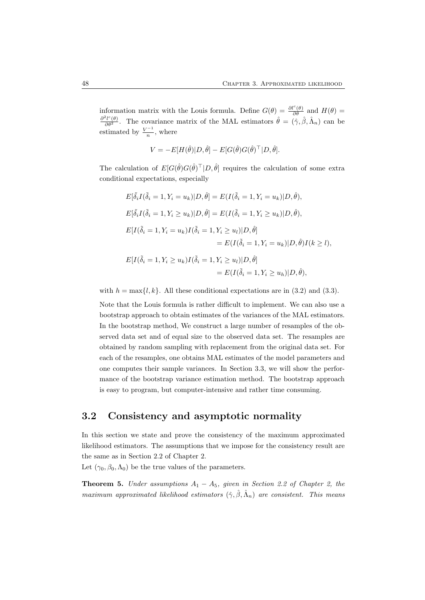information matrix with the Louis formula. Define  $G(\theta) = \frac{\partial l^c(\theta)}{\partial \theta}$  and  $H(\theta) = \frac{\partial^2 l^c(\theta)}{\partial \theta^2}$ . The covariance matrix of the MAL estimators  $\hat{\theta} = (\hat{\gamma}, \hat{\beta}, \hat{\Lambda}_n)$  can be estimated by  $\frac{V^{-1}}{n}$  $\frac{1}{n}$ , where

$$
V = -E[H(\hat{\theta})|D,\hat{\theta}] - E[G(\hat{\theta})G(\hat{\theta})^{\top}|D,\hat{\theta}].
$$

The calculation of  $E[G(\hat{\theta})G(\hat{\theta})^{\top}]D, \hat{\theta}$  requires the calculation of some extra conditional expectations, especially

$$
E[\tilde{\delta}_i I(\tilde{\delta}_i = 1, Y_i = u_k)|D, \hat{\theta}] = E(I(\tilde{\delta}_i = 1, Y_i = u_k)|D, \hat{\theta}),
$$
  
\n
$$
E[\tilde{\delta}_i I(\tilde{\delta}_i = 1, Y_i \ge u_k)|D, \hat{\theta}] = E(I(\tilde{\delta}_i = 1, Y_i \ge u_k)|D, \hat{\theta}),
$$
  
\n
$$
E[I(\tilde{\delta}_i = 1, Y_i = u_k)I(\tilde{\delta}_i = 1, Y_i \ge u_l)|D, \hat{\theta}]
$$
  
\n
$$
= E(I(\tilde{\delta}_i = 1, Y_i = u_k)|D, \hat{\theta})I(k \ge l),
$$
  
\n
$$
E[I(\tilde{\delta}_i = 1, Y_i \ge u_k)I(\tilde{\delta}_i = 1, Y_i \ge u_l)|D, \hat{\theta}]
$$
  
\n
$$
= E(I(\tilde{\delta}_i = 1, Y_i \ge u_h)|D, \hat{\theta}),
$$

with  $h = \max\{l, k\}$ . All these conditional expectations are in (3.2) and (3.3).

Note that the Louis formula is rather difficult to implement. We can also use a bootstrap approach to obtain estimates of the variances of the MAL estimators. In the bootstrap method, We construct a large number of resamples of the observed data set and of equal size to the observed data set. The resamples are obtained by random sampling with replacement from the original data set. For each of the resamples, one obtains MAL estimates of the model parameters and one computes their sample variances. In Section 3.3, we will show the performance of the bootstrap variance estimation method. The bootstrap approach is easy to program, but computer-intensive and rather time consuming.

## 3.2 Consistency and asymptotic normality

In this section we state and prove the consistency of the maximum approximated likelihood estimators. The assumptions that we impose for the consistency result are the same as in Section 2.2 of Chapter 2.

Let  $(\gamma_0, \beta_0, \Lambda_0)$  be the true values of the parameters.

**Theorem 5.** Under assumptions  $A_1 - A_5$ , given in Section 2.2 of Chapter 2, the maximum approximated likelihood estimators  $(\hat{\gamma}, \hat{\beta}, \hat{\Lambda}_n)$  are consistent. This means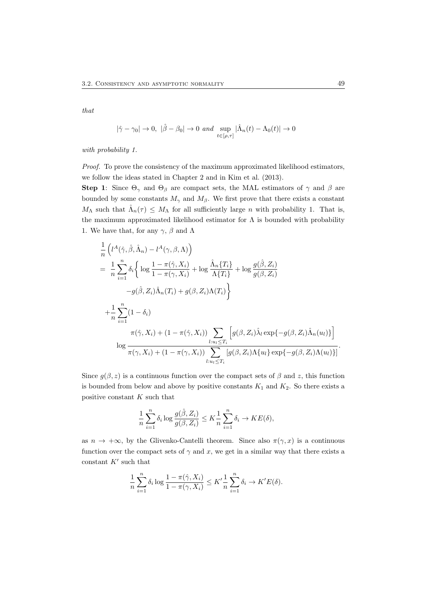that

$$
|\hat{\gamma} - \gamma_0| \to 0, \ |\hat{\beta} - \beta_0| \to 0 \ and \ \sup_{t \in [\rho, \tau]} |\hat{\Lambda}_n(t) - \Lambda_0(t)| \to 0
$$

with probability 1.

Proof. To prove the consistency of the maximum approximated likelihood estimators, we follow the ideas stated in Chapter 2 and in Kim et al. (2013).

Step 1: Since  $\Theta_{\gamma}$  and  $\Theta_{\beta}$  are compact sets, the MAL estimators of  $\gamma$  and  $\beta$  are bounded by some constants  $M_{\gamma}$  and  $M_{\beta}$ . We first prove that there exists a constant  $M_{\Lambda}$  such that  $\hat{\Lambda}_n(\tau) \leq M_{\Lambda}$  for all sufficiently large n with probability 1. That is, the maximum approximated likelihood estimator for  $\Lambda$  is bounded with probability 1. We have that, for any  $\gamma$ ,  $\beta$  and  $\Lambda$ 

$$
\frac{1}{n} \left( l^{A}(\hat{\gamma}, \hat{\beta}, \hat{\Lambda}_{n}) - l^{A}(\gamma, \beta, \Lambda) \right)
$$
\n
$$
= \frac{1}{n} \sum_{i=1}^{n} \delta_{i} \left\{ \log \frac{1 - \pi(\hat{\gamma}, X_{i})}{1 - \pi(\gamma, X_{i})} + \log \frac{\hat{\Lambda}_{n} \{T_{i}\}}{\Lambda \{T_{i}\}} + \log \frac{g(\hat{\beta}, Z_{i})}{g(\beta, Z_{i})} - g(\hat{\beta}, Z_{i}) \hat{\Lambda}_{n}(T_{i}) + g(\beta, Z_{i}) \Lambda(T_{i}) \right\}
$$
\n
$$
+ \frac{1}{n} \sum_{i=1}^{n} (1 - \delta_{i})
$$
\n
$$
\pi(\hat{\gamma}, X_{i}) + (1 - \pi(\hat{\gamma}, X_{i})) \sum_{l: u_{l} \leq T_{i}} \left[ g(\beta, Z_{i}) \hat{\lambda}_{l} \exp \{-g(\beta, Z_{i}) \hat{\Lambda}_{n}(u_{l}) \} \right]
$$
\n
$$
\log \frac{l: u_{l} \leq T_{i}}{\pi(\gamma, X_{i}) + (1 - \pi(\gamma, X_{i})) \sum_{l: u_{l} \leq T_{i}} \left[ g(\beta, Z_{i}) \Lambda \{u_{l}\} \exp \{-g(\beta, Z_{i}) \Lambda(u_{l}) \} \right].
$$

Since  $g(\beta, z)$  is a continuous function over the compact sets of  $\beta$  and z, this function is bounded from below and above by positive constants  $K_1$  and  $K_2$ . So there exists a positive constant  $K$  such that

$$
\frac{1}{n}\sum_{i=1}^n \delta_i \log \frac{g(\hat{\beta}, Z_i)}{g(\beta, Z_i)} \leq K \frac{1}{n}\sum_{i=1}^n \delta_i \to KE(\delta),
$$

as  $n \to +\infty$ , by the Glivenko-Cantelli theorem. Since also  $\pi(\gamma, x)$  is a continuous function over the compact sets of  $\gamma$  and x, we get in a similar way that there exists a constant  $K'$  such that

$$
\frac{1}{n}\sum_{i=1}^n \delta_i \log \frac{1-\pi(\hat{\gamma},X_i)}{1-\pi(\gamma,X_i)} \leq K' \frac{1}{n}\sum_{i=1}^n \delta_i \to K'E(\delta).
$$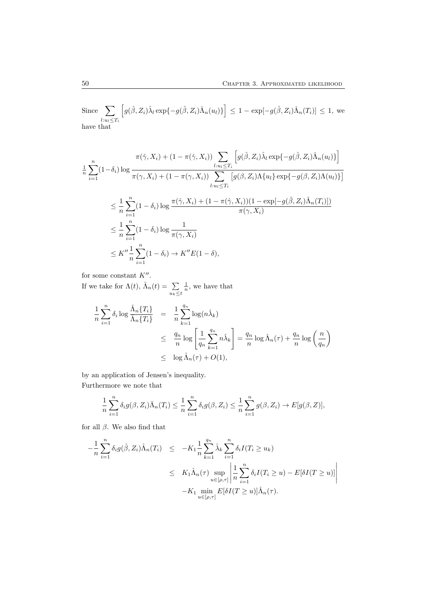Since 
$$
\sum_{l: u_l \leq T_i} \left[ g(\hat{\beta}, Z_i) \hat{\lambda}_l \exp\{-g(\hat{\beta}, Z_i) \hat{\Lambda}_n(u_l)\} \right] \leq 1 - \exp[-g(\hat{\beta}, Z_i) \hat{\Lambda}_n(T_i)] \leq 1
$$
, we have that

$$
\pi(\hat{\gamma}, X_i) + (1 - \pi(\hat{\gamma}, X_i)) \sum_{l: u_l \le T_i} \left[ g(\hat{\beta}, Z_i) \hat{\lambda}_l \exp\{-g(\hat{\beta}, Z_i) \hat{\lambda}_n(u_l)\} \right]
$$
\n
$$
\frac{1}{n} \sum_{i=1}^n (1 - \delta_i) \log \frac{\pi(\gamma, X_i) + (1 - \pi(\gamma, X_i)) \sum_{l: u_l \le T_i} \left[ g(\beta, Z_i) \Lambda\{u_l\} \exp\{-g(\beta, Z_i) \Lambda(u_l)\} \right]}{\left[ u_{l: u_l \le T_i} \right]}
$$
\n
$$
\le \frac{1}{n} \sum_{i=1}^n (1 - \delta_i) \log \frac{\pi(\hat{\gamma}, X_i) + (1 - \pi(\hat{\gamma}, X_i))(1 - \exp[-g(\hat{\beta}, Z_i) \hat{\Lambda}_n(T_i)])}{\pi(\gamma, X_i)}
$$
\n
$$
\le K'' \frac{1}{n} \sum_{i=1}^n (1 - \delta_i) \log \frac{1}{\pi(\gamma, X_i)}
$$
\n
$$
\le K'' \frac{1}{n} \sum_{i=1}^n (1 - \delta_i) \to K'' E(1 - \delta),
$$

for some constant  $K''$ .

If we take for  $\Lambda(t)$ ,  $\bar{\Lambda}_n(t) = \sum$  $u_k \leq t$  $\frac{1}{n}$ , we have that

$$
\frac{1}{n} \sum_{i=1}^{n} \delta_i \log \frac{\hat{\Lambda}_n \{T_i\}}{\bar{\Lambda}_n \{T_i\}} = \frac{1}{n} \sum_{k=1}^{q_n} \log(n \hat{\lambda}_k)
$$
\n
$$
\leq \frac{q_n}{n} \log \left[ \frac{1}{q_n} \sum_{k=1}^{q_n} n \hat{\lambda}_k \right] = \frac{q_n}{n} \log \hat{\Lambda}_n(\tau) + \frac{q_n}{n} \log \left( \frac{n}{q_n} \right)
$$
\n
$$
\leq \log \hat{\Lambda}_n(\tau) + O(1),
$$

by an application of Jensen's inequality. Furthermore we note that

$$
\frac{1}{n}\sum_{i=1}^n \delta_i g(\beta, Z_i) \bar{\Lambda}_n(T_i) \leq \frac{1}{n}\sum_{i=1}^n \delta_i g(\beta, Z_i) \leq \frac{1}{n}\sum_{i=1}^n g(\beta, Z_i) \to E[g(\beta, Z)],
$$

for all  $\beta$ . We also find that

$$
-\frac{1}{n}\sum_{i=1}^{n}\delta_{i}g(\hat{\beta},Z_{i})\hat{\Lambda}_{n}(T_{i}) \leq -K_{1}\frac{1}{n}\sum_{k=1}^{q_{n}}\hat{\lambda}_{k}\sum_{i=1}^{n}\delta_{i}I(T_{i}\geq u_{k})
$$
  

$$
\leq K_{1}\hat{\Lambda}_{n}(\tau)\sup_{u\in[\rho,\tau]}\left|\frac{1}{n}\sum_{i=1}^{n}\delta_{i}I(T_{i}\geq u)-E[\delta I(T\geq u)]\right|
$$
  

$$
-K_{1}\min_{u\in[\rho,\tau]}E[\delta I(T\geq u)]\hat{\Lambda}_{n}(\tau).
$$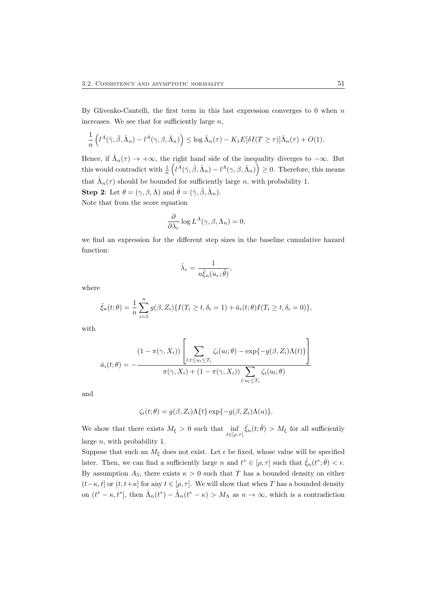By Glivenko-Cantelli, the first term in this last expression converges to 0 when  $n$ increases. We see that for sufficiently large  $n$ ,

$$
\frac{1}{n}\left(l^A(\hat{\gamma},\hat{\beta},\hat{\Lambda}_n)-l^A(\gamma,\beta,\bar{\Lambda}_n)\right)\leq \log \hat{\Lambda}_n(\tau)-K_1E[\delta I(T\geq \tau)]\hat{\Lambda}_n(\tau)+O(1).
$$

Hence, if  $\hat{\Lambda}_n(\tau) \to +\infty$ , the right hand side of the inequality diverges to  $-\infty$ . But this would contradict with  $\frac{1}{n} \left( l^A(\hat{\gamma}, \hat{\beta}, \hat{\Lambda}_n) - l^A(\gamma, \beta, \bar{\Lambda}_n) \right) \geq 0$ . Therefore, this means that  $\hat{\Lambda}_n(\tau)$  should be bounded for sufficiently large n, with probability 1. **Step 2:** Let  $\theta = (\gamma, \beta, \Lambda)$  and  $\hat{\theta} = (\hat{\gamma}, \hat{\beta}, \hat{\Lambda}_n)$ .

Note that from the score equation

$$
\frac{\partial}{\partial \lambda_r} \log L^A(\gamma, \beta, \Lambda_n) = 0,
$$

we find an expression for the different step sizes in the baseline cumulative hazard function:

$$
\hat{\lambda}_r = \frac{1}{n\bar{\xi}_n(u_r;\hat{\theta})},
$$

where

$$
\bar{\xi}_n(t;\theta) = \frac{1}{n} \sum_{i=1}^n g(\beta, Z_i) \{ I(T_i \ge t, \delta_i = 1) + \bar{a}_i(t; \theta) I(T_i \ge t, \delta_i = 0) \},
$$

with

$$
\bar{a}_i(t; \theta) = -\frac{(1 - \pi(\gamma, X_i)) \left[ \sum_{l:t \le u_l \le T_i} \zeta_i(u_l; \theta) - \exp\{-g(\beta, Z_i)\Lambda(t)\}\right]}{\pi(\gamma, X_i) + (1 - \pi(\gamma, X_i)) \sum_{l: u_l \le T_i} \zeta_i(u_l; \theta)}
$$

and

$$
\zeta_i(t;\theta) = g(\beta,Z_i) \Lambda\{t\} \exp\{-g(\beta,Z_i) \Lambda(u)\}.
$$

We show that there exists  $M_{\xi} > 0$  such that  $\inf_{t \in [\rho,\tau]} \bar{\xi}_n(t;\hat{\theta}) > M_{\xi}$  for all sufficiently large n, with probability 1.

Suppose that such an  $M_{\xi}$  does not exist. Let  $\epsilon$  be fixed, whose value will be specified later. Then, we can find a sufficiently large n and  $t^* \in [\rho, \tau]$  such that  $\bar{\xi}_n(t^*; \hat{\theta}) < \epsilon$ . By assumption  $A_5$ , there exists  $\kappa > 0$  such that T has a bounded density on either  $(t-\kappa, t]$  or  $(t, t+\kappa]$  for any  $t \in [\rho, \tau]$ . We will show that when T has a bounded density on  $(t^* - \kappa, t^*]$ , then  $\hat{\Lambda}_n(t^*) - \hat{\Lambda}_n(t^* - \kappa) > M_\Lambda$  as  $n \to \infty$ , which is a contradiction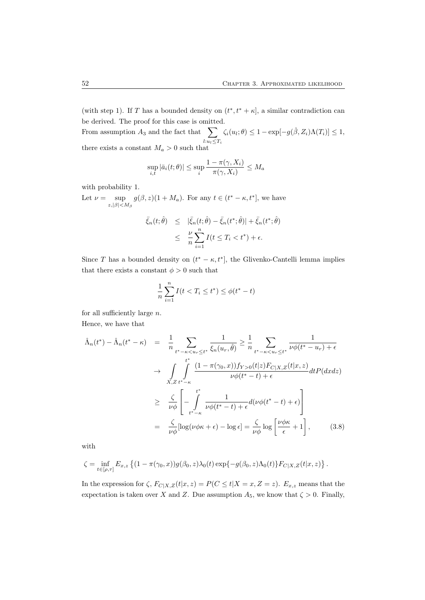(with step 1). If T has a bounded density on  $(t^*, t^* + \kappa]$ , a similar contradiction can be derived. The proof for this case is omitted.

From assumption  $A_3$  and the fact that  $\sum$  $l:u_l\leq T_i$  $\zeta_i(u_i;\theta) \leq 1 - \exp[-g(\hat{\beta}, Z_i)\Lambda(T_i)] \leq 1,$ there exists a constant  $M_a > 0$  such that

$$
\sup_{i,t} |\bar{a}_i(t;\theta)| \le \sup_i \frac{1 - \pi(\gamma, X_i)}{\pi(\gamma, X_i)} \le M_a
$$

with probability 1.

Let  $\nu = \sup$  $\sup_{z, |\beta| < M_\beta} g(\beta, z)(1 + M_a)$ . For any  $t \in (t^* - \kappa, t^*]$ , we have

$$
\bar{\xi}_n(t;\hat{\theta}) \leq |\bar{\xi}_n(t;\hat{\theta}) - \bar{\xi}_n(t^*;\hat{\theta})| + \bar{\xi}_n(t^*;\hat{\theta})
$$
  

$$
\leq \frac{\nu}{n} \sum_{i=1}^n I(t \leq T_i < t^*) + \epsilon.
$$

Since T has a bounded density on  $(t^* - \kappa, t^*]$ , the Glivenko-Cantelli lemma implies that there exists a constant  $\phi > 0$  such that

$$
\frac{1}{n}\sum_{i=1}^{n} I(t < T_i \le t^*) \le \phi(t^* - t)
$$

for all sufficiently large  $n$ . Hence, we have that

$$
\hat{\Lambda}_n(t^*) - \hat{\Lambda}_n(t^* - \kappa) = \frac{1}{n} \sum_{t^* - \kappa < u_r \leq t^*} \frac{1}{\xi_n(u_r, \hat{\theta})} \geq \frac{1}{n} \sum_{t^* - \kappa < u_r \leq t^*} \frac{1}{\nu \phi(t^* - u_r) + \epsilon}
$$
\n
$$
\rightarrow \int_{X, Z} \int_{t^* - \kappa}^{t^*} \frac{(1 - \pi(\gamma_0, x)) f_{Y > 0}(t|z) F_{C|X, Z}(t|x, z)}{\nu \phi(t^* - t) + \epsilon} dt P(dxdz)
$$
\n
$$
\geq \frac{\zeta}{\nu \phi} \left[ -\int_{t^* - \kappa}^{t^*} \frac{1}{\nu \phi(t^* - t) + \epsilon} d(\nu \phi(t^* - t) + \epsilon) \right]
$$
\n
$$
= \frac{\zeta}{\nu \phi} [\log(\nu \phi \kappa + \epsilon) - \log \epsilon] = \frac{\zeta}{\nu \phi} \log \left[ \frac{\nu \phi \kappa}{\epsilon} + 1 \right], \qquad (3.8)
$$

with

$$
\zeta = \inf_{t \in [\rho, \tau]} E_{x,z} \left\{ (1 - \pi(\gamma_0, x)) g(\beta_0, z) \lambda_0(t) \exp\{-g(\beta_0, z) \Lambda_0(t)\} F_{C|X,Z}(t | x, z) \right\}.
$$

In the expression for  $\zeta$ ,  $F_{C|X,Z}(t|x,z) = P(C \leq t | X = x, Z = z)$ .  $E_{x,z}$  means that the expectation is taken over X and Z. Due assumption  $A_5$ , we know that  $\zeta > 0$ . Finally,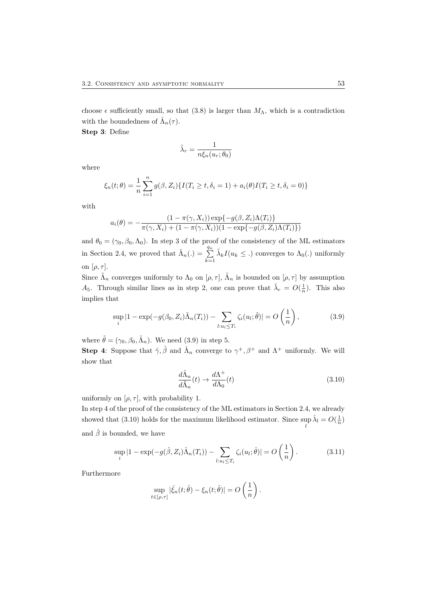choose  $\epsilon$  sufficiently small, so that (3.8) is larger than  $M_{\Lambda}$ , which is a contradiction with the boundedness of  $\hat{\Lambda}_n(\tau)$ .

Step 3: Define

$$
\tilde{\lambda}_r = \frac{1}{n\xi_n(u_r; \theta_0)}
$$

where

$$
\xi_n(t; \theta) = \frac{1}{n} \sum_{i=1}^n g(\beta, Z_i) \{ I(T_i \ge t, \delta_i = 1) + a_i(\theta) I(T_i \ge t, \delta_i = 0) \}
$$

with

$$
a_i(\theta) = -\frac{(1 - \pi(\gamma, X_i)) \exp\{-g(\beta, Z_i)\Lambda(T_i)\}}{\pi(\gamma, X_i) + (1 - \pi(\gamma, X_i))(1 - \exp\{-g(\beta, Z_i)\Lambda(T_i)\})}
$$

and  $\theta_0 = (\gamma_0, \beta_0, \Lambda_0)$ . In step 3 of the proof of the consistency of the ML estimators in Section 2.4, we proved that  $\tilde{\Lambda}_n(.) = \sum_{k=1}^{q_n}$  $\tilde{\lambda}_k I(u_k \leq .)$  converges to  $\Lambda_0(.)$  uniformly on  $[\rho, \tau]$ .

Since  $\tilde{\Lambda}_n$  converges uniformly to  $\Lambda_0$  on  $[\rho, \tau]$ ,  $\tilde{\Lambda}_n$  is bounded on  $[\rho, \tau]$  by assumption A<sub>5</sub>. Through similar lines as in step 2, one can prove that  $\tilde{\lambda}_r = O(\frac{1}{n})$ . This also implies that

$$
\sup_{i} |1 - \exp(-g(\beta_0, Z_i)\tilde{\Lambda}_n(T_i)) - \sum_{l: u_l \le T_i} \zeta_i(u_l; \tilde{\theta})| = O\left(\frac{1}{n}\right),\tag{3.9}
$$

where  $\tilde{\theta} = (\gamma_0, \beta_0, \tilde{\Lambda}_n)$ . We need (3.9) in step 5.

**Step 4:** Suppose that  $\hat{\gamma}, \hat{\beta}$  and  $\hat{\Lambda}_n$  converge to  $\gamma^+, \beta^+$  and  $\Lambda^+$  uniformly. We will show that

$$
\frac{d\hat{\Lambda}_n}{d\tilde{\Lambda}_n}(t) \to \frac{d\Lambda^+}{d\Lambda_0}(t)
$$
\n(3.10)

uniformly on  $[\rho, \tau]$ , with probability 1.

In step 4 of the proof of the consistency of the ML estimators in Section 2.4, we already showed that (3.10) holds for the maximum likelihood estimator. Since sup  $\hat{\lambda}_l = O(\frac{1}{n})$ l and  $\hat{\beta}$  is bounded, we have

$$
\sup_{i}|1 - \exp(-g(\hat{\beta}, Z_i)\hat{\Lambda}_n(T_i)) - \sum_{l: u_l \le T_i} \zeta_i(u_l; \hat{\theta})| = O\left(\frac{1}{n}\right). \tag{3.11}
$$

Furthermore

$$
\sup_{t\in[\rho,\tau]}|\bar{\xi}_n(t;\hat{\theta})-\xi_n(t;\hat{\theta})|=O\left(\frac{1}{n}\right).
$$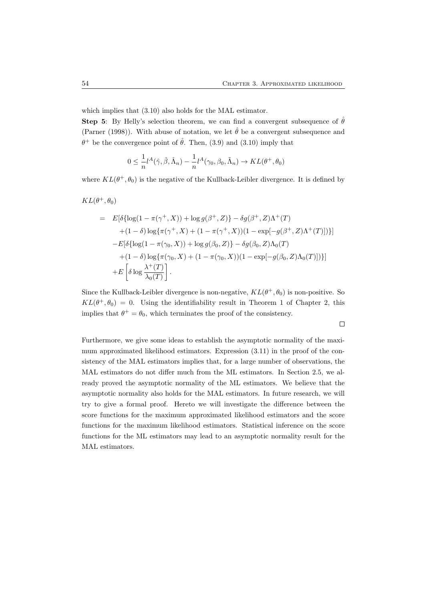which implies that (3.10) also holds for the MAL estimator.

**Step 5:** By Helly's selection theorem, we can find a convergent subsequence of  $\hat{\theta}$ (Parner (1998)). With abuse of notation, we let  $\hat{\theta}$  be a convergent subsequence and  $\theta^+$  be the convergence point of  $\hat{\theta}$ . Then, (3.9) and (3.10) imply that

$$
0 \leq \frac{1}{n}l^{A}(\hat{\gamma}, \hat{\beta}, \hat{\Lambda}_{n}) - \frac{1}{n}l^{A}(\gamma_{0}, \beta_{0}, \tilde{\Lambda}_{n}) \to KL(\theta^{+}, \theta_{0})
$$

where  $KL(\theta^+, \theta_0)$  is the negative of the Kullback-Leibler divergence. It is defined by

 $KL(\theta^+, \theta_0)$ 

$$
= E[\delta{\log(1 - \pi(\gamma^+, X))} + \log g(\beta^+, Z)] - \delta g(\beta^+, Z)\Lambda^+(T)
$$
  
+ (1 - \delta) \log{\pi(\gamma^+, X)} + (1 - \pi(\gamma^+, X))(1 - \exp[-g(\beta^+, Z)\Lambda^+(T)])}]  
- E[\delta{\log(1 - \pi(\gamma\_0, X))} + \log g(\beta\_0, Z)] - \delta g(\beta\_0, Z)\Lambda\_0(T)  
+ (1 - \delta) \log{\pi(\gamma\_0, X)} + (1 - \pi(\gamma\_0, X))(1 - \exp[-g(\beta\_0, Z)\Lambda\_0(T)]))]  
+ E\left[\delta \log \frac{\lambda^+(T)}{\lambda\_0(T)}\right].

Since the Kullback-Leibler divergence is non-negative,  $KL(\theta^+,\theta_0)$  is non-positive. So  $KL(\theta^+, \theta_0) = 0$ . Using the identifiability result in Theorem 1 of Chapter 2, this implies that  $\theta^+ = \theta_0$ , which terminates the proof of the consistency.

Furthermore, we give some ideas to establish the asymptotic normality of the maximum approximated likelihood estimators. Expression (3.11) in the proof of the consistency of the MAL estimators implies that, for a large number of observations, the MAL estimators do not differ much from the ML estimators. In Section 2.5, we already proved the asymptotic normality of the ML estimators. We believe that the asymptotic normality also holds for the MAL estimators. In future research, we will try to give a formal proof. Hereto we will investigate the difference between the score functions for the maximum approximated likelihood estimators and the score functions for the maximum likelihood estimators. Statistical inference on the score functions for the ML estimators may lead to an asymptotic normality result for the MAL estimators.

 $\Box$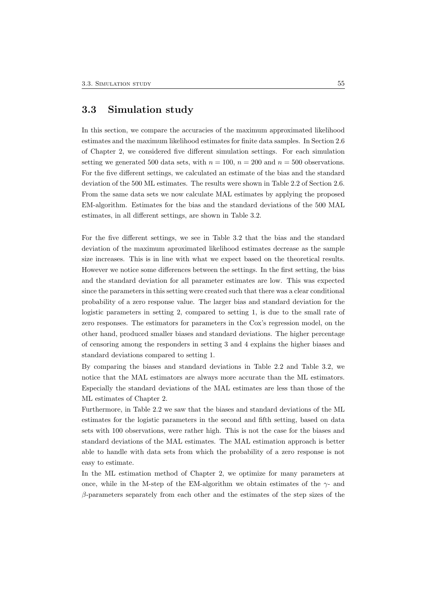### 3.3 Simulation study

In this section, we compare the accuracies of the maximum approximated likelihood estimates and the maximum likelihood estimates for finite data samples. In Section 2.6 of Chapter 2, we considered five different simulation settings. For each simulation setting we generated 500 data sets, with  $n = 100$ ,  $n = 200$  and  $n = 500$  observations. For the five different settings, we calculated an estimate of the bias and the standard deviation of the 500 ML estimates. The results were shown in Table 2.2 of Section 2.6. From the same data sets we now calculate MAL estimates by applying the proposed EM-algorithm. Estimates for the bias and the standard deviations of the 500 MAL estimates, in all different settings, are shown in Table 3.2.

For the five different settings, we see in Table 3.2 that the bias and the standard deviation of the maximum aproximated likelihood estimates decrease as the sample size increases. This is in line with what we expect based on the theoretical results. However we notice some differences between the settings. In the first setting, the bias and the standard deviation for all parameter estimates are low. This was expected since the parameters in this setting were created such that there was a clear conditional probability of a zero response value. The larger bias and standard deviation for the logistic parameters in setting 2, compared to setting 1, is due to the small rate of zero responses. The estimators for parameters in the Cox's regression model, on the other hand, produced smaller biases and standard deviations. The higher percentage of censoring among the responders in setting 3 and 4 explains the higher biases and standard deviations compared to setting 1.

By comparing the biases and standard deviations in Table 2.2 and Table 3.2, we notice that the MAL estimators are always more accurate than the ML estimators. Especially the standard deviations of the MAL estimates are less than those of the ML estimates of Chapter 2.

Furthermore, in Table 2.2 we saw that the biases and standard deviations of the ML estimates for the logistic parameters in the second and fifth setting, based on data sets with 100 observations, were rather high. This is not the case for the biases and standard deviations of the MAL estimates. The MAL estimation approach is better able to handle with data sets from which the probability of a zero response is not easy to estimate.

In the ML estimation method of Chapter 2, we optimize for many parameters at once, while in the M-step of the EM-algorithm we obtain estimates of the  $\gamma$ - and β-parameters separately from each other and the estimates of the step sizes of the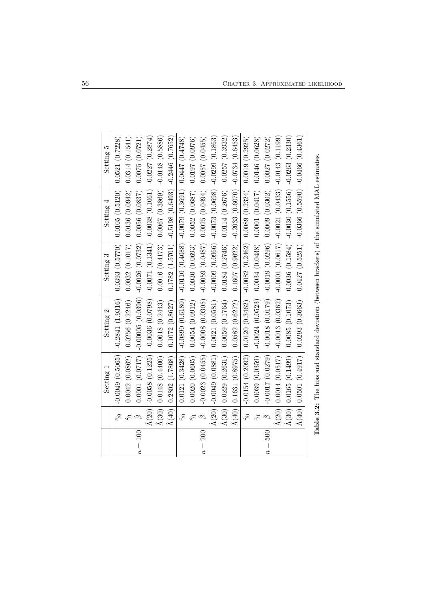|         |                             | Setting 1                           | Setting 2          | Setting 3                                 | Setting 4                                                           | Setting 5         |
|---------|-----------------------------|-------------------------------------|--------------------|-------------------------------------------|---------------------------------------------------------------------|-------------------|
|         | $\hat{\gamma}$              | $-0.0049(0.5065)$                   | $-0.2841(1.9316)$  |                                           | $0.0393$ (0.5770) 0.0105 (0.5120)                                   | 0.0521(0.7228)    |
|         |                             | 0.0042(0.0862)                      | 0.0256(0.2246)     | 0.0032(0.1017)                            | 0.0136(0.0942)                                                      | 0.0314(0.1541)    |
| $n=100$ | ĝ                           | 0.0001(0.0717)                      | $-0.00005(0.0396)$ | $-0.0026(0.0732)$                         | 0.0056(0.0837)                                                      | 0.0075(0.0721)    |
|         | $\hat{\Lambda}(20)$ $ $     | $-0.0058(0.1225)$                   | $-0.0036(0.0798)$  | $-0.0071(0.1341)$                         | $-0.0038(0.1061)$                                                   | $-0.0227(0.2874)$ |
|         | $\hat{\Lambda}(30)$         | 0.0148(0.4400)                      | 0.0018(0.2443)     |                                           | $0.0016$ $(0.4173)$ $0.0067$ $(0.3869)$                             | $-0.0148(0.5886)$ |
|         | $\Lambda(40)$               | 0.2802(1.7808)                      | 0.1072(0.8627)     |                                           | $0.1782$ (1.5701) $ $ -0.5198 (0.6493) $ $ -0.2446 (0.7652)         |                   |
|         | $\widetilde{\gamma}$        | 0.0121(0.3428)                      | $-0.0890(0.6180)$  |                                           | $(0.4748)$ $(0.4088)$ $(0.0079)$ $(0.3691)$ $(0.0447)$ $(0.4748)$   |                   |
|         |                             | 0.0020(0.0605)                      | 0.0054(0.0912)     |                                           | $0.0030$ (0.0693) 0.0052 (0.0687)                                   | 0.0197(0.0976)    |
| $n=200$ |                             | $-0.0023(0.0455)$                   | $-0.0008(0.0305)$  | $-0.0059$ (0.0487) 0.0025 (0.0494)        |                                                                     | 0.0057(0.0455)    |
|         | $\hat{\Lambda}(20)$         | $-0.0049(0.0881)$                   | 0.0021(0.0581)     |                                           | $-0.0009$ $(0.0966)$ $-0.0073$ $(0.0698)$                           | $-0.0299(0.1863)$ |
|         | $\hat{\Lambda}(30)$         | 0.0229(0.2631)                      | 0.0059(0.1764)     |                                           | $0.0184$ (0.2746) 0.0114 (0.2676)                                   | $-0.0257(0.3932)$ |
|         | $\hat{\Lambda}(40)$         | 0.1631(0.8975)                      | 0.0582(0.6272)     | 0.1607(0.9622)                            | $-0.2033(0.6070)$                                                   | $-0.0734(0.6453)$ |
|         | $\hat{\gamma}$              | $-0.0154(0.2092)$                   | 0.0120(0.3462)     | $-0.0082$ $(0.2462)$ $(0.0089$ $(0.2324)$ |                                                                     | 0.0019(0.2925)    |
|         |                             | 0.0039(0.0359)                      | $-0.0024(0.0523)$  |                                           | $0.0034$ $(0.0438)$ $0.0001$ $(0.0417)$                             | 0.0146(0.0628)    |
| $n=500$ | ĝ                           | $-0.0017(0.0279)$                   | $-0.0018(0.0179)$  | $-0.0019(0.0296)$ $(0.0009(0.0302)$       |                                                                     | 0.0027(0.0272)    |
|         | $\hat{\Lambda}(20)$ $\vert$ | 0.0014(0.0517)                      | $-0.0013(0.0362)$  |                                           | $-0.0001$ $(0.0617)$ $-0.0021$ $(0.0433)$                           | $-0.0143(0.1199)$ |
|         | $\hat{\Lambda}(30)$ $\big $ | 0.0165(0.1499)                      | 0.0085(0.1073)     |                                           | $0.0036$ $(0.1584)$ $-0.0030$ $(0.1556)$ $-0.0263$ $(0.2330)$       |                   |
|         |                             | $\hat{\Lambda}(40)$ 0.0501 (0.4917) | 0.0293(0.3663)     |                                           | $0.0427$ (0.5251) $\vert$ -0.0366 (0.5590) $\vert$ -0.0466 (0.4361) |                   |
|         |                             |                                     |                    |                                           |                                                                     |                   |

Table 3.2: The bias and standard deviation (between brackets) of the simulated MAL estimates. Table 3.2: The bias and standard deviation (between brackets) of the simulated MAL estimates.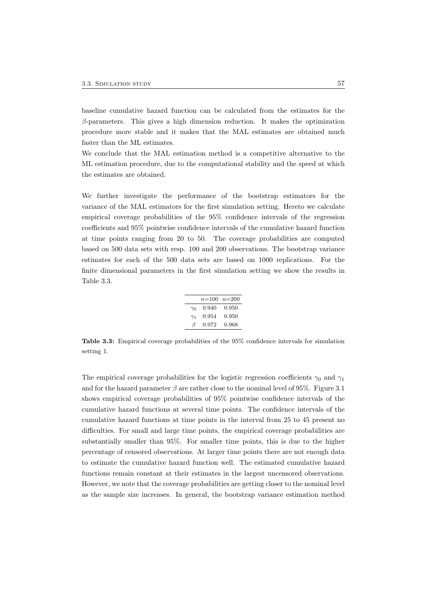baseline cumulative hazard function can be calculated from the estimates for the  $\beta$ -parameters. This gives a high dimension reduction. It makes the optimization procedure more stable and it makes that the MAL estimates are obtained much faster than the ML estimates.

We conclude that the MAL estimation method is a competitive alternative to the ML estimation procedure, due to the computational stability and the speed at which the estimates are obtained.

We further investigate the performance of the bootstrap estimators for the variance of the MAL estimators for the first simulation setting. Hereto we calculate empirical coverage probabilities of the 95% confidence intervals of the regression coefficients and 95% pointwise confidence intervals of the cumulative hazard function at time points ranging from 20 to 50. The coverage probabilities are computed based on 500 data sets with resp. 100 and 200 observations. The bootstrap variance estimates for each of the 500 data sets are based on 1000 replications. For the finite dimensional parameters in the first simulation setting we show the results in Table 3.3.

|            | $n=100$ $n=200$ |       |
|------------|-----------------|-------|
| $\gamma_0$ | 0.940           | 0.950 |
| $\gamma_1$ | 0.954           | 0.950 |
| $\beta$    | 0.972           | 0.968 |

Table 3.3: Empirical coverage probabilities of the 95% confidence intervals for simulation setting 1.

The empirical coverage probabilities for the logistic regression coefficients  $\gamma_0$  and  $\gamma_1$ and for the hazard parameter  $\beta$  are rather close to the nominal level of 95%. Figure 3.1 shows empirical coverage probabilities of 95% pointwise confidence intervals of the cumulative hazard functions at several time points. The confidence intervals of the cumulative hazard functions at time points in the interval from 25 to 45 present no difficulties. For small and large time points, the empirical coverage probabilities are substantially smaller than 95%. For smaller time points, this is due to the higher percentage of censored observations. At larger time points there are not enough data to estimate the cumulative hazard function well. The estimated cumulative hazard functions remain constant at their estimates in the largest uncensored observations. However, we note that the coverage probabilities are getting closer to the nominal level as the sample size increases. In general, the bootstrap variance estimation method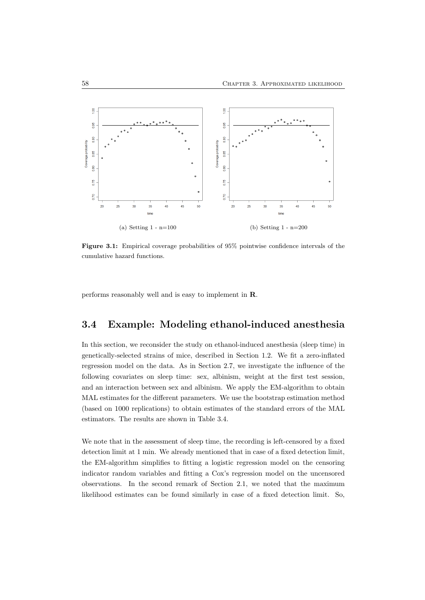

Figure 3.1: Empirical coverage probabilities of 95% pointwise confidence intervals of the cumulative hazard functions.

performs reasonably well and is easy to implement in R.

# 3.4 Example: Modeling ethanol-induced anesthesia

In this section, we reconsider the study on ethanol-induced anesthesia (sleep time) in genetically-selected strains of mice, described in Section 1.2. We fit a zero-inflated regression model on the data. As in Section 2.7, we investigate the influence of the following covariates on sleep time: sex, albinism, weight at the first test session, and an interaction between sex and albinism. We apply the EM-algorithm to obtain MAL estimates for the different parameters. We use the bootstrap estimation method (based on 1000 replications) to obtain estimates of the standard errors of the MAL estimators. The results are shown in Table 3.4.

We note that in the assessment of sleep time, the recording is left-censored by a fixed detection limit at 1 min. We already mentioned that in case of a fixed detection limit, the EM-algorithm simplifies to fitting a logistic regression model on the censoring indicator random variables and fitting a Cox's regression model on the uncensored observations. In the second remark of Section 2.1, we noted that the maximum likelihood estimates can be found similarly in case of a fixed detection limit. So,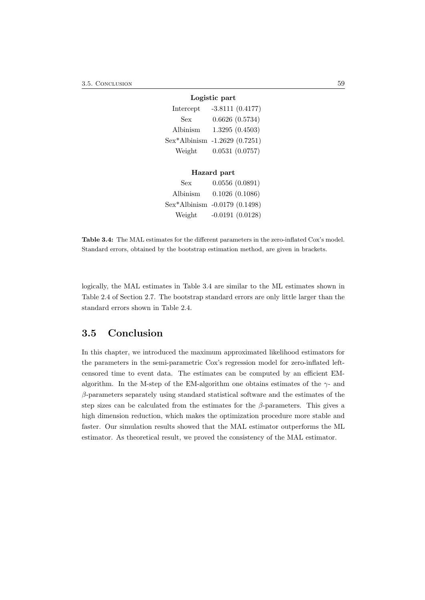|           | Logistic part                 |
|-----------|-------------------------------|
| Intercept | $-3.8111(0.4177)$             |
| Sex       | 0.6626(0.5734)                |
| Albinism  | 1.3295(0.4503)                |
|           | Sex*Albinism -1.2629 (0.7251) |
| Weight    | 0.0531(0.0757)                |
|           |                               |

|          | Hazard part                   |
|----------|-------------------------------|
| Sex      | 0.0556(0.0891)                |
| Albinism | 0.1026(0.1086)                |
|          | Sex*Albinism -0.0179 (0.1498) |
| Weight   | $-0.0191(0.0128)$             |

Table 3.4: The MAL estimates for the different parameters in the zero-inflated Cox's model. Standard errors, obtained by the bootstrap estimation method, are given in brackets.

logically, the MAL estimates in Table 3.4 are similar to the ML estimates shown in Table 2.4 of Section 2.7. The bootstrap standard errors are only little larger than the standard errors shown in Table 2.4.

# 3.5 Conclusion

In this chapter, we introduced the maximum approximated likelihood estimators for the parameters in the semi-parametric Cox's regression model for zero-inflated leftcensored time to event data. The estimates can be computed by an efficient EMalgorithm. In the M-step of the EM-algorithm one obtains estimates of the  $\gamma$ - and  $\beta$ -parameters separately using standard statistical software and the estimates of the step sizes can be calculated from the estimates for the  $\beta$ -parameters. This gives a high dimension reduction, which makes the optimization procedure more stable and faster. Our simulation results showed that the MAL estimator outperforms the ML estimator. As theoretical result, we proved the consistency of the MAL estimator.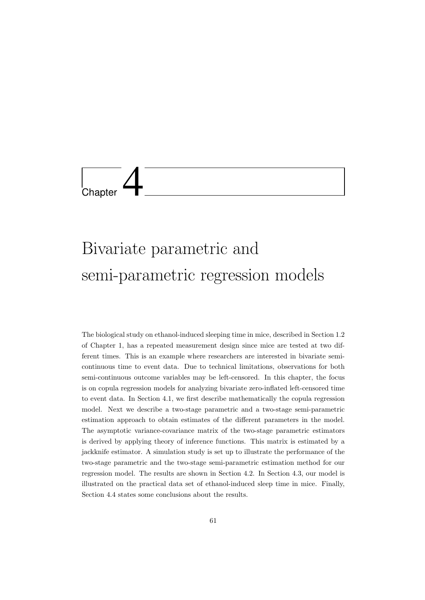

# Bivariate parametric and semi-parametric regression models

The biological study on ethanol-induced sleeping time in mice, described in Section 1.2 of Chapter 1, has a repeated measurement design since mice are tested at two different times. This is an example where researchers are interested in bivariate semicontinuous time to event data. Due to technical limitations, observations for both semi-continuous outcome variables may be left-censored. In this chapter, the focus is on copula regression models for analyzing bivariate zero-inflated left-censored time to event data. In Section 4.1, we first describe mathematically the copula regression model. Next we describe a two-stage parametric and a two-stage semi-parametric estimation approach to obtain estimates of the different parameters in the model. The asymptotic variance-covariance matrix of the two-stage parametric estimators is derived by applying theory of inference functions. This matrix is estimated by a jackknife estimator. A simulation study is set up to illustrate the performance of the two-stage parametric and the two-stage semi-parametric estimation method for our regression model. The results are shown in Section 4.2. In Section 4.3, our model is illustrated on the practical data set of ethanol-induced sleep time in mice. Finally, Section 4.4 states some conclusions about the results.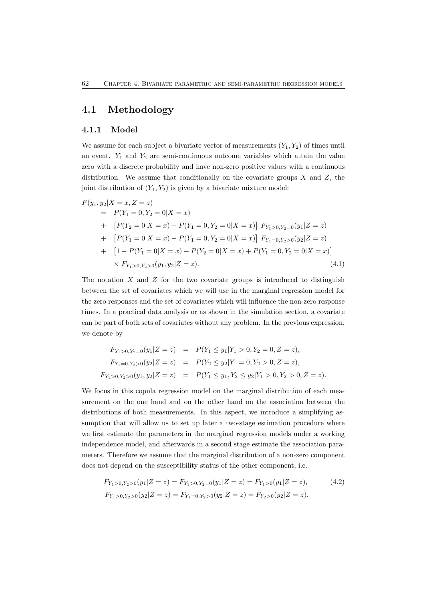## 4.1 Methodology

#### 4.1.1 Model

We assume for each subject a bivariate vector of measurements  $(Y_1, Y_2)$  of times until an event.  $Y_1$  and  $Y_2$  are semi-continuous outcome variables which attain the value zero with a discrete probability and have non-zero positive values with a continuous distribution. We assume that conditionally on the covariate groups  $X$  and  $Z$ , the joint distribution of  $(Y_1, Y_2)$  is given by a bivariate mixture model:

$$
F(y_1, y_2 | X = x, Z = z)
$$
  
=  $P(Y_1 = 0, Y_2 = 0 | X = x)$   
+  $[P(Y_2 = 0 | X = x) - P(Y_1 = 0, Y_2 = 0 | X = x)] F_{Y_1 > 0, Y_2 = 0}(y_1 | Z = z)$   
+  $[P(Y_1 = 0 | X = x) - P(Y_1 = 0, Y_2 = 0 | X = x)] F_{Y_1 = 0, Y_2 > 0}(y_2 | Z = z)$   
+  $[1 - P(Y_1 = 0 | X = x) - P(Y_2 = 0 | X = x) + P(Y_1 = 0, Y_2 = 0 | X = x)]$   
×  $F_{Y_1 > 0, Y_2 > 0}(y_1, y_2 | Z = z).$  (4.1)

The notation  $X$  and  $Z$  for the two covariate groups is introduced to distinguish between the set of covariates which we will use in the marginal regression model for the zero responses and the set of covariates which will influence the non-zero response times. In a practical data analysis or as shown in the simulation section, a covariate can be part of both sets of covariates without any problem. In the previous expression, we denote by

$$
F_{Y_1>0, Y_2=0}(y_1|Z=z) = P(Y_1 \le y_1|Y_1 > 0, Y_2 = 0, Z = z),
$$
  
\n
$$
F_{Y_1=0, Y_2>0}(y_2|Z=z) = P(Y_2 \le y_2|Y_1 = 0, Y_2 > 0, Z = z),
$$
  
\n
$$
F_{Y_1>0, Y_2>0}(y_1, y_2|Z=z) = P(Y_1 \le y_1, Y_2 \le y_2|Y_1 > 0, Y_2 > 0, Z = z).
$$

We focus in this copula regression model on the marginal distribution of each measurement on the one hand and on the other hand on the association between the distributions of both measurements. In this aspect, we introduce a simplifying assumption that will allow us to set up later a two-stage estimation procedure where we first estimate the parameters in the marginal regression models under a working independence model, and afterwards in a second stage estimate the association parameters. Therefore we assume that the marginal distribution of a non-zero component does not depend on the susceptibility status of the other component, i.e.

$$
F_{Y_1>0, Y_2>0}(y_1|Z=z) = F_{Y_1>0, Y_2=0}(y_1|Z=z) = F_{Y_1>0}(y_1|Z=z),
$$
  
\n
$$
F_{Y_1>0, Y_2>0}(y_2|Z=z) = F_{Y_1=0, Y_2>0}(y_2|Z=z) = F_{Y_2>0}(y_2|Z=z).
$$
\n(4.2)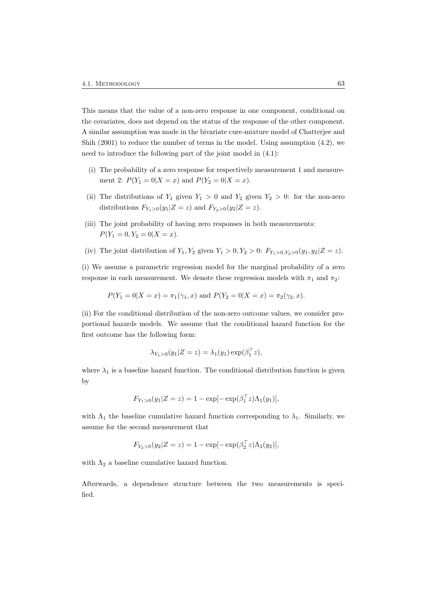This means that the value of a non-zero response in one component, conditional on the covariates, does not depend on the status of the response of the other component. A similar assumption was made in the bivariate cure-mixture model of Chatterjee and Shih  $(2001)$  to reduce the number of terms in the model. Using assumption  $(4.2)$ , we need to introduce the following part of the joint model in (4.1):

- (i) The probability of a zero response for respectively measurement 1 and measurement 2:  $P(Y_1 = 0 | X = x)$  and  $P(Y_2 = 0 | X = x)$ .
- (ii) The distributions of  $Y_1$  given  $Y_1 > 0$  and  $Y_2$  given  $Y_2 > 0$ : for the non-zero distributions  $F_{Y_1>0}(y_1|Z=z)$  and  $F_{Y_2>0}(y_2|Z=z)$ .
- (iii) The joint probability of having zero responses in both measurements:  $P(Y_1 = 0, Y_2 = 0 | X = x).$
- (iv) The joint distribution of  $Y_1, Y_2$  given  $Y_1 > 0, Y_2 > 0$ :  $F_{Y_1>0, Y_2>0}(y_1, y_2|Z = z)$ .

(i) We assume a parametric regression model for the marginal probability of a zero response in each measurement. We denote these regression models with  $\pi_1$  and  $\pi_2$ :

 $P(Y_1 = 0|X = x) = \pi_1(\gamma_1, x)$  and  $P(Y_2 = 0|X = x) = \pi_2(\gamma_2, x)$ .

(ii) For the conditional distribution of the non-zero outcome values, we consider proportional hazards models. We assume that the conditional hazard function for the first outcome has the following form:

$$
\lambda_{Y_1 > 0}(y_1 | Z = z) = \lambda_1(y_1) \exp(\beta_1^\top z),
$$

where  $\lambda_1$  is a baseline hazard function. The conditional distribution function is given by

$$
F_{Y_1>0}(y_1|Z=z) = 1 - \exp[-\exp(\beta_1^\top z)\Lambda_1(y_1)],
$$

with  $\Lambda_1$  the baseline cumulative hazard function corresponding to  $\lambda_1$ . Similarly, we assume for the second measurement that

$$
F_{Y_2>0}(y_2|Z=z) = 1 - \exp[-\exp(\beta_2^{\top}z)\Lambda_2(y_2)],
$$

with  $\Lambda_2$  a baseline cumulative hazard function.

Afterwards, a dependence structure between the two measurements is specified.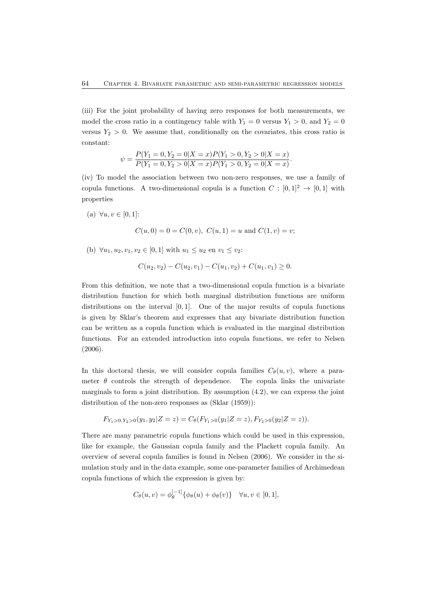(iii) For the joint probability of having zero responses for both measurements, we model the cross ratio in a contingency table with  $Y_1 = 0$  versus  $Y_1 > 0$ , and  $Y_2 = 0$ versus  $Y_2 > 0$ . We assume that, conditionally on the covariates, this cross ratio is constant:

$$
\psi = \frac{P(Y_1 = 0, Y_2 = 0 | X = x) P(Y_1 > 0, Y_2 > 0 | X = x)}{P(Y_1 = 0, Y_2 > 0 | X = x) P(Y_1 > 0, Y_2 = 0 | X = x)}.
$$

(iv) To model the association between two non-zero responses, we use a family of copula functions. A two-dimensional copula is a function  $C : [0,1]^2 \rightarrow [0,1]$  with properties

(a)  $\forall u, v \in [0, 1]:$ 

$$
C(u, 0) = 0 = C(0, v), C(u, 1) = u
$$
 and  $C(1, v) = v;$ 

(b)  $\forall u_1, u_2, v_1, v_2 \in [0, 1]$  with  $u_1 \leq u_2$  en  $v_1 \leq v_2$ :

$$
C(u_2, v_2) - C(u_2, v_1) - C(u_1, v_2) + C(u_1, v_1) \ge 0.
$$

From this definition, we note that a two-dimensional copula function is a bivariate distribution function for which both marginal distribution functions are uniform distributions on the interval  $[0, 1]$ . One of the major results of copula functions is given by Sklar's theorem and expresses that any bivariate distribution function can be written as a copula function which is evaluated in the marginal distribution functions. For an extended introduction into copula functions, we refer to Nelsen (2006).

In this doctoral thesis, we will consider copula families  $C_{\theta}(u, v)$ , where a parameter  $\theta$  controls the strength of dependence. The copula links the univariate marginals to form a joint distribution. By assumption  $(4.2)$ , we can express the joint distribution of the non-zero responses as (Sklar (1959)):

$$
F_{Y_1>0,Y_2>0}(y_1,y_2|Z=z) = C_{\theta}(F_{Y_1>0}(y_1|Z=z), F_{Y_2>0}(y_2|Z=z)).
$$

There are many parametric copula functions which could be used in this expression, like for example, the Gaussian copula family and the Plackett copula family. An overview of several copula families is found in Nelsen (2006). We consider in the simulation study and in the data example, some one-parameter families of Archimedean copula functions of which the expression is given by:

$$
C_{\theta}(u,v) = \phi_{\theta}^{[-1]} \{ \phi_{\theta}(u) + \phi_{\theta}(v) \} \quad \forall u, v \in [0,1],
$$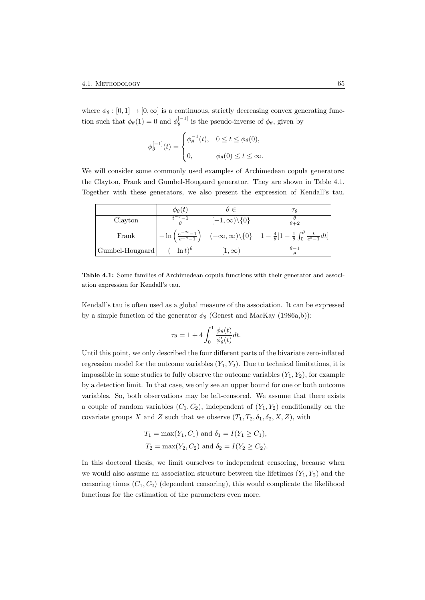where  $\phi_{\theta} : [0,1] \to [0,\infty]$  is a continuous, strictly decreasing convex generating function such that  $\phi_{\theta}(1) = 0$  and  $\phi_{\theta}^{[-1]}$  $\theta_{\theta}^{[-1]}$  is the pseudo-inverse of  $\phi_{\theta}$ , given by

$$
\phi_{\theta}^{[-1]}(t) = \begin{cases} \phi_{\theta}^{-1}(t), & 0 \leq t \leq \phi_{\theta}(0), \\ 0, & \phi_{\theta}(0) \leq t \leq \infty. \end{cases}
$$

We will consider some commonly used examples of Archimedean copula generators: the Clayton, Frank and Gumbel-Hougaard generator. They are shown in Table 4.1. Together with these generators, we also present the expression of Kendall's tau.

|                 | $\phi_{\theta}(t)$  |                             | ТΑ                                                                                                                                                                                     |
|-----------------|---------------------|-----------------------------|----------------------------------------------------------------------------------------------------------------------------------------------------------------------------------------|
| Clayton         |                     | $[-1,\infty)\setminus\{0\}$ | $\frac{\theta}{\theta+2}$                                                                                                                                                              |
| Frank           |                     |                             | $-\ln\left(\frac{e^{-\theta t}-1}{e^{-\theta}-1}\right) \quad (-\infty,\infty)\backslash\{0\} \quad 1-\frac{4}{\theta}\left[1-\frac{1}{\theta}\int_0^{\theta}\frac{t}{e^t-1}dt\right]$ |
| Gumbel-Hougaard | $(-\ln t)^{\theta}$ | $ 1,\infty\rangle$          |                                                                                                                                                                                        |

Table 4.1: Some families of Archimedean copula functions with their generator and association expression for Kendall's tau.

Kendall's tau is often used as a global measure of the association. It can be expressed by a simple function of the generator  $\phi_{\theta}$  (Genest and MacKay (1986a,b)):

$$
\tau_{\theta} = 1 + 4 \int_0^1 \frac{\phi_{\theta}(t)}{\phi_{\theta}'(t)} dt.
$$

Until this point, we only described the four different parts of the bivariate zero-inflated regression model for the outcome variables  $(Y_1, Y_2)$ . Due to technical limitations, it is impossible in some studies to fully observe the outcome variables  $(Y_1, Y_2)$ , for example by a detection limit. In that case, we only see an upper bound for one or both outcome variables. So, both observations may be left-censored. We assume that there exists a couple of random variables  $(C_1, C_2)$ , independent of  $(Y_1, Y_2)$  conditionally on the covariate groups X and Z such that we observe  $(T_1, T_2, \delta_1, \delta_2, X, Z)$ , with

$$
T_1 = \max(Y_1, C_1)
$$
 and  $\delta_1 = I(Y_1 \ge C_1)$ ,  
\n $T_2 = \max(Y_2, C_2)$  and  $\delta_2 = I(Y_2 \ge C_2)$ .

In this doctoral thesis, we limit ourselves to independent censoring, because when we would also assume an association structure between the lifetimes  $(Y_1, Y_2)$  and the censoring times  $(C_1, C_2)$  (dependent censoring), this would complicate the likelihood functions for the estimation of the parameters even more.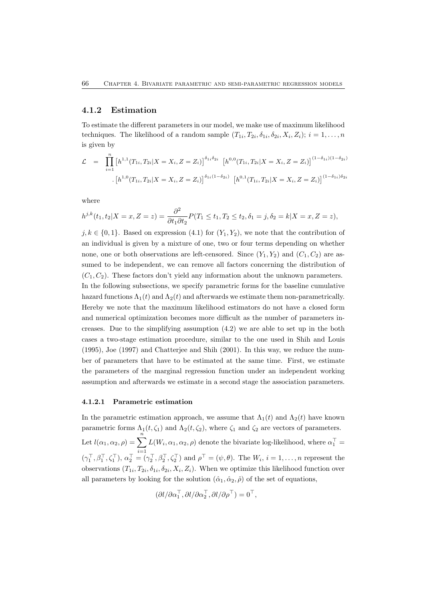#### 4.1.2 Estimation

To estimate the different parameters in our model, we make use of maximum likelihood techniques. The likelihood of a random sample  $(T_{1i}, T_{2i}, \delta_{1i}, \delta_{2i}, X_i, Z_i); i = 1, ..., n$ is given by

$$
\mathcal{L} = \prod_{i=1}^{n} \left[ h^{1,1}(T_{1i}, T_{2i}|X = X_i, Z = Z_i) \right]^{\delta_{1i}\delta_{2i}} \left[ h^{0,0}(T_{1i}, T_{2i}|X = X_i, Z = Z_i) \right]^{(1-\delta_{1i})(1-\delta_{2i})}
$$

$$
\cdot \left[ h^{1,0}(T_{1i}, T_{2i}|X = X_i, Z = Z_i) \right]^{\delta_{1i}(1-\delta_{2i})} \left[ h^{0,1}(T_{1i}, T_{2i}|X = X_i, Z = Z_i) \right]^{(1-\delta_{1i})\delta_{2i}}
$$

where

$$
h^{j,k}(t_1, t_2 | X = x, Z = z) = \frac{\partial^2}{\partial t_1 \partial t_2} P(T_1 \le t_1, T_2 \le t_2, \delta_1 = j, \delta_2 = k | X = x, Z = z),
$$

 $j, k \in \{0, 1\}$ . Based on expression (4.1) for  $(Y_1, Y_2)$ , we note that the contribution of an individual is given by a mixture of one, two or four terms depending on whether none, one or both observations are left-censored. Since  $(Y_1, Y_2)$  and  $(C_1, C_2)$  are assumed to be independent, we can remove all factors concerning the distribution of  $(C_1, C_2)$ . These factors don't yield any information about the unknown parameters. In the following subsections, we specify parametric forms for the baseline cumulative hazard functions  $\Lambda_1(t)$  and  $\Lambda_2(t)$  and afterwards we estimate them non-parametrically. Hereby we note that the maximum likelihood estimators do not have a closed form and numerical optimization becomes more difficult as the number of parameters increases. Due to the simplifying assumption (4.2) we are able to set up in the both cases a two-stage estimation procedure, similar to the one used in Shih and Louis (1995), Joe (1997) and Chatterjee and Shih (2001). In this way, we reduce the number of parameters that have to be estimated at the same time. First, we estimate the parameters of the marginal regression function under an independent working assumption and afterwards we estimate in a second stage the association parameters.

#### 4.1.2.1 Parametric estimation

In the parametric estimation approach, we assume that  $\Lambda_1(t)$  and  $\Lambda_2(t)$  have known parametric forms  $\Lambda_1(t, \zeta_1)$  and  $\Lambda_2(t, \zeta_2)$ , where  $\zeta_1$  and  $\zeta_2$  are vectors of parameters. Let  $l(\alpha_1, \alpha_2, \rho) = \sum_{n=1}^n$  $i=1$  $L(W_i, \alpha_1, \alpha_2, \rho)$  denote the bivariate log-likelihood, where  $\alpha_1^{\top} =$  $(\gamma_1^\top, \beta_1^\top, \zeta_1^\top), \alpha_2^\top = (\gamma_2^\top, \beta_2^\top, \zeta_2^\top)$  and  $\rho^\top = (\psi, \theta)$ . The  $W_i$ ,  $i = 1, \ldots, n$  represent the observations  $(T_{1i}, T_{2i}, \delta_{1i}, \delta_{2i}, X_i, Z_i)$ . When we optimize this likelihood function over all parameters by looking for the solution  $(\hat{\alpha}_1, \hat{\alpha}_2, \hat{\rho})$  of the set of equations,

$$
(\partial l/\partial \alpha_1^\top, \partial l/\partial \alpha_2^\top, \partial l/\partial \rho^\top) = 0^\top,
$$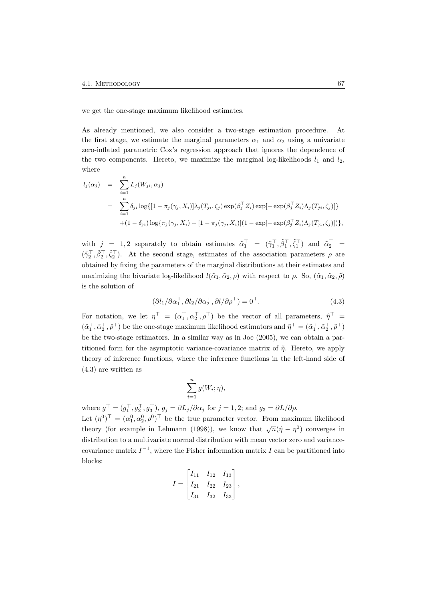we get the one-stage maximum likelihood estimates.

As already mentioned, we also consider a two-stage estimation procedure. At the first stage, we estimate the marginal parameters  $\alpha_1$  and  $\alpha_2$  using a univariate zero-inflated parametric Cox's regression approach that ignores the dependence of the two components. Hereto, we maximize the marginal log-likelihoods  $l_1$  and  $l_2$ , where

$$
l_j(\alpha_j) = \sum_{i=1}^n L_j(W_{ji}, \alpha_j)
$$
  
= 
$$
\sum_{i=1}^n \delta_{ji} \log\{[1-\pi_j(\gamma_j, X_i)]\lambda_j(T_{ji}, \zeta_j) \exp(\beta_j^\top Z_i) \exp[-\exp(\beta_j^\top Z_i)\Lambda_j(T_{ji}, \zeta_j)]\}
$$
  
+ 
$$
(1-\delta_{ji}) \log\{\pi_j(\gamma_j, X_i) + [1-\pi_j(\gamma_j, X_i)](1 - \exp[-\exp(\beta_j^\top Z_i)\Lambda_j(T_{ji}, \zeta_j)])\},
$$

with  $j = 1, 2$  separately to obtain estimates  $\tilde{\alpha}_1^{\top} = (\tilde{\gamma}_1^{\top}, \tilde{\beta}_1^{\top}, \tilde{\zeta}_1^{\top})$  and  $\tilde{\alpha}_2^{\top} =$  $(\tilde{\gamma}_2^{\top}, \tilde{\beta}_2^{\top}, \tilde{\zeta}_2^{\top})$ . At the second stage, estimates of the association parameters  $\rho$  are obtained by fixing the parameters of the marginal distributions at their estimates and maximizing the bivariate log-likelihood  $l(\tilde{\alpha}_1, \tilde{\alpha}_2, \rho)$  with respect to  $\rho$ . So,  $(\tilde{\alpha}_1, \tilde{\alpha}_2, \tilde{\rho})$ is the solution of

$$
(\partial l_1 / \partial \alpha_1^\top, \partial l_2 / \partial \alpha_2^\top, \partial l / \partial \rho^\top) = 0^\top.
$$
\n(4.3)

For notation, we let  $\eta^{\top} = (\alpha_1^{\top}, \alpha_2^{\top}, \rho^{\top})$  be the vector of all parameters,  $\hat{\eta}^{\top} =$  $(\hat{\alpha}_1^\top, \hat{\alpha}_2^\top, \hat{\rho}^\top)$  be the one-stage maximum likelihood estimators and  $\tilde{\eta}^\top = (\tilde{\alpha}_1^\top, \tilde{\alpha}_2^\top, \tilde{\rho}^\top)$ be the two-stage estimators. In a similar way as in Joe (2005), we can obtain a partitioned form for the asymptotic variance-covariance matrix of  $\tilde{\eta}$ . Hereto, we apply theory of inference functions, where the inference functions in the left-hand side of (4.3) are written as

$$
\sum_{i=1}^n g(W_i; \eta),
$$

where  $g^{\top} = (g_1^{\top}, g_2^{\top}, g_3^{\top}), g_j = \partial L_j / \partial \alpha_j$  for  $j = 1, 2$ ; and  $g_3 = \partial L / \partial \rho$ . Let  $(\eta^0)^\top = (\alpha_1^0, \alpha_2^0, \rho^0)^\top$  be the true parameter vector. From maximum likelihood theory (for example in Lehmann (1998)), we know that  $\sqrt{n}(\hat{\eta} - \eta^0)$  converges in distribution to a multivariate normal distribution with mean vector zero and variancecovariance matrix  $I^{-1}$ , where the Fisher information matrix I can be partitioned into blocks:

$$
I = \begin{bmatrix} I_{11} & I_{12} & I_{13} \\ I_{21} & I_{22} & I_{23} \\ I_{31} & I_{32} & I_{33} \end{bmatrix},
$$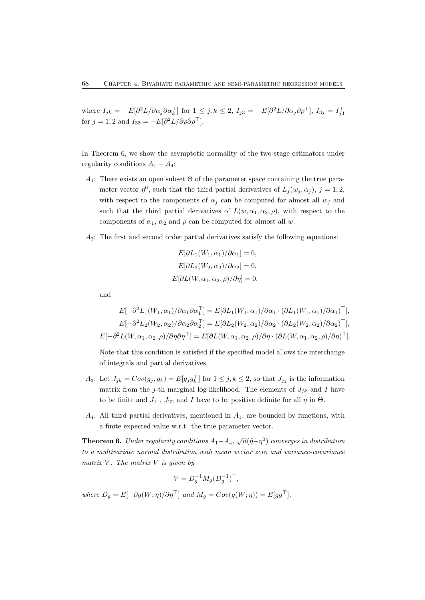where  $I_{jk} = -E[\partial^2 L/\partial \alpha_j \partial \alpha_k^{\top}]$  for  $1 \leq j, k \leq 2$ ,  $I_{j3} = -E[\partial^2 L/\partial \alpha_j \partial \rho^{\top}], I_{3j} = I_{j3}^{\top}$ for  $j = 1, 2$  and  $I_{33} = -E[\partial^2 L/\partial \rho \partial \rho^\top]$ .

In Theorem 6, we show the asymptotic normality of the two-stage estimators under regularity conditions  $A_1 - A_4$ :

- A<sub>1</sub>: There exists an open subset  $\Theta$  of the parameter space containing the true parameter vector  $\eta^0$ , such that the third partial derivatives of  $L_j(w_j, \alpha_j)$ ,  $j = 1, 2$ , with respect to the components of  $\alpha_i$  can be computed for almost all  $w_i$  and such that the third partial derivatives of  $L(w, \alpha_1, \alpha_2, \rho)$ , with respect to the components of  $\alpha_1$ ,  $\alpha_2$  and  $\rho$  can be computed for almost all w.
- $A_2$ : The first and second order partial derivatives satisfy the following equations:

$$
E[\partial L_1(W_1, \alpha_1)/\partial \alpha_1] = 0,
$$
  
\n
$$
E[\partial L_2(W_2, \alpha_2)/\partial \alpha_2] = 0,
$$
  
\n
$$
E[\partial L(W, \alpha_1, \alpha_2, \rho)/\partial \eta] = 0,
$$

and

$$
E[-\partial^2 L_1(W_1, \alpha_1)/\partial \alpha_1 \partial \alpha_1^{\top}] = E[\partial L_1(W_1, \alpha_1)/\partial \alpha_1 \cdot (\partial L_1(W_1, \alpha_1)/\partial \alpha_1)^{\top}],
$$
  
\n
$$
E[-\partial^2 L_2(W_2, \alpha_2)/\partial \alpha_2 \partial \alpha_2^{\top}] = E[\partial L_2(W_2, \alpha_2)/\partial \alpha_2 \cdot (\partial L_2(W_2, \alpha_2)/\partial \alpha_2)^{\top}],
$$
  
\n
$$
E[-\partial^2 L(W, \alpha_1, \alpha_2, \rho)/\partial \eta \partial \eta^{\top}] = E[\partial L(W, \alpha_1, \alpha_2, \rho)/\partial \eta \cdot (\partial L(W, \alpha_1, \alpha_2, \rho)/\partial \eta)^{\top}].
$$

Note that this condition is satisfied if the specified model allows the interchange of integrals and partial derivatives.

- A<sub>3</sub>: Let  $J_{jk} = Cov(g_j, g_k) = E[g_j g_k^{\top}]$  for  $1 \leq j, k \leq 2$ , so that  $J_{jj}$  is the information matrix from the j-th marginal log-likelihood. The elements of  $J_{jk}$  and I have to be finite and  $J_{11}$ ,  $J_{22}$  and I have to be positive definite for all  $\eta$  in  $\Theta$ .
- $A_4$ : All third partial derivatives, mentioned in  $A_1$ , are bounded by functions, with a finite expected value w.r.t. the true parameter vector.

**Theorem 6.** Under regularity conditions  $A_1 - A_4$ ,  $\sqrt{n}(\tilde{\eta} - \eta^0)$  converges in distribution to a multivariate normal distribution with mean vector zero and variance-covariance matrix  $V$ . The matrix  $V$  is given by

$$
V = D_g^{-1} M_g (D_g^{-1})^{\top},
$$

where  $D_q = E[-\partial g(W; \eta)/\partial \eta^\top]$  and  $M_q = Cov(g(W; \eta)) = E[gg^\top]$ .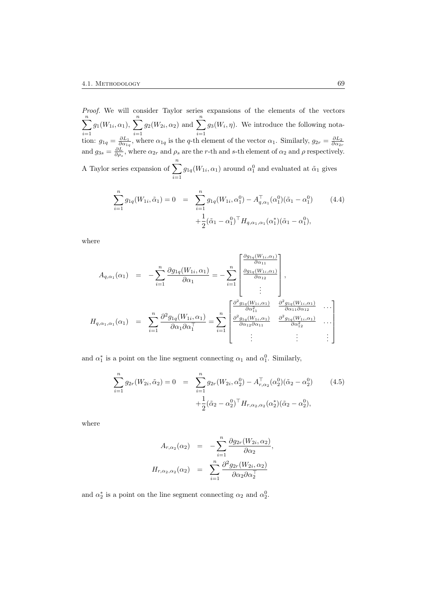Proof. We will consider Taylor series expansions of the elements of the vectors  $\sum_{n=1}^{\infty}$  $i=1$  $g_1(W_{1i}, \alpha_1), \sum_{i=1}^n$  $i=1$  $g_2(W_{2i}, \alpha_2)$  and  $\sum_{n=1}^n$  $i=1$  $g_3(W_i, \eta)$ . We introduce the following notation:  $g_{1q} = \frac{\partial L_1}{\partial \alpha_{1q}}$ , where  $\alpha_{1q}$  is the q-th element of the vector  $\alpha_1$ . Similarly,  $g_{2r} = \frac{\partial L_2}{\partial \alpha_{2r}}$ and  $g_{3s} = \frac{\partial L}{\partial \rho_s}$ , where  $\alpha_{2r}$  and  $\rho_s$  are the r-th and s-th element of  $\alpha_2$  and  $\rho$  respectively. A Taylor series expansion of  $\sum_{n=1}^n$  $i=1$  $g_{1q}(W_{1i}, \alpha_1)$  around  $\alpha_1^0$  and evaluated at  $\tilde{\alpha}_1$  gives

$$
\sum_{i=1}^{n} g_{1q}(W_{1i}, \tilde{\alpha}_1) = 0 = \sum_{i=1}^{n} g_{1q}(W_{1i}, \alpha_1^0) - A_{q, \alpha_1}^{\top}(\alpha_1^0)(\tilde{\alpha}_1 - \alpha_1^0)
$$
(4.4)  
 
$$
+ \frac{1}{2}(\tilde{\alpha}_1 - \alpha_1^0)^{\top} H_{q, \alpha_1, \alpha_1}(\alpha_1^*)(\tilde{\alpha}_1 - \alpha_1^0),
$$

where

$$
A_{q,\alpha_1}(\alpha_1) = -\sum_{i=1}^n \frac{\partial g_{1q}(W_{1i}, \alpha_1)}{\partial \alpha_1} = -\sum_{i=1}^n \begin{bmatrix} \frac{\partial g_{1q}(W_{1i}, \alpha_1)}{\partial \alpha_1} \\ \frac{\partial g_{1q}(W_{1i}, \alpha_1)}{\partial \alpha_1} \\ \vdots \end{bmatrix},
$$
  
\n
$$
H_{q,\alpha_1,\alpha_1}(\alpha_1) = \sum_{i=1}^n \frac{\partial^2 g_{1q}(W_{1i}, \alpha_1)}{\partial \alpha_1 \partial \alpha_1} = \sum_{i=1}^n \begin{bmatrix} \frac{\partial^2 g_{1q}(W_{1i}, \alpha_1)}{\partial \alpha_1^2} & \frac{\partial^2 g_{1q}(W_{1i}, \alpha_1)}{\partial \alpha_1 \partial \alpha_1} \\ \frac{\partial^2 g_{1q}(W_{1i}, \alpha_1)}{\partial \alpha_1 \partial \alpha_1} & \frac{\partial^2 g_{1q}(W_{1i}, \alpha_1)}{\partial \alpha_1^2} \\ \vdots & \vdots & \vdots \end{bmatrix}.
$$

and  $\alpha_1^*$  is a point on the line segment connecting  $\alpha_1$  and  $\alpha_1^0$ . Similarly,

$$
\sum_{i=1}^{n} g_{2r}(W_{2i}, \tilde{\alpha}_2) = 0 = \sum_{i=1}^{n} g_{2r}(W_{2i}, \alpha_2^0) - A_{r, \alpha_2}^{\top}(\alpha_2^0)(\tilde{\alpha}_2 - \alpha_2^0)
$$
(4.5)  
 
$$
+ \frac{1}{2}(\tilde{\alpha}_2 - \alpha_2^0)^{\top} H_{r, \alpha_2, \alpha_2}(\alpha_2^*)(\tilde{\alpha}_2 - \alpha_2^0),
$$

,

where

$$
A_{r,\alpha_2}(\alpha_2) = -\sum_{i=1}^n \frac{\partial g_{2r}(W_{2i}, \alpha_2)}{\partial \alpha_2}
$$

$$
H_{r,\alpha_2,\alpha_2}(\alpha_2) = \sum_{i=1}^n \frac{\partial^2 g_{2r}(W_{2i}, \alpha_2)}{\partial \alpha_2 \partial \alpha_2^{\top}}
$$

and  $\alpha_2^*$  is a point on the line segment connecting  $\alpha_2$  and  $\alpha_2^0$ .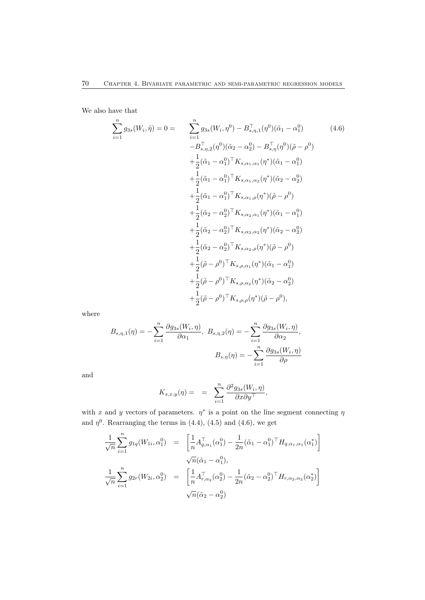We also have that

$$
\sum_{i=1}^{n} g_{3s}(W_{i}, \tilde{\eta}) = 0 = \sum_{i=1}^{n} g_{3s}(W_{i}, \eta^{0}) - B_{s, \eta, 1}^{\top}(\eta^{0})(\tilde{\alpha}_{1} - \alpha_{1}^{0}) \qquad (4.6)
$$
\n
$$
-B_{s, \eta, 2}^{\top}(\eta^{0})(\tilde{\alpha}_{2} - \alpha_{2}^{0}) - B_{s, \eta}^{\top}(\eta^{0})(\tilde{\rho} - \rho^{0})
$$
\n
$$
+ \frac{1}{2}(\tilde{\alpha}_{1} - \alpha_{1}^{0})^{\top} K_{s, \alpha_{1}, \alpha_{1}}(\eta^{*})(\tilde{\alpha}_{1} - \alpha_{1}^{0})
$$
\n
$$
+ \frac{1}{2}(\tilde{\alpha}_{1} - \alpha_{1}^{0})^{\top} K_{s, \alpha_{1}, \alpha_{2}}(\eta^{*})(\tilde{\alpha}_{2} - \alpha_{2}^{0})
$$
\n
$$
+ \frac{1}{2}(\tilde{\alpha}_{1} - \alpha_{1}^{0})^{\top} K_{s, \alpha_{1}, \rho}(\eta^{*})(\tilde{\rho} - \rho^{0})
$$
\n
$$
+ \frac{1}{2}(\tilde{\alpha}_{2} - \alpha_{2}^{0})^{\top} K_{s, \alpha_{2}, \alpha_{1}}(\eta^{*})(\tilde{\alpha}_{1} - \alpha_{1}^{0})
$$
\n
$$
+ \frac{1}{2}(\tilde{\alpha}_{2} - \alpha_{2}^{0})^{\top} K_{s, \alpha_{2}, \alpha_{2}}(\eta^{*})(\tilde{\alpha}_{2} - \alpha_{2}^{0})
$$
\n
$$
+ \frac{1}{2}(\tilde{\alpha}_{2} - \alpha_{2}^{0})^{\top} K_{s, \alpha_{2}, \rho}(\eta^{*})(\tilde{\rho} - \rho^{0})
$$
\n
$$
+ \frac{1}{2}(\tilde{\rho} - \rho^{0})^{\top} K_{s, \rho, \alpha_{1}}(\eta^{*})(\tilde{\alpha}_{1} - \alpha_{1}^{0})
$$
\n
$$
+ \frac{1}{2}(\tilde{\rho} - \rho^{0})^{\top} K_{s, \rho, \alpha_{2}}(\eta^{*})(\tilde{\rho} - \rho^{0}),
$$

where

$$
B_{s,\eta,1}(\eta) = -\sum_{i=1}^{n} \frac{\partial g_{3s}(W_i, \eta)}{\partial \alpha_1}, \ B_{s,\eta,2}(\eta) = -\sum_{i=1}^{n} \frac{\partial g_{3s}(W_i, \eta)}{\partial \alpha_2},
$$

$$
B_{s,\eta}(\eta) = -\sum_{i=1}^{n} \frac{\partial g_{3s}(W_i, \eta)}{\partial \rho}
$$

and

$$
K_{s,x,y}(\eta) = \quad = \quad \sum_{i=1}^n \frac{\partial^2 g_{3s}(W_i, \eta)}{\partial x \partial y^\top},
$$

with x and y vectors of parameters.  $\eta^*$  is a point on the line segment connecting  $\eta$ and  $\eta^0$ . Rearranging the terms in (4.4), (4.5) and (4.6), we get

$$
\frac{1}{\sqrt{n}} \sum_{i=1}^{n} g_{1q}(W_{1i}, \alpha_1^0) = \left[ \frac{1}{n} A_{q, \alpha_1}^{\top} (\alpha_1^0) - \frac{1}{2n} (\tilde{\alpha}_1 - \alpha_1^0)^{\top} H_{q, \alpha_1, \alpha_1} (\alpha_1^*) \right]
$$

$$
\sqrt{n} (\tilde{\alpha}_1 - \alpha_1^0),
$$

$$
\frac{1}{\sqrt{n}} \sum_{i=1}^{n} g_{2r}(W_{2i}, \alpha_2^0) = \left[ \frac{1}{n} A_{r, \alpha_2}^{\top} (\alpha_2^0) - \frac{1}{2n} (\tilde{\alpha}_2 - \alpha_2^0)^{\top} H_{r, \alpha_2, \alpha_2} (\alpha_2^*) \right]
$$

$$
\sqrt{n} (\tilde{\alpha}_2 - \alpha_2^0)
$$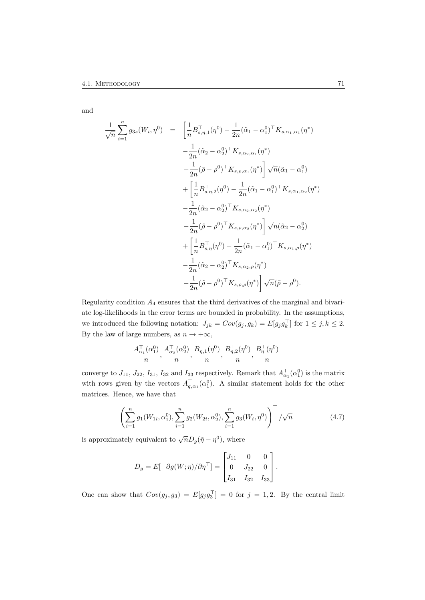and

$$
\frac{1}{\sqrt{n}} \sum_{i=1}^{n} g_{3s}(W_i, \eta^0) = \left[ \frac{1}{n} B_{s, \eta, 1}^\top (\eta^0) - \frac{1}{2n} (\tilde{\alpha}_1 - \alpha_1^0)^\top K_{s, \alpha_1, \alpha_1} (\eta^*) \right. \\
\left. - \frac{1}{2n} (\tilde{\alpha}_2 - \alpha_2^0)^\top K_{s, \alpha_2, \alpha_1} (\eta^*) \right] \sqrt{n} (\tilde{\alpha}_1 - \alpha_1^0) \\
+ \left[ \frac{1}{n} B_{s, \eta, 2}^\top (\eta^0) - \frac{1}{2n} (\tilde{\alpha}_1 - \alpha_1^0)^\top K_{s, \alpha_1, \alpha_2} (\eta^*) \right. \\
\left. - \frac{1}{2n} (\tilde{\alpha}_2 - \alpha_2^0)^\top K_{s, \alpha_2, \alpha_2} (\eta^*) \right. \\
\left. - \frac{1}{2n} (\tilde{\alpha}_2 - \alpha_2^0)^\top K_{s, \alpha_2, \alpha_2} (\eta^*) \right] \sqrt{n} (\tilde{\alpha}_2 - \alpha_2^0) \\
+ \left[ \frac{1}{n} B_{s, \eta}^\top (\eta^0) - \frac{1}{2n} (\tilde{\alpha}_1 - \alpha_1^0)^\top K_{s, \alpha_1, \rho} (\eta^*) \right. \\
\left. - \frac{1}{2n} (\tilde{\alpha}_2 - \alpha_2^0)^\top K_{s, \alpha_2, \rho} (\eta^*) \right] \sqrt{n} (\tilde{\rho} - \rho^0).
$$

Regularity condition  $A_4$  ensures that the third derivatives of the marginal and bivariate log-likelihoods in the error terms are bounded in probability. In the assumptions, we introduced the following notation:  $J_{jk} = Cov(g_j, g_k) = E[g_j g_k^{\top}]$  for  $1 \leq j, k \leq 2$ . By the law of large numbers, as  $n \to +\infty$ ,

$$
\frac{A_{\alpha_1}^{\top}(\alpha_1^0)}{n}, \frac{A_{\alpha_2}^{\top}(\alpha_2^0)}{n}, \frac{B_{\eta,1}^{\top}(\eta^0)}{n}, \frac{B_{\eta,2}^{\top}(\eta^0)}{n}, \frac{B_{\eta}^{\top}(\eta^0)}{n}
$$

converge to  $J_{11}$ ,  $J_{22}$ ,  $I_{31}$ ,  $I_{32}$  and  $I_{33}$  respectively. Remark that  $A_{\alpha_1}^{\top}(\alpha_1^0)$  is the matrix with rows given by the vectors  $A_{q,\alpha_1}^{\dagger}(\alpha_1^0)$ . A similar statement holds for the other matrices. Hence, we have that

$$
\left(\sum_{i=1}^{n} g_1(W_{1i}, \alpha_1^0), \sum_{i=1}^{n} g_2(W_{2i}, \alpha_2^0), \sum_{i=1}^{n} g_3(W_i, \eta^0)\right)^\top / \sqrt{n} \tag{4.7}
$$

is approximately equivalent to  $\sqrt{n}D_g(\tilde{\eta}-\eta^0)$ , where

$$
D_g = E[-\partial g(W; \eta)/\partial \eta^{\top}] = \begin{bmatrix} J_{11} & 0 & 0 \\ 0 & J_{22} & 0 \\ I_{31} & I_{32} & I_{33} \end{bmatrix}.
$$

One can show that  $Cov(g_j, g_3) = E[g_j g_3^{\top}] = 0$  for  $j = 1, 2$ . By the central limit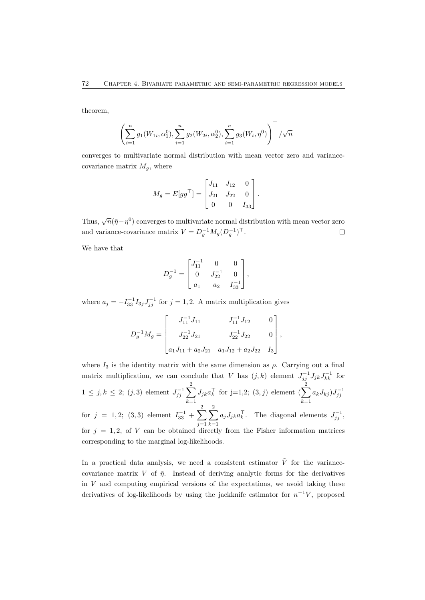theorem,

$$
\left(\sum_{i=1}^{n} g_1(W_{1i}, \alpha_1^0), \sum_{i=1}^{n} g_2(W_{2i}, \alpha_2^0), \sum_{i=1}^{n} g_3(W_i, \eta^0)\right)^{\top} / \sqrt{n}
$$

converges to multivariate normal distribution with mean vector zero and variancecovariance matrix  $M_g$ , where

$$
M_g = E[gg^{\top}] = \begin{bmatrix} J_{11} & J_{12} & 0 \\ J_{21} & J_{22} & 0 \\ 0 & 0 & I_{33} \end{bmatrix}.
$$

Thus,  $\sqrt{n}(\tilde{\eta}-\eta^0)$  converges to multivariate normal distribution with mean vector zero and variance-covariance matrix  $V = D_g^{-1} M_g (D_g^{-1})^\top$ .  $\Box$ 

We have that

$$
D_g^{-1} = \begin{bmatrix} J_{11}^{-1} & 0 & 0 \\ 0 & J_{22}^{-1} & 0 \\ a_1 & a_2 & I_{33}^{-1} \end{bmatrix},
$$

where  $a_j = -I_{33}^{-1}I_{3j}J_{jj}^{-1}$  for  $j = 1, 2$ . A matrix multiplication gives

$$
D_g^{-1}M_g = \begin{bmatrix} J_{11}^{-1}J_{11} & J_{11}^{-1}J_{12} & 0 \\ J_{22}^{-1}J_{21} & J_{22}^{-1}J_{22} & 0 \\ a_1J_{11} + a_2J_{21} & a_1J_{12} + a_2J_{22} & I_3 \end{bmatrix},
$$

where  $I_3$  is the identity matrix with the same dimension as  $\rho$ . Carrying out a final matrix multiplication, we can conclude that V has  $(j, k)$  element  $J_{jj}^{-1}J_{jk}J_{kk}^{-1}$  for  $1 \le j, k \le 2$ ;  $(j, 3)$  element  $J_{jj}^{-1} \sum_{j=1}^{2}$  $k=1$  $J_{jk}a_k^{\top}$  for j=1,2; (3, j) element ( $\sum^2$  $k=1$  $a_k J_{kj}$ ) $J_{jj}^{-1}$ for  $j = 1, 2; (3, 3)$  element  $I_{33}^{-1} + \sum_{ }^{2}$  $j=1$  $\sum^2$  $k=1$  $a_j J_{jk} a_k^{\top}$ . The diagonal elements  $J_{jj}^{-1}$ , for  $j = 1, 2$ , of V can be obtained directly from the Fisher information matrices corresponding to the marginal log-likelihoods.

In a practical data analysis, we need a consistent estimator  $\tilde{V}$  for the variancecovariance matrix V of  $\tilde{\eta}$ . Instead of deriving analytic forms for the derivatives in  $V$  and computing empirical versions of the expectations, we avoid taking these derivatives of log-likelihoods by using the jackknife estimator for  $n^{-1}V$ , proposed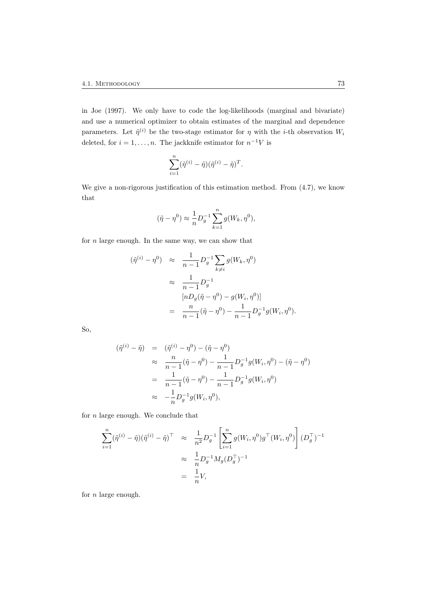in Joe (1997). We only have to code the log-likelihoods (marginal and bivariate) and use a numerical optimizer to obtain estimates of the marginal and dependence parameters. Let  $\tilde{\eta}^{(i)}$  be the two-stage estimator for  $\eta$  with the *i*-th observation  $W_i$ deleted, for  $i = 1, ..., n$ . The jackknife estimator for  $n^{-1}V$  is

$$
\sum_{i=1}^n (\tilde{\eta}^{(i)} - \tilde{\eta})(\tilde{\eta}^{(i)} - \tilde{\eta})^T.
$$

We give a non-rigorous justification of this estimation method. From  $(4.7)$ , we know that

$$
(\tilde{\eta} - \eta^0) \approx \frac{1}{n} D_g^{-1} \sum_{k=1}^n g(W_k, \eta^0),
$$

for  $n$  large enough. In the same way, we can show that

$$
(\tilde{\eta}^{(i)} - \eta^0) \approx \frac{1}{n-1} D_g^{-1} \sum_{k \neq i} g(W_k, \eta^0)
$$
  
 
$$
\approx \frac{1}{n-1} D_g^{-1}
$$
  
\n
$$
[nD_g(\tilde{\eta} - \eta^0) - g(W_i, \eta^0)]
$$
  
\n
$$
= \frac{n}{n-1} (\tilde{\eta} - \eta^0) - \frac{1}{n-1} D_g^{-1} g(W_i, \eta^0).
$$

So,

$$
(\tilde{\eta}^{(i)} - \tilde{\eta}) = (\tilde{\eta}^{(i)} - \eta^0) - (\tilde{\eta} - \eta^0)
$$
  
\n
$$
\approx \frac{n}{n-1}(\tilde{\eta} - \eta^0) - \frac{1}{n-1}D_g^{-1}g(W_i, \eta^0) - (\tilde{\eta} - \eta^0)
$$
  
\n
$$
= \frac{1}{n-1}(\tilde{\eta} - \eta^0) - \frac{1}{n-1}D_g^{-1}g(W_i, \eta^0)
$$
  
\n
$$
\approx -\frac{1}{n}D_g^{-1}g(W_i, \eta^0),
$$

for  $n$  large enough. We conclude that

$$
\sum_{i=1}^{n} (\tilde{\eta}^{(i)} - \tilde{\eta})(\tilde{\eta}^{(i)} - \tilde{\eta})^{\top} \approx \frac{1}{n^2} D_g^{-1} \left[ \sum_{i=1}^{n} g(W_i, \eta^0) g^{\top} (W_i, \eta^0) \right] (D_g^{\top})^{-1}
$$
  

$$
\approx \frac{1}{n} D_g^{-1} M_g (D_g^{\top})^{-1}
$$
  

$$
= \frac{1}{n} V,
$$

for  $n$  large enough.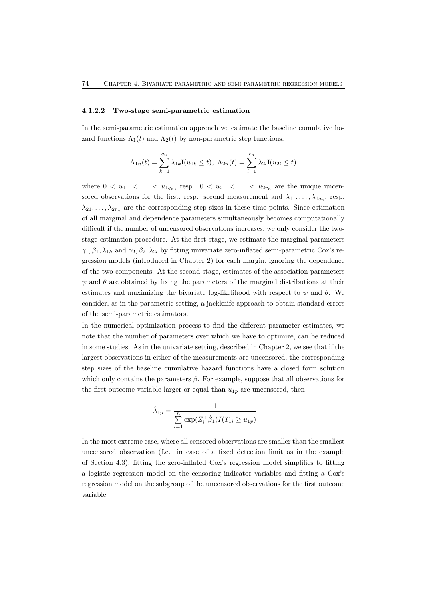#### 4.1.2.2 Two-stage semi-parametric estimation

In the semi-parametric estimation approach we estimate the baseline cumulative hazard functions  $\Lambda_1(t)$  and  $\Lambda_2(t)$  by non-parametric step functions:

$$
\Lambda_{1n}(t) = \sum_{k=1}^{q_n} \lambda_{1k} I(u_{1k} \le t), \ \Lambda_{2n}(t) = \sum_{l=1}^{r_n} \lambda_{2l} I(u_{2l} \le t)
$$

where  $0 < u_{11} < \ldots < u_{1q_n}$ , resp.  $0 < u_{21} < \ldots < u_{2r_n}$  are the unique uncensored observations for the first, resp. second measurement and  $\lambda_{11}, \ldots, \lambda_{1q_n}$ , resp.  $\lambda_{21}, \ldots, \lambda_{2r_n}$  are the corresponding step sizes in these time points. Since estimation of all marginal and dependence parameters simultaneously becomes computationally difficult if the number of uncensored observations increases, we only consider the twostage estimation procedure. At the first stage, we estimate the marginal parameters  $\gamma_1, \beta_1, \lambda_{1k}$  and  $\gamma_2, \beta_2, \lambda_{2l}$  by fitting univariate zero-inflated semi-parametric Cox's regression models (introduced in Chapter 2) for each margin, ignoring the dependence of the two components. At the second stage, estimates of the association parameters  $\psi$  and  $\theta$  are obtained by fixing the parameters of the marginal distributions at their estimates and maximizing the bivariate log-likelihood with respect to  $\psi$  and  $\theta$ . We consider, as in the parametric setting, a jackknife approach to obtain standard errors of the semi-parametric estimators.

In the numerical optimization process to find the different parameter estimates, we note that the number of parameters over which we have to optimize, can be reduced in some studies. As in the univariate setting, described in Chapter 2, we see that if the largest observations in either of the measurements are uncensored, the corresponding step sizes of the baseline cumulative hazard functions have a closed form solution which only contains the parameters  $\beta$ . For example, suppose that all observations for the first outcome variable larger or equal than  $u_{1p}$  are uncensored, then

$$
\hat{\lambda}_{1p} = \frac{1}{\sum_{i=1}^{n} \exp(Z_i^{\top} \hat{\beta}_1) I(T_{1i} \ge u_{1p})}.
$$

In the most extreme case, where all censored observations are smaller than the smallest uncensored observation (f.e. in case of a fixed detection limit as in the example of Section 4.3), fitting the zero-inflated Cox's regression model simplifies to fitting a logistic regression model on the censoring indicator variables and fitting a Cox's regression model on the subgroup of the uncensored observations for the first outcome variable.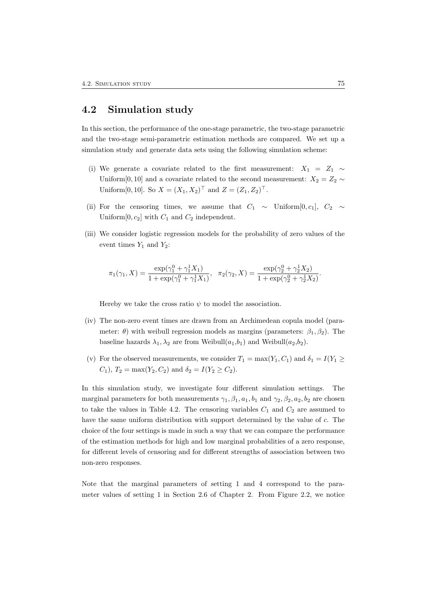### 4.2 Simulation study

In this section, the performance of the one-stage parametric, the two-stage parametric and the two-stage semi-parametric estimation methods are compared. We set up a simulation study and generate data sets using the following simulation scheme:

- (i) We generate a covariate related to the first measurement:  $X_1 = Z_1 \sim$ Uniform[0,10] and a covariate related to the second measurement:  $X_2 = Z_2 \sim$ Uniform[0, 10]. So  $X = (X_1, X_2)^\top$  and  $Z = (Z_1, Z_2)^\top$ .
- (ii) For the censoring times, we assume that  $C_1 \sim$  Uniform[0, c<sub>1</sub>],  $C_2 \sim$ Uniform  $[0, c_2]$  with  $C_1$  and  $C_2$  independent.
- (iii) We consider logistic regression models for the probability of zero values of the event times  $Y_1$  and  $Y_2$ :

$$
\pi_1(\gamma_1, X) = \frac{\exp(\gamma_1^0 + \gamma_1^1 X_1)}{1 + \exp(\gamma_1^0 + \gamma_1^1 X_1)}, \quad \pi_2(\gamma_2, X) = \frac{\exp(\gamma_2^0 + \gamma_2^1 X_2)}{1 + \exp(\gamma_2^0 + \gamma_2^1 X_2)}.
$$

Hereby we take the cross ratio  $\psi$  to model the association.

- (iv) The non-zero event times are drawn from an Archimedean copula model (parameter:  $\theta$ ) with weibull regression models as margins (parameters:  $\beta_1, \beta_2$ ). The baseline hazards  $\lambda_1, \lambda_2$  are from Weibull $(a_1,b_1)$  and Weibull $(a_2,b_2)$ .
- (v) For the observed measurements, we consider  $T_1 = \max(Y_1, C_1)$  and  $\delta_1 = I(Y_1 \geq$  $C_1$ ,  $T_2 = \max(Y_2, C_2)$  and  $\delta_2 = I(Y_2 \ge C_2)$ .

In this simulation study, we investigate four different simulation settings. The marginal parameters for both measurements  $\gamma_1, \beta_1, a_1, b_1$  and  $\gamma_2, \beta_2, a_2, b_2$  are chosen to take the values in Table 4.2. The censoring variables  $C_1$  and  $C_2$  are assumed to have the same uniform distribution with support determined by the value of c. The choice of the four settings is made in such a way that we can compare the performance of the estimation methods for high and low marginal probabilities of a zero response, for different levels of censoring and for different strengths of association between two non-zero responses.

Note that the marginal parameters of setting 1 and 4 correspond to the parameter values of setting 1 in Section 2.6 of Chapter 2. From Figure 2.2, we notice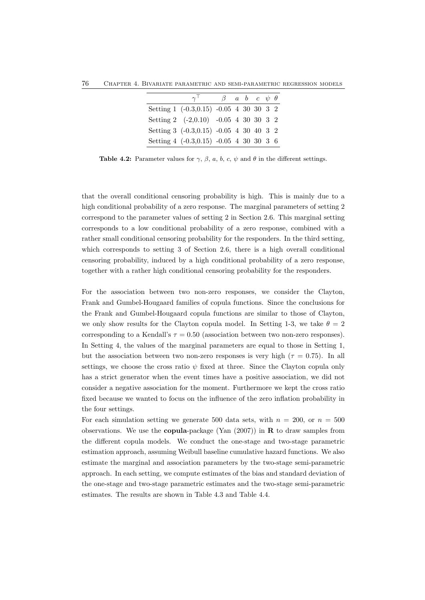76 Chapter 4. Bivariate parametric and semi-parametric regression models

| $\gamma^+$ |  |  |                                                                                                                                                                                                             |
|------------|--|--|-------------------------------------------------------------------------------------------------------------------------------------------------------------------------------------------------------------|
|            |  |  |                                                                                                                                                                                                             |
|            |  |  |                                                                                                                                                                                                             |
|            |  |  |                                                                                                                                                                                                             |
|            |  |  |                                                                                                                                                                                                             |
|            |  |  | $\beta$ a b c $\psi$ $\theta$<br>Setting 1 (-0.3,0.15) -0.05 4 30 30 3 2<br>Setting 2 $(-2,0.10)$ $-0.05$ 4 30 30 3 2<br>Setting 3 (-0.3,0.15) -0.05 4 30 40 3 2<br>Setting 4 (-0.3,0.15) -0.05 4 30 30 3 6 |

Table 4.2: Parameter values for  $\gamma$ ,  $\beta$ ,  $a$ ,  $b$ ,  $c$ ,  $\psi$  and  $\theta$  in the different settings.

that the overall conditional censoring probability is high. This is mainly due to a high conditional probability of a zero response. The marginal parameters of setting 2 correspond to the parameter values of setting 2 in Section 2.6. This marginal setting corresponds to a low conditional probability of a zero response, combined with a rather small conditional censoring probability for the responders. In the third setting, which corresponds to setting 3 of Section 2.6, there is a high overall conditional censoring probability, induced by a high conditional probability of a zero response, together with a rather high conditional censoring probability for the responders.

For the association between two non-zero responses, we consider the Clayton, Frank and Gumbel-Hougaard families of copula functions. Since the conclusions for the Frank and Gumbel-Hougaard copula functions are similar to those of Clayton, we only show results for the Clayton copula model. In Setting 1-3, we take  $\theta = 2$ corresponding to a Kendall's  $\tau = 0.50$  (association between two non-zero responses). In Setting 4, the values of the marginal parameters are equal to those in Setting 1, but the association between two non-zero responses is very high ( $\tau = 0.75$ ). In all settings, we choose the cross ratio  $\psi$  fixed at three. Since the Clayton copula only has a strict generator when the event times have a positive association, we did not consider a negative association for the moment. Furthermore we kept the cross ratio fixed because we wanted to focus on the influence of the zero inflation probability in the four settings.

For each simulation setting we generate 500 data sets, with  $n = 200$ , or  $n = 500$ observations. We use the **copula-**package (Yan  $(2007)$ ) in **R** to draw samples from the different copula models. We conduct the one-stage and two-stage parametric estimation approach, assuming Weibull baseline cumulative hazard functions. We also estimate the marginal and association parameters by the two-stage semi-parametric approach. In each setting, we compute estimates of the bias and standard deviation of the one-stage and two-stage parametric estimates and the two-stage semi-parametric estimates. The results are shown in Table 4.3 and Table 4.4.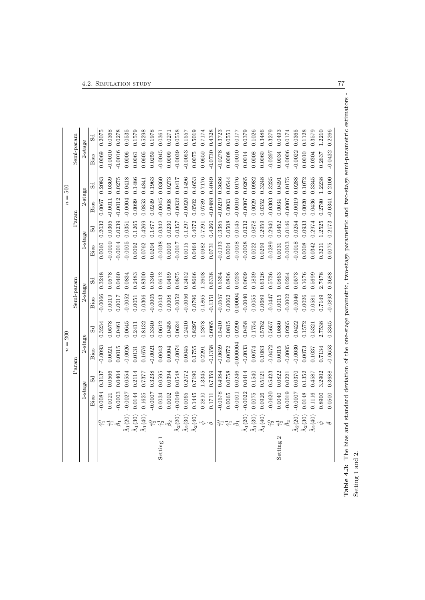|          |                                                          |           |        | $\parallel$<br>$\tilde{n}$<br>Param | 200    | Semi-param |        |            | $\rm{Param}$ | $\overline{\mathbf{u}}$<br>$\boldsymbol{n}$ |        |           | Semi-param |
|----------|----------------------------------------------------------|-----------|--------|-------------------------------------|--------|------------|--------|------------|--------------|---------------------------------------------|--------|-----------|------------|
|          |                                                          | 1-stage   |        | $2$ -stage                          |        | 2-stage    |        | $1$ -stage |              | $2$ -stage                                  |        |           | 2-stage    |
|          |                                                          | Bias      | Sd     | Bias                                | Sd     | Bias       | Sd     | Bias       | Sd           | Bias                                        | Sd     | Bias      | Sd         |
|          |                                                          | 0.0084    | 0.3137 | 0.0093                              | 0.3234 | 0.0066     | 0.3248 | 0.0060     | 0.2032       | 0.0067                                      | 0.2083 | 0.0069    | 0.2075     |
|          |                                                          | 1.0021    | 0.0566 | 0.0021                              | 0.0578 | 0.0019     | 0.0578 | 0.0010     | 0.0365       | $-0.0011$                                   | 0.0369 | 0.0010    | 0.0368     |
|          | $\hat{\beta}_1$                                          | 0.0003    | 0.0404 | 0.0015                              | 0.0461 | 0.0017     | 0.0460 | $-0.0014$  | 0.0239       | $-0.0012$                                   | 0.0275 | $-0.0016$ | 0.0278     |
|          | $\hat{\Lambda}_1(20)$                                    | $-0.0027$ | 0.0554 | $-0.0026$                           | 0.0645 | 0.0052     | 0.0834 | $-0.0005$  | 0.0351       | $-0.0004$                                   | 0.0418 | 0.0006    | 0.0535     |
|          | $\hat{\Lambda}_1(30)$                                    | 0.0144    | 0.2114 | 0.0131                              | 0.2411 | 0.0051     | 0.2483 | 0.0092     | 0.1265       | 0.0099                                      | 0.1486 | 0.0061    | 0.1579     |
|          | $\hat{\Lambda}_1(40)$                                    | 0.1625    | 0.7377 | 0.1676                              | 0.8132 | 0.0306     | 0.8300 | 0.0762     | 0.4269       | 0.0853                                      | 0.4841 | 0.0605    | 0.5298     |
|          | $\hat{\gamma}^0_2$                                       | $-0.0007$ | 0.3238 | $-0.0021$                           | 0.3340 | 0.0005     | 0.3340 | 0.0204     | 0.1877       | 0.0249                                      | 0.1963 | 0.0259    | 0.1978     |
| Setting: | $\hat{\gamma}^1_2$ $\hat{\beta}_2$                       | 0.0034    | 0.0595 | 0.0043                              | 0.0612 | 0.0043     | 0.0612 | $-0.0038$  | 0.0342       | $-0.0045$                                   | 0.0360 | $-0.0045$ | 0.0361     |
|          |                                                          | 0.0002    | 0.0394 | 0.0004                              | 0.0455 | 0.0008     | 0.0459 | 0.0003     | 0.0230       | 0.0008                                      | 0.0273 | 0.0009    | 0.0271     |
|          | $\hat{\Lambda}_2(20)$                                    | $-0.0049$ | 0.0548 | $-0.0074$                           | 0.0624 | 0.0052     | 0.0875 | -0.0017    | 0.0357       | $-0.0032$                                   | 0.0417 | $-0.0039$ | 0.0558     |
|          | $\hat{\Lambda}_2(30)$                                    | 0.0065    | 0.2072 | 0.0045                              | 0.2410 | 0.0056     | 0.2452 | 0.0015     | 0.1297       | $-0.0020$                                   | 0.1496 | $-0.0053$ | 0.1557     |
|          | $\hat{\Lambda}_2(40)$                                    | 0.1445    | 0.7190 | 0.1755                              | 0.8297 | 0.0796     | 0.8666 | 0.0464     | 0.4072       | 0.0502                                      | 0.4653 | 0.0075    | 0.5019     |
|          | $\hat{\varphi}$                                          | 0.2810    | 1.3345 | 0.2291                              | 1.2878 | 0.1865     | 1.2608 | 0.0982     | 0.7291       | 0.0789                                      | 0.7176 | 0.0650    | 0.7174     |
|          | $\hat{\theta}$                                           | 0.1711    | 0.7359 | $-0.1358$                           | 0.6065 | 0.1351     | 0.6338 | 0.0731     | 0.4260       | $-0.0489$                                   | 0.4049 | $-0.0730$ | 0.4328     |
|          |                                                          | $-0.0578$ | 0.4984 | $-0.0659$                           | 0.5410 | $-0.0557$  | 0.5364 | $-0.0193$  | 0.3385       | $-0.0219$                                   | 0.3636 | $-0.0278$ | 0.3723     |
|          | $\hat{\gamma}^0_{1}$ $\hat{\gamma}^1_{2}$ $\hat{\alpha}$ | 0.0065    | 0.0758 | 0.0072                              | 0.0815 | 0.0062     | 0.0806 | 0.0004     | 0.0508       | 0.0003                                      | 0.0544 | 0.0008    | 0.0551     |
|          |                                                          | $-0.0001$ | 0.0246 | $-0.000004$                         | 0.0290 | 0.00004    | 0.0293 | $-0.0008$  | 0.0145       | $-0.0010$                                   | 0.0176 | $-0.0010$ | 0.0177     |
|          | $\hat{\Lambda}_1(20)$                                    | $-0.0022$ | 0.0414 | $-0.0033$                           | 0.0458 | $-0.0040$  | 0.0609 | $-0.0008$  | 0.0232       | $-0.0007$                                   | 0.0265 | 0.0014    | 0.0379     |
|          | $\hat{\Lambda}_1(30)$                                    | 0.0075    | 0.1540 | 0.0074                              | 0.1754 | 0.0055     | 0.1839 | 0.0022     | 0.0878       | 0.0029                                      | 0.0982 | 0.0008    | 0.1026     |
|          | $\hat{\Lambda}_1(40)$                                    | 0.0926    | 0.5121 | 0.1083                              | 0.5782 | 0.0689     | 0.6326 | 0.0299     | 0.2959       | 0.0352                                      | 0.3248 | 0.0060    | 0.3486     |
|          | $\hat{\gamma}^0_2$                                       | $-0.0620$ | 0.5423 | $-0.0472$                           | 0.5657 | 0.0447     | 0.5736 | $-0.0289$  | 0.2940       | $-0.0303$                                   | 0.3235 | $-0.0297$ | 0.3279     |
| Setting  | $\hat{\gamma}^1_2$                                       | 0.0040    | 0.0822 | 0.0015                              | 0.0860 | 0.0015     | 0.0863 | 0.0031     | 0.0452       | 0.0034                                      | 0.0491 | 0.0034    | 0.0493     |
|          | $\hat{\beta}_2$                                          | $-0.0019$ | 0.0221 | $-0.0005$                           | 0.265  | 0.0002     | 0.0264 | $-0.0003$  | 0.0146       | $-0.0007$                                   | 0.0175 | 0.0006    | 0.0174     |
|          | $\bar{\Lambda}_2(20)$                                    | $-0.0007$ | 0.0370 | $-0.0030$                           | 0.0422 | 0.0046     | 0.0573 | $-0.0018$  | 0.0254       | $-0.0019$                                   | 0.0288 | 0.0022    | 0.0365     |
|          | $\Lambda_2(30)$                                          | 0.0148    | 0.1352 | 0.0073                              | 0.1572 | 0.0026     | 0.1676 | 0.0008     | 0.0933       | 0.0020                                      | 1.1072 | 0.0010    | 0.1128     |
|          | $\tilde{\Lambda}_2(40)$                                  | 0.1116    | 0.4587 | 0.1037                              | 0.5321 | 0.0581     | 0.5699 | 0.0342     | 0.2974       | 0.0436                                      | 0.3345 | 0.0304    | 0.3579     |
|          | $\hookrightarrow$                                        | 0.8900    | 3.2902 | 0.7134                              | 2.7538 | 0.7149     | 2.7478 | 0.3211     | 1.2525       | 0.2790                                      | 1.2238 | 0.2637    | 1.2210     |
|          | $\hat{\theta}$                                           | 0.0500    | 0.3688 | $-0.0653$                           | 0.3345 | $-0.0893$  | 0.3688 | 0.0075     | 0.2173       | $-0.0341$                                   | 0.2100 | $-0.0432$ | 0.2266     |

Table 4.3: The bias and standard deviation of the one-stage parametric, two-stage parametric and two-stage semi-parametric estimators -<br>Setting 1 and 2. Table 4.3: The bias and standard deviation of the one-stage parametric, two-stage parametric and two-stage semi-parametric estimators - Setting 1 and 2.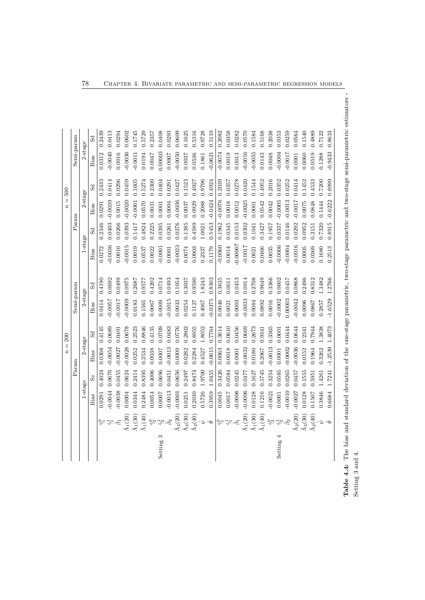|            | Param  | $= 200$<br>$\boldsymbol{n}$ |        | Semi-param |        |            | $\rm{Param}$ |           |         | Semi-param |             |
|------------|--------|-----------------------------|--------|------------|--------|------------|--------------|-----------|---------|------------|-------------|
| $1$ -stage |        | 2-stage                     |        | 2-stage    |        | $1$ -stage |              |           | 2-stage | $2$ -stage |             |
| Bias       | ಹೆ     | Bias                        |        | Bias       |        | Bias       | $S_{d}$      | Bias      | Sd      | Bias       | $_{\rm Sd}$ |
| 0.0291     | 0.4024 | 0.0368                      | 0.4145 | 0.0414     | 0.4190 | 0.0272     | 0.2346       | 0.0291    | 0.2433  | 0.0312     | 0.2439      |
| 0.0044     | 0.0676 | $-0.0054$                   | 0.0689 | 7500.0     | 0.0692 | 0.0036     | 0.0403       | $-0.0039$ | 0.0414  | 0.0040     | 0.0413      |
| $-0.0038$  | 0.0455 | $-0.0027$                   | 0.0491 | 0.0017     | 0.0499 | 0.0010     | 0.0266       | 0.0015    | 0.0296  | 0.0016     | 0.0294      |
| 0.0004     | 0.0624 | $-0.0028$                   | 0.0678 | 0.0009     | 0.0975 | $-0.0015$  | 0.0393       | $-0.0020$ | 0.0459  | $-0.0036$  | 0.0602      |
| 0.0344     | 0.2414 | 0.0252                      | 0.2523 | 0.0183     | 0.2687 | 0.0019     | 1.1417       | $-0.0001$ | 0.1605  | $-0.0011$  | 0.1745      |
| 0.2484     | 0.8395 | 0.2534                      | 0.8846 | 0.1565     | 0.9577 | 0.0537     | 1.4824       | 0.0570    | 0.5274  | 0.0194     | 0.5729      |
| 0.0054     | 0.4006 | 0.0038                      | 0.4135 | 0.0067     | 0.4202 | 0.0022     | 0.2225       | 0.0031    | 0.2300  | 0.0047     | 0.2357      |
| 0.0007     | 0.0696 | 0.0007                      | 0.0709 | 0.0009     | 0.0714 | $-0.0001$  | 0.0395       | 0.0001    | 0.0404  | 0.00003    | 0.0408      |
| $-0.0013$  | 0.0451 | $-0.0013$                   | 0.0483 | $-0.0015$  | 0.0493 | 0.0001     | 0.0261       | 0.0004    | 0.0291  | 0.0007     | 0.0293      |
| $-0.0001$  | 0.0656 | 0.0009                      | 0.0776 | 0.0033     | 0.1054 | $-0.0023$  | 0.376        | $-0.0036$ | 0.0427  | 0.0050     | 0.0609      |
| 0.0251     | 0.2497 | 0.0282                      | 0.2802 | 0.0254     | 0.3037 | 0.0074     | 0.1385       | 0.0037    | 0.1523  | 0.0037     | 0.1625      |
| 0.2030     | 0.8474 | 0.2284                      | 0.8955 | 0.1127     | 0.9590 | 0.0903     | 0.4589       | 0.0929    | 0.4927  | 0.0536     | 0.5316      |
| 0.5726     | 1.9700 | 0.4527                      | 1.8052 | 0.4067     | 1.8243 | 0.2337     | 1.0021       | 0.2088    | 0.9796  | 0.1861     | 0.9728      |
| 0.3959     | 1.0455 | $-0.0615$                   | 0.7764 | $-0.0375$  | 0.8303 | 0.1179     | 0.5453       | $-0.0424$ | 0.4924  | $-0.0621$  | 0.5110      |
| 0.0045     | 0.3426 | 0.0063                      | 0.3614 | 0.0046     | 0.3635 | $-0.0060$  | 0.1962       | $-0.0076$ | 0.2039  | $-0.0074$  | 0.2082      |
| 0.0017     | 0.0584 | 0.0018                      | 0.0610 | 0.0021     | 0.0611 | 0.0014     | 0.0345       | 0.0018    | 0.0357  | 0.0019     | 0.0358      |
| $-0.0006$  | 0.0245 | 0.0001                      | 0.0456 | 0.0003     | 0.0453 | -0.0007    | 0.0153       | 0.0012    | 0.0278  | 0.0013     | 0.0282      |
| $-0.0006$  | 0.0477 | $-0.0032$                   | 0.0669 | 0.0033     | 0.0914 | $-0.0017$  | 0.0302       | $-0.0025$ | 0.0420  | 0.0016     | 0.0570      |
| 0.0128     | 0.1627 | 0.0180                      | 0.2673 | 0.0084     | 0.2708 | 0.0021     | 0.1041       | 0.0001    | 0.1544  | $-0.0055$  | 0.1584      |
| 0.1216     | 0.5745 | 0.2067                      | 0.9341 | 0.0892     | 0.9649 | 0.0466     | 0.3427       | 0.0542    | 0.4952  | 0.0143     | 0.5168      |
| $-0.0021$  | 0.3254 | $-0.0013$                   | 0.3365 | 0.0016     | 0.3366 | 0.0035     | 0.1957       | 0.0042    | 0.2016  | 0.0048     | 0.2038      |
| 0.0001     | 0.0585 | 0.0001                      | 0.0601 | $-0.0002$  | 0.0602 | $-0.0006$  | 0.0337       | $-0.0005$ | 0.0352  | $-0.0004$  | 0.0353      |
| $-0.0010$  | 0.0265 | $-0.0002$                   | 0.0444 | 0.00003    | 0.0457 | $-0.0004$  | 0.0146       | $-0.0013$ | 0.0252  | $-0.0017$  | 0.0259      |
| $-0.0027$  | 0.0457 | $-0.0036$                   | 0.0644 | 0.0042     | 0.0868 | $-0.0016$  | 0.292        | $-0.0017$ | 0.0414  | 0.0001     | 0.0564      |
| 0.0128     | 0.1555 | 0.0152                      | 0.2341 | 0.0096     | 0.2496 | 0.0005     | 0.0952       | 0.0075    | 0.1452  | 0.0060     | 0.1540      |
| 0.1507     | 0.5951 | 0.1964                      | 0.7944 | 0.0867     | 0.8312 | 0.0369     | 1.3151       | 0.0848    | 0.4533  | 0.0519     | 0.4889      |
| 0.3846     | 1.4261 | 0.3262                      | 1.3838 | 0.2857     | 1.3482 | 0.1680     | 0.7320       | 0.1444    | 0.7200  | 0.1288     | 0.7122      |
| 0.6684     | 1.7241 | $-1.2539$                   | 1.4073 | $-1.6529$  | 1.2766 | 0.2513     | 0.8915       | $-0.6222$ | 0.8999  | 0.9433     | 0.8633      |

Table 4.4: The bias and standard deviation of the one-stage parametric, two-stage parametric and two-stage semi-parametric estimators - Table 4.4: The bias and standard deviation of the one-stage parametric, two-stage parametric and two-stage semi-parametric estimators -Setting 3 and 4.  $\,$ Setting 3 and 4.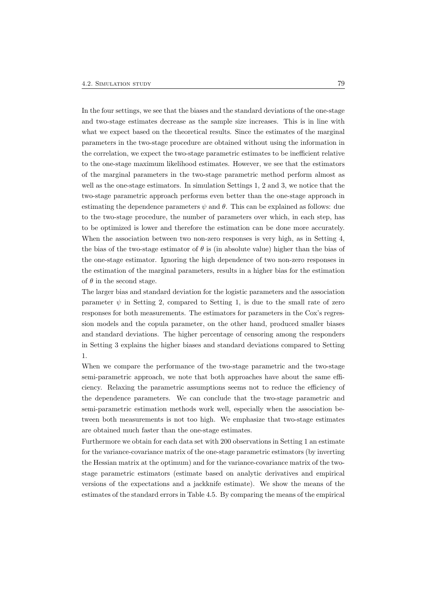In the four settings, we see that the biases and the standard deviations of the one-stage and two-stage estimates decrease as the sample size increases. This is in line with what we expect based on the theoretical results. Since the estimates of the marginal parameters in the two-stage procedure are obtained without using the information in the correlation, we expect the two-stage parametric estimates to be inefficient relative to the one-stage maximum likelihood estimates. However, we see that the estimators of the marginal parameters in the two-stage parametric method perform almost as well as the one-stage estimators. In simulation Settings 1, 2 and 3, we notice that the two-stage parametric approach performs even better than the one-stage approach in estimating the dependence parameters  $\psi$  and  $\theta$ . This can be explained as follows: due to the two-stage procedure, the number of parameters over which, in each step, has to be optimized is lower and therefore the estimation can be done more accurately. When the association between two non-zero responses is very high, as in Setting 4, the bias of the two-stage estimator of  $\theta$  is (in absolute value) higher than the bias of the one-stage estimator. Ignoring the high dependence of two non-zero responses in the estimation of the marginal parameters, results in a higher bias for the estimation of  $\theta$  in the second stage.

The larger bias and standard deviation for the logistic parameters and the association parameter  $\psi$  in Setting 2, compared to Setting 1, is due to the small rate of zero responses for both measurements. The estimators for parameters in the Cox's regression models and the copula parameter, on the other hand, produced smaller biases and standard deviations. The higher percentage of censoring among the responders in Setting 3 explains the higher biases and standard deviations compared to Setting 1.

When we compare the performance of the two-stage parametric and the two-stage semi-parametric approach, we note that both approaches have about the same efficiency. Relaxing the parametric assumptions seems not to reduce the efficiency of the dependence parameters. We can conclude that the two-stage parametric and semi-parametric estimation methods work well, especially when the association between both measurements is not too high. We emphasize that two-stage estimates are obtained much faster than the one-stage estimates.

Furthermore we obtain for each data set with 200 observations in Setting 1 an estimate for the variance-covariance matrix of the one-stage parametric estimators (by inverting the Hessian matrix at the optimum) and for the variance-covariance matrix of the twostage parametric estimators (estimate based on analytic derivatives and empirical versions of the expectations and a jackknife estimate). We show the means of the estimates of the standard errors in Table 4.5. By comparing the means of the empirical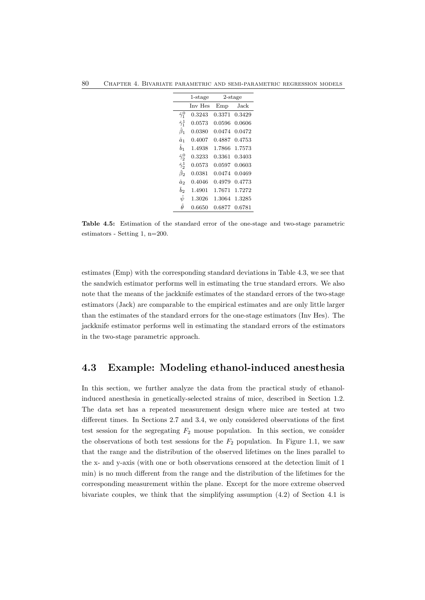80 Chapter 4. Bivariate parametric and semi-parametric regression models

|                    | $1$ -stage |        | $2$ -stage |
|--------------------|------------|--------|------------|
|                    | Inv Hes    | Emp    | Jack       |
| $\hat{\gamma}_1^0$ | 0.3243     | 0.3371 | 0.3429     |
| $\hat{\gamma}_1^1$ | 0.0573     | 0.0596 | 0.0606     |
| $\hat{\beta}_1$    | 0.0380     | 0.0474 | 0.0472     |
| $\hat{a}_1$        | 0.4007     | 0.4887 | 0.4753     |
| $\hat{b}_1$        | 1.4938     | 1.7866 | 1.7573     |
| $\hat{\gamma}_2^0$ | 0.3233     | 0.3361 | 0.3403     |
| $\hat{\gamma}_2^1$ | 0.0573     | 0.0597 | 0.0603     |
| Â2                 | 0.0381     | 0.0474 | 0.0469     |
| â2                 | 0.4046     | 0.4979 | 0.4773     |
| $\overline{b}$     | 1.4901     | 1.7671 | 1.7272     |
| $\hat{\psi}$       | 1.3026     | 1.3064 | 1.3285     |
| Â                  | 0.6650     | 0.6877 | 0.6781     |

Table 4.5: Estimation of the standard error of the one-stage and two-stage parametric estimators - Setting 1, n=200.

estimates (Emp) with the corresponding standard deviations in Table 4.3, we see that the sandwich estimator performs well in estimating the true standard errors. We also note that the means of the jackknife estimates of the standard errors of the two-stage estimators (Jack) are comparable to the empirical estimates and are only little larger than the estimates of the standard errors for the one-stage estimators (Inv Hes). The jackknife estimator performs well in estimating the standard errors of the estimators in the two-stage parametric approach.

### 4.3 Example: Modeling ethanol-induced anesthesia

In this section, we further analyze the data from the practical study of ethanolinduced anesthesia in genetically-selected strains of mice, described in Section 1.2. The data set has a repeated measurement design where mice are tested at two different times. In Sections 2.7 and 3.4, we only considered observations of the first test session for the segregating  $F_2$  mouse population. In this section, we consider the observations of both test sessions for the  $F_2$  population. In Figure 1.1, we saw that the range and the distribution of the observed lifetimes on the lines parallel to the x- and y-axis (with one or both observations censored at the detection limit of 1 min) is no much different from the range and the distribution of the lifetimes for the corresponding measurement within the plane. Except for the more extreme observed bivariate couples, we think that the simplifying assumption (4.2) of Section 4.1 is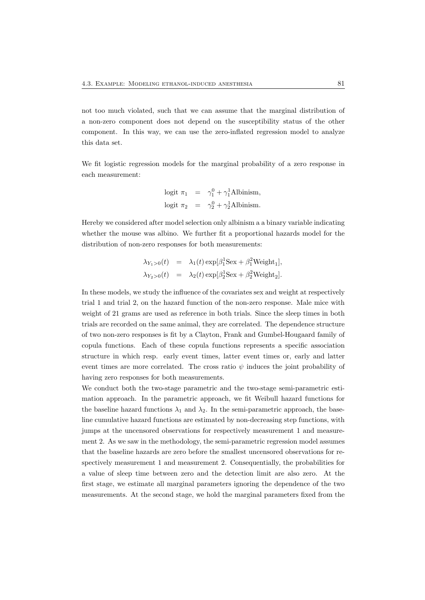not too much violated, such that we can assume that the marginal distribution of a non-zero component does not depend on the susceptibility status of the other component. In this way, we can use the zero-inflated regression model to analyze this data set.

We fit logistic regression models for the marginal probability of a zero response in each measurement:

$$
logit \ \pi_1 = \gamma_1^0 + \gamma_1^1 \text{Albinism,}
$$
  

$$
logit \ \pi_2 = \gamma_2^0 + \gamma_2^1 \text{Albinism.}
$$

Hereby we considered after model selection only albinism a a binary variable indicating whether the mouse was albino. We further fit a proportional hazards model for the distribution of non-zero responses for both measurements:

$$
\lambda_{Y_1>0}(t) = \lambda_1(t) \exp[\beta_1^1 \text{Sex} + \beta_1^2 \text{Weight}_1],
$$
  

$$
\lambda_{Y_2>0}(t) = \lambda_2(t) \exp[\beta_2^1 \text{Sex} + \beta_2^2 \text{Weight}_2].
$$

In these models, we study the influence of the covariates sex and weight at respectively trial 1 and trial 2, on the hazard function of the non-zero response. Male mice with weight of 21 grams are used as reference in both trials. Since the sleep times in both trials are recorded on the same animal, they are correlated. The dependence structure of two non-zero responses is fit by a Clayton, Frank and Gumbel-Hougaard family of copula functions. Each of these copula functions represents a specific association structure in which resp. early event times, latter event times or, early and latter event times are more correlated. The cross ratio  $\psi$  induces the joint probability of having zero responses for both measurements.

We conduct both the two-stage parametric and the two-stage semi-parametric estimation approach. In the parametric approach, we fit Weibull hazard functions for the baseline hazard functions  $\lambda_1$  and  $\lambda_2$ . In the semi-parametric approach, the baseline cumulative hazard functions are estimated by non-decreasing step functions, with jumps at the uncensored observations for respectively measurement 1 and measurement 2. As we saw in the methodology, the semi-parametric regression model assumes that the baseline hazards are zero before the smallest uncensored observations for respectively measurement 1 and measurement 2. Consequentially, the probabilities for a value of sleep time between zero and the detection limit are also zero. At the first stage, we estimate all marginal parameters ignoring the dependence of the two measurements. At the second stage, we hold the marginal parameters fixed from the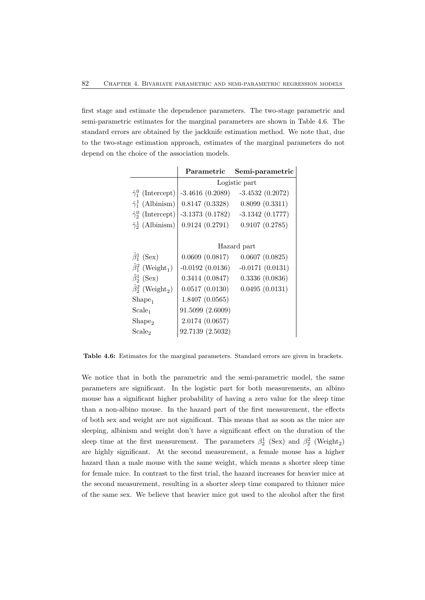first stage and estimate the dependence parameters. The two-stage parametric and semi-parametric estimates for the marginal parameters are shown in Table 4.6. The standard errors are obtained by the jackknife estimation method. We note that, due to the two-stage estimation approach, estimates of the marginal parameters do not depend on the choice of the association models.

|                                          | Parametric        | Semi-parametric   |
|------------------------------------------|-------------------|-------------------|
|                                          |                   | Logistic part     |
| $\hat{\gamma}_1^0$ (Intercept)           | $-3.4616(0.2089)$ | $-3.4532(0.2072)$ |
| $\hat{\gamma}_1^1$ (Albinism)            | 0.8147(0.3328)    | 0.8099(0.3311)    |
| $\hat{\gamma}_2^0$ (Intercept)           | $-3.1373(0.1782)$ | $-3.1342(0.1777)$ |
| $\hat{\gamma}_2^1$ (Albinism)            | 0.9124(0.2791)    | 0.9107(0.2785)    |
|                                          |                   |                   |
|                                          |                   | Hazard part       |
| $\hat{\beta}_1^1$ (Sex)                  | 0.0609(0.0817)    | 0.0607(0.0825)    |
| $\hat{\beta}_1^2$ (Weight <sub>1</sub> ) | $-0.0192(0.0136)$ | $-0.0171(0.0131)$ |
| $\hat{\beta}_2^1$ (Sex)                  | 0.3414(0.0847)    | 0.3336(0.0836)    |
| $\hat{\beta}_2^2$ (Weight <sub>2</sub> ) | 0.0517(0.0130)    | 0.0495(0.0131)    |
| Shape <sub>1</sub>                       | 1.8407 (0.0565)   |                   |
| Scale <sub>1</sub>                       | 91.5099 (2.6009)  |                   |
| Shape <sub>2</sub>                       | 2.0174 (0.0657)   |                   |
| Scale <sub>2</sub>                       | 92.7139 (2.5032)  |                   |

Table 4.6: Estimates for the marginal parameters. Standard errors are given in brackets.

We notice that in both the parametric and the semi-parametric model, the same parameters are significant. In the logistic part for both measurements, an albino mouse has a significant higher probability of having a zero value for the sleep time than a non-albino mouse. In the hazard part of the first measurement, the effects of both sex and weight are not significant. This means that as soon as the mice are sleeping, albinism and weight don't have a significant effect on the duration of the sleep time at the first measurement. The parameters  $\beta_2^1$  (Sex) and  $\beta_2^2$  (Weight<sub>2</sub>) are highly significant. At the second measurement, a female mouse has a higher hazard than a male mouse with the same weight, which means a shorter sleep time for female mice. In contrast to the first trial, the hazard increases for heavier mice at the second measurement, resulting in a shorter sleep time compared to thinner mice of the same sex. We believe that heavier mice got used to the alcohol after the first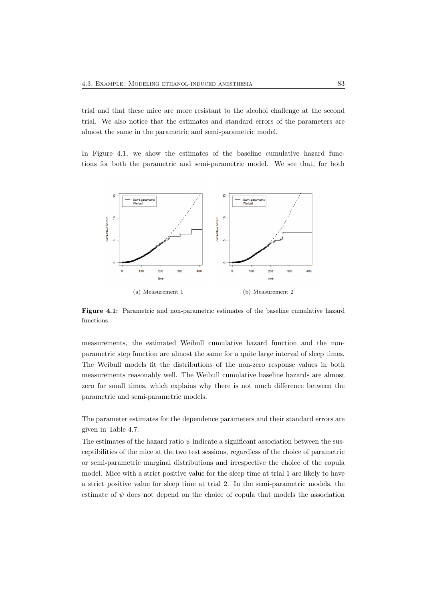trial and that these mice are more resistant to the alcohol challenge at the second trial. We also notice that the estimates and standard errors of the parameters are almost the same in the parametric and semi-parametric model.

In Figure 4.1, we show the estimates of the baseline cumulative hazard functions for both the parametric and semi-parametric model. We see that, for both



Figure 4.1: Parametric and non-parametric estimates of the baseline cumulative hazard functions.

measurements, the estimated Weibull cumulative hazard function and the nonparametric step function are almost the same for a quite large interval of sleep times. The Weibull models fit the distributions of the non-zero response values in both measurements reasonably well. The Weibull cumulative baseline hazards are almost zero for small times, which explains why there is not much difference between the parametric and semi-parametric models.

The parameter estimates for the dependence parameters and their standard errors are given in Table 4.7.

The estimates of the hazard ratio  $\psi$  indicate a significant association between the susceptibilities of the mice at the two test sessions, regardless of the choice of parametric or semi-parametric marginal distributions and irrespective the choice of the copula model. Mice with a strict positive value for the sleep time at trial 1 are likely to have a strict positive value for sleep time at trial 2. In the semi-parametric models, the estimate of  $\psi$  does not depend on the choice of copula that models the association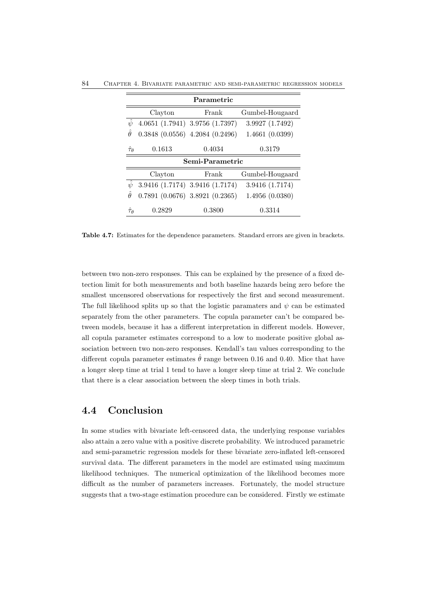84 Chapter 4. Bivariate parametric and semi-parametric regression models

|                                    |         | Parametric                            |                 |
|------------------------------------|---------|---------------------------------------|-----------------|
|                                    | Clayton | Frank                                 | Gumbel-Hougaard |
| $\hat{\psi}$                       |         | 4.0651 (1.7941) 3.9756 (1.7397)       | 3.9927 (1.7492) |
| Â                                  |         | $0.3848$ $(0.0556)$ 4.2084 $(0.2496)$ | 1.4661(0.0399)  |
| $\hat{\tau}_{\theta}$              | 0.1613  | 0.4034                                | 0.3179          |
|                                    |         | Semi-Parametric                       |                 |
|                                    | Clayton | Frank                                 | Gumbel-Hougaard |
| $\hat{\psi}$                       |         | 3.9416 (1.7174) 3.9416 (1.7174)       | 3.9416 (1.7174) |
| Â                                  |         | $0.7891(0.0676)$ 3.8921 $(0.2365)$    | 1.4956(0.0380)  |
| $\hat{\tau}_{\boldsymbol{\theta}}$ | 0.2829  | 0.3800                                | 0.3314          |

Table 4.7: Estimates for the dependence parameters. Standard errors are given in brackets.

between two non-zero responses. This can be explained by the presence of a fixed detection limit for both measurements and both baseline hazards being zero before the smallest uncensored observations for respectively the first and second measurement. The full likelihood splits up so that the logistic paramaters and  $\psi$  can be estimated separately from the other parameters. The copula parameter can't be compared between models, because it has a different interpretation in different models. However, all copula parameter estimates correspond to a low to moderate positive global association between two non-zero responses. Kendall's tau values corresponding to the different copula parameter estimates  $\hat{\theta}$  range between 0.16 and 0.40. Mice that have a longer sleep time at trial 1 tend to have a longer sleep time at trial 2. We conclude that there is a clear association between the sleep times in both trials.

## 4.4 Conclusion

In some studies with bivariate left-censored data, the underlying response variables also attain a zero value with a positive discrete probability. We introduced parametric and semi-parametric regression models for these bivariate zero-inflated left-censored survival data. The different parameters in the model are estimated using maximum likelihood techniques. The numerical optimization of the likelihood becomes more difficult as the number of parameters increases. Fortunately, the model structure suggests that a two-stage estimation procedure can be considered. Firstly we estimate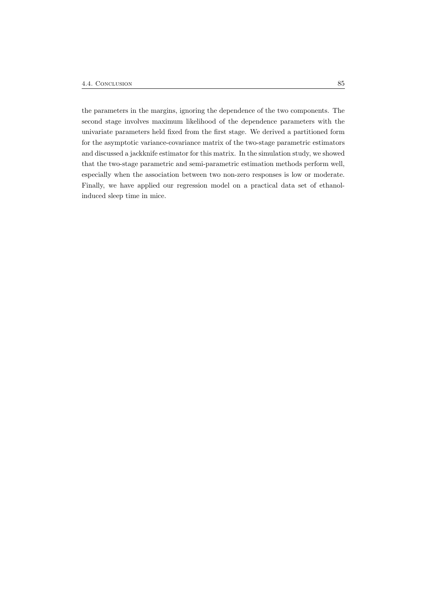the parameters in the margins, ignoring the dependence of the two components. The second stage involves maximum likelihood of the dependence parameters with the univariate parameters held fixed from the first stage. We derived a partitioned form for the asymptotic variance-covariance matrix of the two-stage parametric estimators and discussed a jackknife estimator for this matrix. In the simulation study, we showed that the two-stage parametric and semi-parametric estimation methods perform well, especially when the association between two non-zero responses is low or moderate. Finally, we have applied our regression model on a practical data set of ethanolinduced sleep time in mice.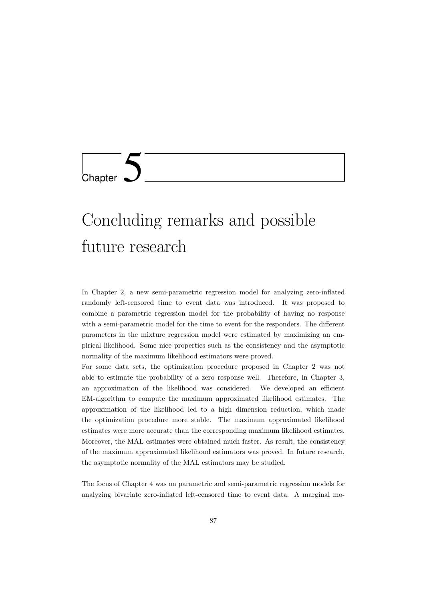

# Concluding remarks and possible future research

In Chapter 2, a new semi-parametric regression model for analyzing zero-inflated randomly left-censored time to event data was introduced. It was proposed to combine a parametric regression model for the probability of having no response with a semi-parametric model for the time to event for the responders. The different parameters in the mixture regression model were estimated by maximizing an empirical likelihood. Some nice properties such as the consistency and the asymptotic normality of the maximum likelihood estimators were proved.

For some data sets, the optimization procedure proposed in Chapter 2 was not able to estimate the probability of a zero response well. Therefore, in Chapter 3, an approximation of the likelihood was considered. We developed an efficient EM-algorithm to compute the maximum approximated likelihood estimates. The approximation of the likelihood led to a high dimension reduction, which made the optimization procedure more stable. The maximum approximated likelihood estimates were more accurate than the corresponding maximum likelihood estimates. Moreover, the MAL estimates were obtained much faster. As result, the consistency of the maximum approximated likelihood estimators was proved. In future research, the asymptotic normality of the MAL estimators may be studied.

The focus of Chapter 4 was on parametric and semi-parametric regression models for analyzing bivariate zero-inflated left-censored time to event data. A marginal mo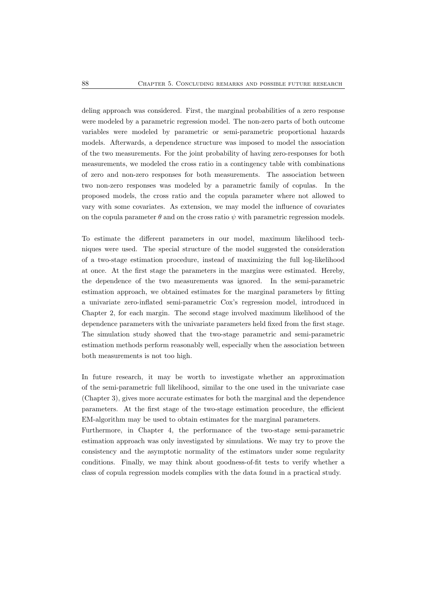deling approach was considered. First, the marginal probabilities of a zero response were modeled by a parametric regression model. The non-zero parts of both outcome variables were modeled by parametric or semi-parametric proportional hazards models. Afterwards, a dependence structure was imposed to model the association of the two measurements. For the joint probability of having zero-responses for both measurements, we modeled the cross ratio in a contingency table with combinations of zero and non-zero responses for both measurements. The association between two non-zero responses was modeled by a parametric family of copulas. In the proposed models, the cross ratio and the copula parameter where not allowed to vary with some covariates. As extension, we may model the influence of covariates on the copula parameter  $\theta$  and on the cross ratio  $\psi$  with parametric regression models.

To estimate the different parameters in our model, maximum likelihood techniques were used. The special structure of the model suggested the consideration of a two-stage estimation procedure, instead of maximizing the full log-likelihood at once. At the first stage the parameters in the margins were estimated. Hereby, the dependence of the two measurements was ignored. In the semi-parametric estimation approach, we obtained estimates for the marginal parameters by fitting a univariate zero-inflated semi-parametric Cox's regression model, introduced in Chapter 2, for each margin. The second stage involved maximum likelihood of the dependence parameters with the univariate parameters held fixed from the first stage. The simulation study showed that the two-stage parametric and semi-parametric estimation methods perform reasonably well, especially when the association between both measurements is not too high.

In future research, it may be worth to investigate whether an approximation of the semi-parametric full likelihood, similar to the one used in the univariate case (Chapter 3), gives more accurate estimates for both the marginal and the dependence parameters. At the first stage of the two-stage estimation procedure, the efficient EM-algorithm may be used to obtain estimates for the marginal parameters.

Furthermore, in Chapter 4, the performance of the two-stage semi-parametric estimation approach was only investigated by simulations. We may try to prove the consistency and the asymptotic normality of the estimators under some regularity conditions. Finally, we may think about goodness-of-fit tests to verify whether a class of copula regression models complies with the data found in a practical study.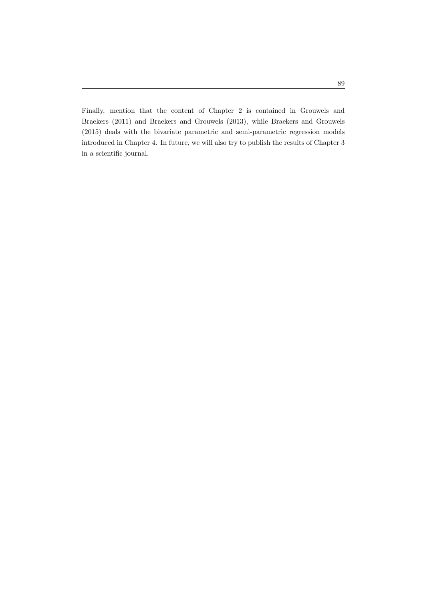Finally, mention that the content of Chapter 2 is contained in Grouwels and Braekers (2011) and Braekers and Grouwels (2013), while Braekers and Grouwels (2015) deals with the bivariate parametric and semi-parametric regression models introduced in Chapter 4. In future, we will also try to publish the results of Chapter 3 in a scientific journal.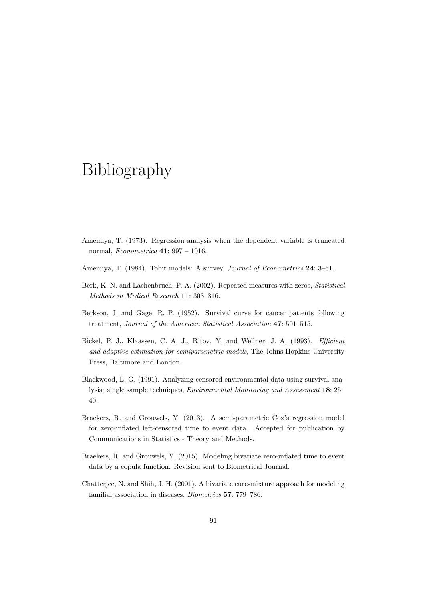# Bibliography

- Amemiya, T. (1973). Regression analysis when the dependent variable is truncated normal, Econometrica 41: 997 – 1016.
- Amemiya, T. (1984). Tobit models: A survey, *Journal of Econometrics* 24: 3-61.
- Berk, K. N. and Lachenbruch, P. A. (2002). Repeated measures with zeros, Statistical Methods in Medical Research 11: 303–316.
- Berkson, J. and Gage, R. P. (1952). Survival curve for cancer patients following treatment, Journal of the American Statistical Association 47: 501–515.
- Bickel, P. J., Klaassen, C. A. J., Ritov, Y. and Wellner, J. A. (1993). Efficient and adaptive estimation for semiparametric models, The Johns Hopkins University Press, Baltimore and London.
- Blackwood, L. G. (1991). Analyzing censored environmental data using survival analysis: single sample techniques, Environmental Monitoring and Assessment 18: 25– 40.
- Braekers, R. and Grouwels, Y. (2013). A semi-parametric Cox's regression model for zero-inflated left-censored time to event data. Accepted for publication by Communications in Statistics - Theory and Methods.
- Braekers, R. and Grouwels, Y. (2015). Modeling bivariate zero-inflated time to event data by a copula function. Revision sent to Biometrical Journal.
- Chatterjee, N. and Shih, J. H. (2001). A bivariate cure-mixture approach for modeling familial association in diseases, Biometrics 57: 779–786.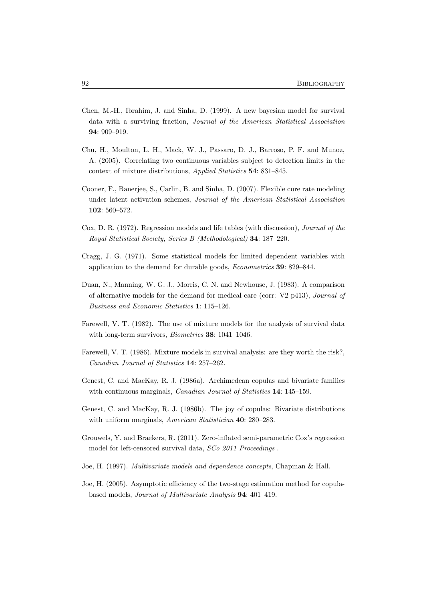- Chen, M.-H., Ibrahim, J. and Sinha, D. (1999). A new bayesian model for survival data with a surviving fraction, Journal of the American Statistical Association 94: 909–919.
- Chu, H., Moulton, L. H., Mack, W. J., Passaro, D. J., Barroso, P. F. and Munoz, A. (2005). Correlating two continuous variables subject to detection limits in the context of mixture distributions, Applied Statistics 54: 831–845.
- Cooner, F., Banerjee, S., Carlin, B. and Sinha, D. (2007). Flexible cure rate modeling under latent activation schemes, Journal of the American Statistical Association 102: 560–572.
- Cox, D. R. (1972). Regression models and life tables (with discussion), Journal of the Royal Statistical Society, Series B (Methodological) 34: 187–220.
- Cragg, J. G. (1971). Some statistical models for limited dependent variables with application to the demand for durable goods, Econometrics 39: 829–844.
- Duan, N., Manning, W. G. J., Morris, C. N. and Newhouse, J. (1983). A comparison of alternative models for the demand for medical care (corr:  $V2$  p413), *Journal of* Business and Economic Statistics 1: 115–126.
- Farewell, V. T. (1982). The use of mixture models for the analysis of survival data with long-term survivors, *Biometrics* 38: 1041-1046.
- Farewell, V. T. (1986). Mixture models in survival analysis: are they worth the risk?, Canadian Journal of Statistics 14: 257–262.
- Genest, C. and MacKay, R. J. (1986a). Archimedean copulas and bivariate families with continuous marginals, *Canadian Journal of Statistics* 14: 145–159.
- Genest, C. and MacKay, R. J. (1986b). The joy of copulas: Bivariate distributions with uniform marginals, *American Statistician* 40: 280–283.
- Grouwels, Y. and Braekers, R. (2011). Zero-inflated semi-parametric Cox's regression model for left-censored survival data, SCo 2011 Proceedings .
- Joe, H. (1997). Multivariate models and dependence concepts, Chapman & Hall.
- Joe, H. (2005). Asymptotic efficiency of the two-stage estimation method for copulabased models, Journal of Multivariate Analysis 94: 401–419.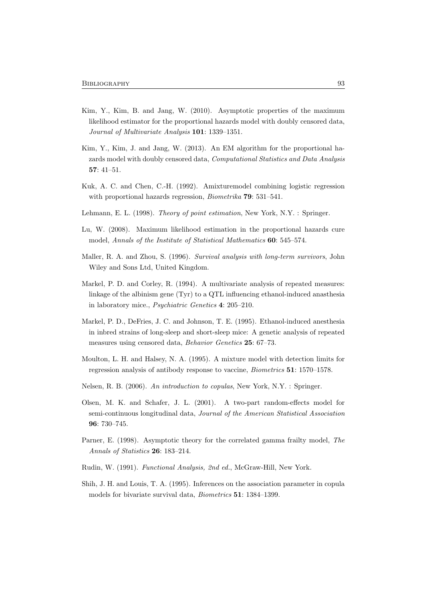- Kim, Y., Kim, B. and Jang, W. (2010). Asymptotic properties of the maximum likelihood estimator for the proportional hazards model with doubly censored data, Journal of Multivariate Analysis 101: 1339–1351.
- Kim, Y., Kim, J. and Jang, W. (2013). An EM algorithm for the proportional hazards model with doubly censored data, Computational Statistics and Data Analysis 57: 41–51.
- Kuk, A. C. and Chen, C.-H. (1992). Amixturemodel combining logistic regression with proportional hazards regression, *Biometrika* 79: 531-541.
- Lehmann, E. L. (1998). Theory of point estimation, New York, N.Y. : Springer.
- Lu, W. (2008). Maximum likelihood estimation in the proportional hazards cure model, Annals of the Institute of Statistical Mathematics 60: 545–574.
- Maller, R. A. and Zhou, S. (1996). Survival analysis with long-term survivors, John Wiley and Sons Ltd, United Kingdom.
- Markel, P. D. and Corley, R. (1994). A multivariate analysis of repeated measures: linkage of the albinism gene (Tyr) to a QTL influencing ethanol-induced anasthesia in laboratory mice., Psychiatric Genetics 4: 205–210.
- Markel, P. D., DeFries, J. C. and Johnson, T. E. (1995). Ethanol-induced anesthesia in inbred strains of long-sleep and short-sleep mice: A genetic analysis of repeated measures using censored data, Behavior Genetics 25: 67–73.
- Moulton, L. H. and Halsey, N. A. (1995). A mixture model with detection limits for regression analysis of antibody response to vaccine, Biometrics 51: 1570–1578.
- Nelsen, R. B. (2006). An introduction to copulas, New York, N.Y. : Springer.
- Olsen, M. K. and Schafer, J. L. (2001). A two-part random-effects model for semi-continuous longitudinal data, Journal of the American Statistical Association 96: 730–745.
- Parner, E. (1998). Asymptotic theory for the correlated gamma frailty model, The Annals of Statistics 26: 183–214.
- Rudin, W. (1991). Functional Analysis, 2nd ed., McGraw-Hill, New York.
- Shih, J. H. and Louis, T. A. (1995). Inferences on the association parameter in copula models for bivariate survival data, Biometrics 51: 1384–1399.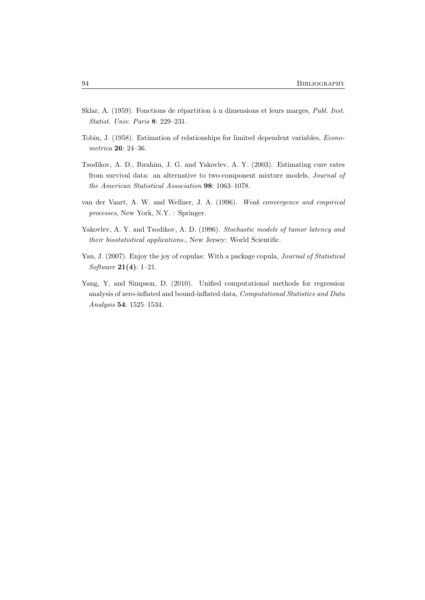- Sklar, A. (1959). Fonctions de répartition à n dimensions et leurs marges, Publ. Inst. Statist. Univ. Paris 8: 229–231.
- Tobin, J. (1958). Estimation of relationships for limited dependent variables, Econometrica 26: 24–36.
- Tsodikov, A. D., Ibrahim, J. G. and Yakovlev, A. Y. (2003). Estimating cure rates from survival data: an alternative to two-component mixture models, Journal of the American Statistical Association 98: 1063–1078.
- van der Vaart, A. W. and Wellner, J. A. (1996). Weak convergence and empirical processes, New York, N.Y. : Springer.
- Yakovlev, A. Y. and Tsodikov, A. D. (1996). Stochastic models of tumor latency and their biostatistical applications., New Jersey: World Scientific.
- Yan, J. (2007). Enjoy the joy of copulas: With a package copula, *Journal of Statistical* Software 21(4): 1–21.
- Yang, Y. and Simpson, D. (2010). Unified computational methods for regression analysis of zero-inflated and bound-inflated data, Computational Statistics and Data Analysis 54: 1525–1534.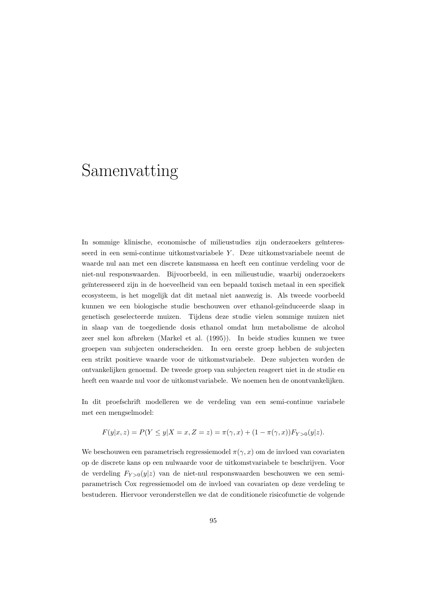# Samenvatting

In sommige klinische, economische of milieustudies zijn onderzoekers geïnteresseerd in een semi-continue uitkomstvariabele Y. Deze uitkomstvariabele neemt de waarde nul aan met een discrete kansmassa en heeft een continue verdeling voor de niet-nul responswaarden. Bijvoorbeeld, in een milieustudie, waarbij onderzoekers geïnteresseerd zijn in de hoeveelheid van een bepaald toxisch metaal in een specifiek ecosysteem, is het mogelijk dat dit metaal niet aanwezig is. Als tweede voorbeeld kunnen we een biologische studie beschouwen over ethanol-geïnduceerde slaap in genetisch geselecteerde muizen. Tijdens deze studie vielen sommige muizen niet in slaap van de toegediende dosis ethanol omdat hun metabolisme de alcohol zeer snel kon afbreken (Markel et al. (1995)). In beide studies kunnen we twee groepen van subjecten onderscheiden. In een eerste groep hebben de subjecten een strikt positieve waarde voor de uitkomstvariabele. Deze subjecten worden de ontvankelijken genoemd. De tweede groep van subjecten reageert niet in de studie en heeft een waarde nul voor de uitkomstvariabele. We noemen hen de onontvankelijken.

In dit proefschrift modelleren we de verdeling van een semi-continue variabele met een mengselmodel:

$$
F(y|x, z) = P(Y \le y | X = x, Z = z) = \pi(\gamma, x) + (1 - \pi(\gamma, x)) F_{Y > 0}(y|z).
$$

We beschouwen een parametrisch regressiemodel  $\pi(\gamma, x)$  om de invloed van covariaten op de discrete kans op een nulwaarde voor de uitkomstvariabele te beschrijven. Voor de verdeling  $F_{Y>0}(y|z)$  van de niet-nul responswaarden beschouwen we een semiparametrisch Cox regressiemodel om de invloed van covariaten op deze verdeling te bestuderen. Hiervoor veronderstellen we dat de conditionele risicofunctie de volgende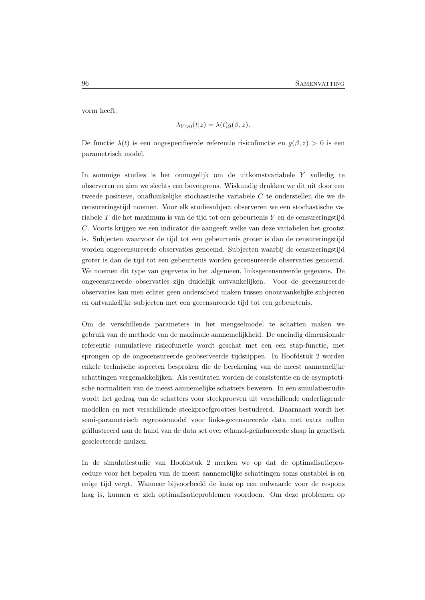vorm heeft:

$$
\lambda_{Y>0}(t|z) = \lambda(t)g(\beta,z).
$$

De functie  $\lambda(t)$  is een ongespecifieerde referentie risicofunctie en  $g(\beta, z) > 0$  is een parametrisch model.

In sommige studies is het onmogelijk om de uitkomstvariabele Y volledig te observeren en zien we slechts een bovengrens. Wiskundig drukken we dit uit door een tweede positieve, onafhankelijke stochastische variabele C te onderstellen die we de censureringstijd noemen. Voor elk studiesubject observeren we een stochastische variabele T die het maximum is van de tijd tot een gebeurtenis Y en de censureringstijd C. Voorts krijgen we een indicator die aangeeft welke van deze variabelen het grootst is. Subjecten waarvoor de tijd tot een gebeurtenis groter is dan de censureringstijd worden ongecensureerde observaties genoemd. Subjecten waarbij de censureringstijd groter is dan de tijd tot een gebeurtenis worden gecensureerde observaties genoemd. We noemen dit type van gegevens in het algemeen, linksgecensureerde gegevens. De ongecensureerde observaties zijn duidelijk ontvankelijken. Voor de gecensureerde observaties kan men echter geen onderscheid maken tussen onontvankelijke subjecten en ontvankelijke subjecten met een gecensureerde tijd tot een gebeurtenis.

Om de verschillende parameters in het mengselmodel te schatten maken we gebruik van de methode van de maximale aannemelijkheid. De oneindig dimensionale referentie cumulatieve risicofunctie wordt geschat met een een stap-functie, met sprongen op de ongecensureerde geobserveerde tijdstippen. In Hoofdstuk 2 worden enkele technische aspecten besproken die de berekening van de meest aannemelijke schattingen vergemakkelijken. Als resultaten worden de consistentie en de asymptotische normaliteit van de meest aannemelijke schatters bewezen. In een simulatiestudie wordt het gedrag van de schatters voor steekproeven uit verschillende onderliggende modellen en met verschillende steekproefgroottes bestudeerd. Daarnaast wordt het semi-parametrisch regressiemodel voor links-gecensureerde data met extra nullen geïllustreerd aan de hand van de data set over ethanol-geïnduceerde slaap in genetisch geselecteerde muizen.

In de simulatiestudie van Hoofdstuk 2 merken we op dat de optimalisatieprocedure voor het bepalen van de meest aannemelijke schattingen soms onstabiel is en enige tijd vergt. Wanneer bijvoorbeeld de kans op een nulwaarde voor de respons laag is, kunnen er zich optimalisatieproblemen voordoen. Om deze problemen op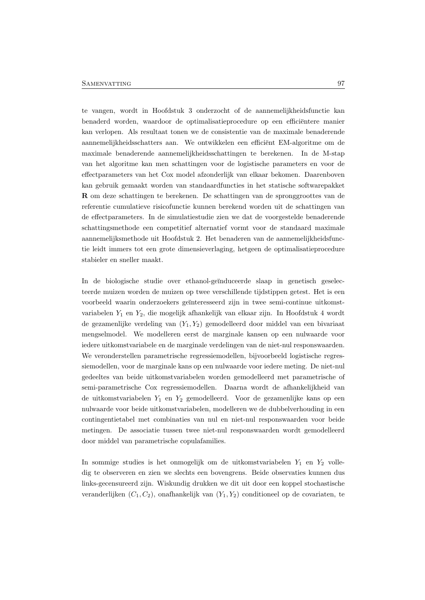te vangen, wordt in Hoofdstuk 3 onderzocht of de aannemelijkheidsfunctie kan benaderd worden, waardoor de optimalisatieprocedure op een efficiëntere manier kan verlopen. Als resultaat tonen we de consistentie van de maximale benaderende aannemelijkheidsschatters aan. We ontwikkelen een efficiënt EM-algoritme om de maximale benaderende aannemelijkheidsschattingen te berekenen. In de M-stap van het algoritme kan men schattingen voor de logistische parameters en voor de effectparameters van het Cox model afzonderlijk van elkaar bekomen. Daarenboven kan gebruik gemaakt worden van standaardfuncties in het statische softwarepakket R om deze schattingen te berekenen. De schattingen van de spronggroottes van de referentie cumulatieve risicofunctie kunnen berekend worden uit de schattingen van de effectparameters. In de simulatiestudie zien we dat de voorgestelde benaderende schattingsmethode een competitief alternatief vormt voor de standaard maximale aannemelijksmethode uit Hoofdstuk 2. Het benaderen van de aannemelijkheidsfunctie leidt immers tot een grote dimensieverlaging, hetgeen de optimalisatieprocedure stabieler en sneller maakt.

In de biologische studie over ethanol-geïnduceerde slaap in genetisch geselecteerde muizen worden de muizen op twee verschillende tijdstippen getest. Het is een voorbeeld waarin onderzoekers geïnteresseerd zijn in twee semi-continue uitkomstvariabelen  $Y_1$  en  $Y_2$ , die mogelijk afhankelijk van elkaar zijn. In Hoofdstuk 4 wordt de gezamenlijke verdeling van  $(Y_1, Y_2)$  gemodelleerd door middel van een bivariaat mengselmodel. We modelleren eerst de marginale kansen op een nulwaarde voor iedere uitkomstvariabele en de marginale verdelingen van de niet-nul responswaarden. We veronderstellen parametrische regressiemodellen, bijvoorbeeld logistische regressiemodellen, voor de marginale kans op een nulwaarde voor iedere meting. De niet-nul gedeeltes van beide uitkomstvariabelen worden gemodelleerd met parametrische of semi-parametrische Cox regressiemodellen. Daarna wordt de afhankelijkheid van de uitkomstvariabelen  $Y_1$  en  $Y_2$  gemodelleerd. Voor de gezamenlijke kans op een nulwaarde voor beide uitkomstvariabelen, modelleren we de dubbelverhouding in een contingentietabel met combinaties van nul en niet-nul responswaarden voor beide metingen. De associatie tussen twee niet-nul responswaarden wordt gemodelleerd door middel van parametrische copulafamilies.

In sommige studies is het onmogelijk om de uitkomstvariabelen  $Y_1$  en  $Y_2$  volledig te observeren en zien we slechts een bovengrens. Beide observaties kunnen dus links-gecensureerd zijn. Wiskundig drukken we dit uit door een koppel stochastische veranderlijken  $(C_1, C_2)$ , onafhankelijk van  $(Y_1, Y_2)$  conditioneel op de covariaten, te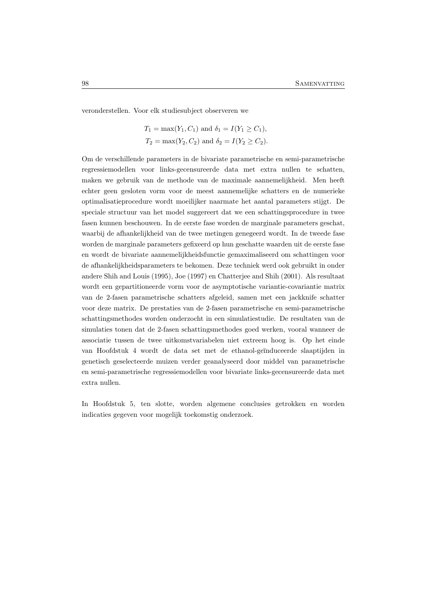veronderstellen. Voor elk studiesubject observeren we

$$
T_1 = \max(Y_1, C_1)
$$
 and  $\delta_1 = I(Y_1 \ge C_1)$ ,  
\n $T_2 = \max(Y_2, C_2)$  and  $\delta_2 = I(Y_2 \ge C_2)$ .

Om de verschillende parameters in de bivariate parametrische en semi-parametrische regressiemodellen voor links-gecensureerde data met extra nullen te schatten, maken we gebruik van de methode van de maximale aannemelijkheid. Men heeft echter geen gesloten vorm voor de meest aannemelijke schatters en de numerieke optimalisatieprocedure wordt moeilijker naarmate het aantal parameters stijgt. De speciale structuur van het model suggereert dat we een schattingsprocedure in twee fasen kunnen beschouwen. In de eerste fase worden de marginale parameters geschat, waarbij de afhankelijkheid van de twee metingen genegeerd wordt. In de tweede fase worden de marginale parameters gefixeerd op hun geschatte waarden uit de eerste fase en wordt de bivariate aannemelijkheidsfunctie gemaximaliseerd om schattingen voor de afhankelijkheidsparameters te bekomen. Deze techniek werd ook gebruikt in onder andere Shih and Louis (1995), Joe (1997) en Chatterjee and Shih (2001). Als resultaat wordt een gepartitioneerde vorm voor de asymptotische variantie-covariantie matrix van de 2-fasen parametrische schatters afgeleid, samen met een jackknife schatter voor deze matrix. De prestaties van de 2-fasen parametrische en semi-parametrische schattingsmethodes worden onderzocht in een simulatiestudie. De resultaten van de simulaties tonen dat de 2-fasen schattingsmethodes goed werken, vooral wanneer de associatie tussen de twee uitkomstvariabelen niet extreem hoog is. Op het einde van Hoofdstuk 4 wordt de data set met de ethanol-ge¨ınduceerde slaaptijden in genetisch geselecteerde muizen verder geanalyseerd door middel van parametrische en semi-parametrische regressiemodellen voor bivariate links-gecensureerde data met extra nullen.

In Hoofdstuk 5, ten slotte, worden algemene conclusies getrokken en worden indicaties gegeven voor mogelijk toekomstig onderzoek.